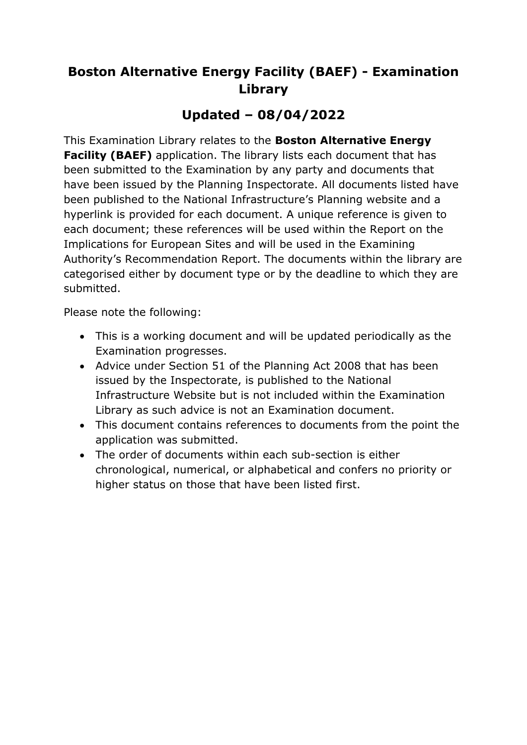# **Boston Alternative Energy Facility (BAEF) - Examination Library**

## **Updated – 08/04/2022**

This Examination Library relates to the **Boston Alternative Energy Facility (BAEF)** application. The library lists each document that has been submitted to the Examination by any party and documents that have been issued by the Planning Inspectorate. All documents listed have been published to the National Infrastructure's Planning website and a hyperlink is provided for each document. A unique reference is given to each document; these references will be used within the Report on the Implications for European Sites and will be used in the Examining Authority's Recommendation Report. The documents within the library are categorised either by document type or by the deadline to which they are submitted.

Please note the following:

- This is a working document and will be updated periodically as the Examination progresses.
- Advice under Section 51 of the Planning Act 2008 that has been issued by the Inspectorate, is published to the National Infrastructure Website but is not included within the Examination Library as such advice is not an Examination document.
- This document contains references to documents from the point the application was submitted.
- The order of documents within each sub-section is either chronological, numerical, or alphabetical and confers no priority or higher status on those that have been listed first.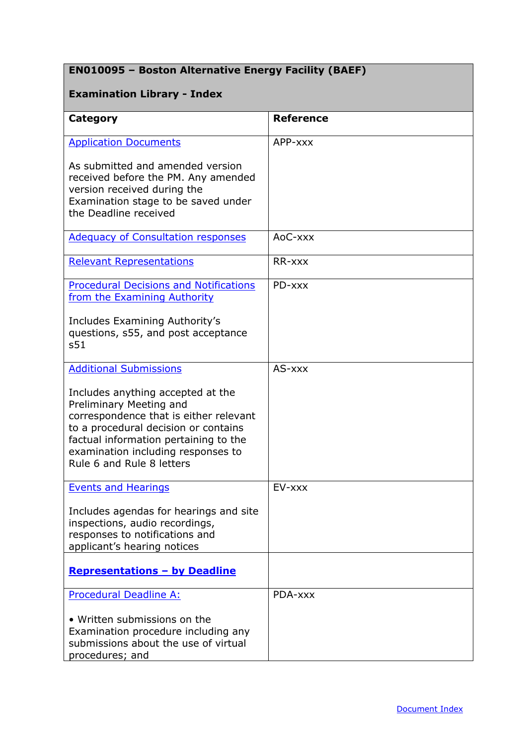## **EN010095 – Boston Alternative Energy Facility (BAEF)**

### <span id="page-1-0"></span>**Examination Library - Index**

| Category                                                                                                                                                                                                                                                   | <b>Reference</b> |
|------------------------------------------------------------------------------------------------------------------------------------------------------------------------------------------------------------------------------------------------------------|------------------|
| <b>Application Documents</b>                                                                                                                                                                                                                               | APP-xxx          |
| As submitted and amended version<br>received before the PM. Any amended<br>version received during the<br>Examination stage to be saved under<br>the Deadline received                                                                                     |                  |
| <b>Adequacy of Consultation responses</b>                                                                                                                                                                                                                  | AoC-xxx          |
| <b>Relevant Representations</b>                                                                                                                                                                                                                            | RR-xxx           |
| <b>Procedural Decisions and Notifications</b><br>from the Examining Authority                                                                                                                                                                              | PD-xxx           |
| Includes Examining Authority's<br>questions, s55, and post acceptance<br>s51                                                                                                                                                                               |                  |
| <b>Additional Submissions</b>                                                                                                                                                                                                                              | AS-xxx           |
| Includes anything accepted at the<br>Preliminary Meeting and<br>correspondence that is either relevant<br>to a procedural decision or contains<br>factual information pertaining to the<br>examination including responses to<br>Rule 6 and Rule 8 letters |                  |
| <b>Events and Hearings</b>                                                                                                                                                                                                                                 | EV-xxx           |
| Includes agendas for hearings and site<br>inspections, audio recordings,<br>responses to notifications and<br>applicant's hearing notices                                                                                                                  |                  |
| <b>Representations - by Deadline</b>                                                                                                                                                                                                                       |                  |
| Procedural Deadline A:                                                                                                                                                                                                                                     | PDA-xxx          |
| • Written submissions on the<br>Examination procedure including any<br>submissions about the use of virtual<br>procedures; and                                                                                                                             |                  |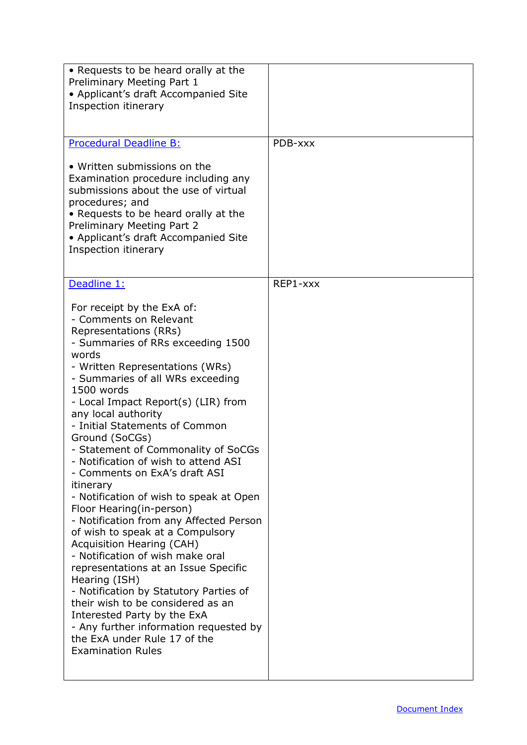| • Requests to be heard orally at the<br>Preliminary Meeting Part 1<br>• Applicant's draft Accompanied Site<br>Inspection itinerary                                                                                                                                                                                                                                                                                                                                                                                                                                                                                                                                                                                                                                                                                                                                                                                                                                                         |          |
|--------------------------------------------------------------------------------------------------------------------------------------------------------------------------------------------------------------------------------------------------------------------------------------------------------------------------------------------------------------------------------------------------------------------------------------------------------------------------------------------------------------------------------------------------------------------------------------------------------------------------------------------------------------------------------------------------------------------------------------------------------------------------------------------------------------------------------------------------------------------------------------------------------------------------------------------------------------------------------------------|----------|
| <b>Procedural Deadline B:</b><br>• Written submissions on the<br>Examination procedure including any<br>submissions about the use of virtual<br>procedures; and<br>• Requests to be heard orally at the<br>Preliminary Meeting Part 2<br>• Applicant's draft Accompanied Site<br>Inspection itinerary                                                                                                                                                                                                                                                                                                                                                                                                                                                                                                                                                                                                                                                                                      | PDB-xxx  |
| Deadline 1:<br>For receipt by the ExA of:<br>- Comments on Relevant<br>Representations (RRs)<br>- Summaries of RRs exceeding 1500<br>words<br>- Written Representations (WRs)<br>- Summaries of all WRs exceeding<br>1500 words<br>- Local Impact Report(s) (LIR) from<br>any local authority<br>- Initial Statements of Common<br>Ground (SoCGs)<br>- Statement of Commonality of SoCGs<br>- Notification of wish to attend ASI<br>- Comments on ExA's draft ASI<br>itinerary<br>- Notification of wish to speak at Open<br>Floor Hearing (in-person)<br>- Notification from any Affected Person<br>of wish to speak at a Compulsory<br><b>Acquisition Hearing (CAH)</b><br>- Notification of wish make oral<br>representations at an Issue Specific<br>Hearing (ISH)<br>- Notification by Statutory Parties of<br>their wish to be considered as an<br>Interested Party by the ExA<br>- Any further information requested by<br>the ExA under Rule 17 of the<br><b>Examination Rules</b> | REP1-xxx |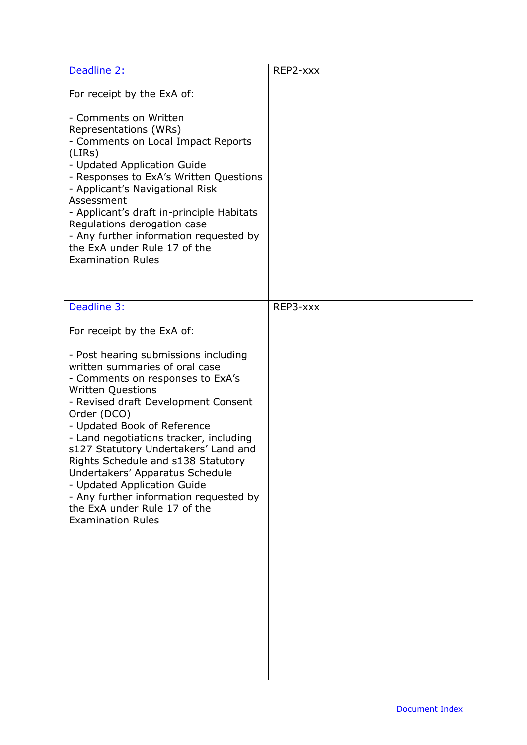| Deadline 2:                                                                                                                                                                                                                                                                                                                                                                                                                                                                                                                                               | REP2-xxx |
|-----------------------------------------------------------------------------------------------------------------------------------------------------------------------------------------------------------------------------------------------------------------------------------------------------------------------------------------------------------------------------------------------------------------------------------------------------------------------------------------------------------------------------------------------------------|----------|
| For receipt by the ExA of:                                                                                                                                                                                                                                                                                                                                                                                                                                                                                                                                |          |
| - Comments on Written<br>Representations (WRs)<br>- Comments on Local Impact Reports<br>(LIRS)<br>- Updated Application Guide<br>- Responses to ExA's Written Questions<br>- Applicant's Navigational Risk<br>Assessment<br>- Applicant's draft in-principle Habitats<br>Regulations derogation case<br>- Any further information requested by<br>the ExA under Rule 17 of the<br><b>Examination Rules</b>                                                                                                                                                |          |
| Deadline 3:                                                                                                                                                                                                                                                                                                                                                                                                                                                                                                                                               | REP3-xxx |
| For receipt by the ExA of:<br>- Post hearing submissions including<br>written summaries of oral case<br>- Comments on responses to ExA's<br><b>Written Questions</b><br>- Revised draft Development Consent<br>Order (DCO)<br>- Updated Book of Reference<br>- Land negotiations tracker, including<br>s127 Statutory Undertakers' Land and<br>Rights Schedule and s138 Statutory<br>Undertakers' Apparatus Schedule<br>- Updated Application Guide<br>- Any further information requested by<br>the ExA under Rule 17 of the<br><b>Examination Rules</b> |          |
|                                                                                                                                                                                                                                                                                                                                                                                                                                                                                                                                                           |          |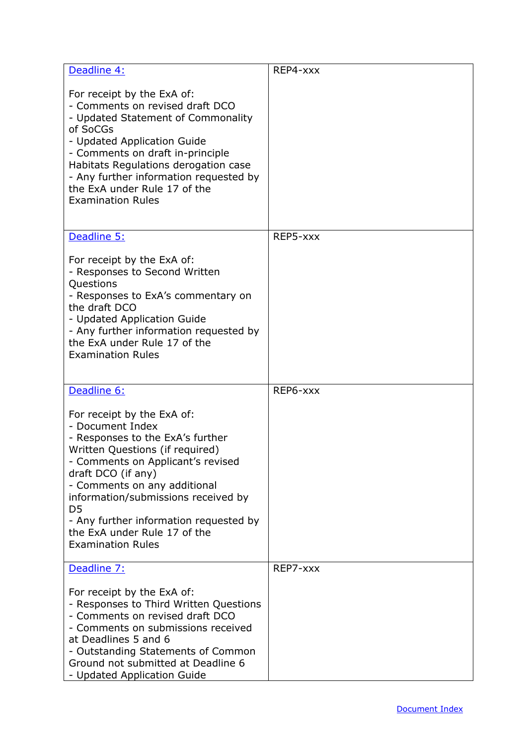| Deadline 4:                                                                                                                                                                                                                                                                                                                      | REP4-xxx |
|----------------------------------------------------------------------------------------------------------------------------------------------------------------------------------------------------------------------------------------------------------------------------------------------------------------------------------|----------|
| For receipt by the ExA of:<br>- Comments on revised draft DCO<br>- Updated Statement of Commonality<br>of SoCGs<br>- Updated Application Guide<br>- Comments on draft in-principle<br>Habitats Regulations derogation case<br>- Any further information requested by<br>the ExA under Rule 17 of the<br><b>Examination Rules</b> |          |
| Deadline 5:                                                                                                                                                                                                                                                                                                                      | REP5-xxx |
| For receipt by the ExA of:<br>- Responses to Second Written<br>Questions<br>- Responses to ExA's commentary on<br>the draft DCO<br>- Updated Application Guide<br>- Any further information requested by<br>the ExA under Rule 17 of the<br><b>Examination Rules</b>                                                             |          |
| Deadline 6:                                                                                                                                                                                                                                                                                                                      | REP6-xxx |
| For receipt by the ExA of:<br>- Document Index<br>- Responses to the ExA's further<br>Written Questions (if required)<br>- Comments on Applicant's revised                                                                                                                                                                       |          |
| draft DCO (if any)<br>- Comments on any additional<br>information/submissions received by<br>D <sub>5</sub><br>- Any further information requested by<br>the ExA under Rule 17 of the<br><b>Examination Rules</b>                                                                                                                |          |
| Deadline 7:                                                                                                                                                                                                                                                                                                                      | REP7-xxx |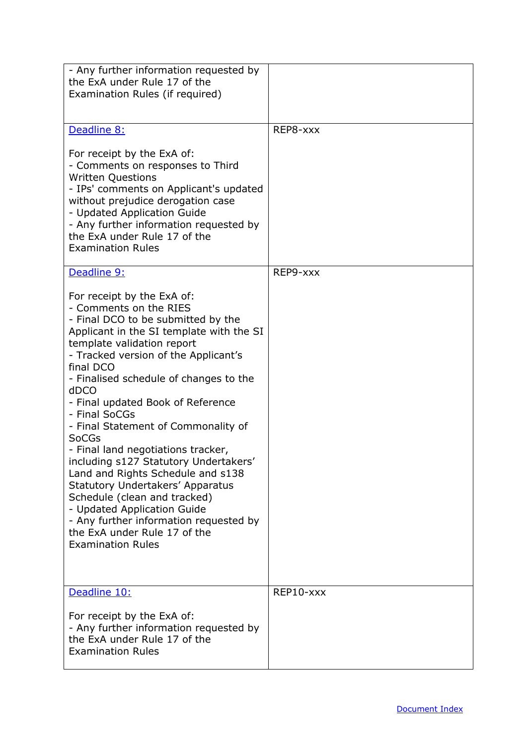| - Any further information requested by<br>the ExA under Rule 17 of the                                                                                                                                                                                                                                                                                                                                                                                                                                                                                                                                                                                                                                                       |           |
|------------------------------------------------------------------------------------------------------------------------------------------------------------------------------------------------------------------------------------------------------------------------------------------------------------------------------------------------------------------------------------------------------------------------------------------------------------------------------------------------------------------------------------------------------------------------------------------------------------------------------------------------------------------------------------------------------------------------------|-----------|
| Examination Rules (if required)                                                                                                                                                                                                                                                                                                                                                                                                                                                                                                                                                                                                                                                                                              |           |
| Deadline 8:                                                                                                                                                                                                                                                                                                                                                                                                                                                                                                                                                                                                                                                                                                                  | REP8-xxx  |
| For receipt by the ExA of:<br>- Comments on responses to Third<br><b>Written Questions</b><br>- IPs' comments on Applicant's updated<br>without prejudice derogation case<br>- Updated Application Guide<br>- Any further information requested by<br>the ExA under Rule 17 of the<br><b>Examination Rules</b>                                                                                                                                                                                                                                                                                                                                                                                                               |           |
| Deadline 9:                                                                                                                                                                                                                                                                                                                                                                                                                                                                                                                                                                                                                                                                                                                  | REP9-xxx  |
| For receipt by the ExA of:<br>- Comments on the RIES<br>- Final DCO to be submitted by the<br>Applicant in the SI template with the SI<br>template validation report<br>- Tracked version of the Applicant's<br>final DCO<br>- Finalised schedule of changes to the<br>dDCO<br>- Final updated Book of Reference<br>- Final SoCGs<br>- Final Statement of Commonality of<br><b>SoCGs</b><br>- Final land negotiations tracker,<br>including s127 Statutory Undertakers'<br>Land and Rights Schedule and s138<br><b>Statutory Undertakers' Apparatus</b><br>Schedule (clean and tracked)<br>- Updated Application Guide<br>- Any further information requested by<br>the ExA under Rule 17 of the<br><b>Examination Rules</b> |           |
| Deadline 10:<br>For receipt by the ExA of:<br>- Any further information requested by<br>the ExA under Rule 17 of the<br><b>Examination Rules</b>                                                                                                                                                                                                                                                                                                                                                                                                                                                                                                                                                                             | REP10-xxx |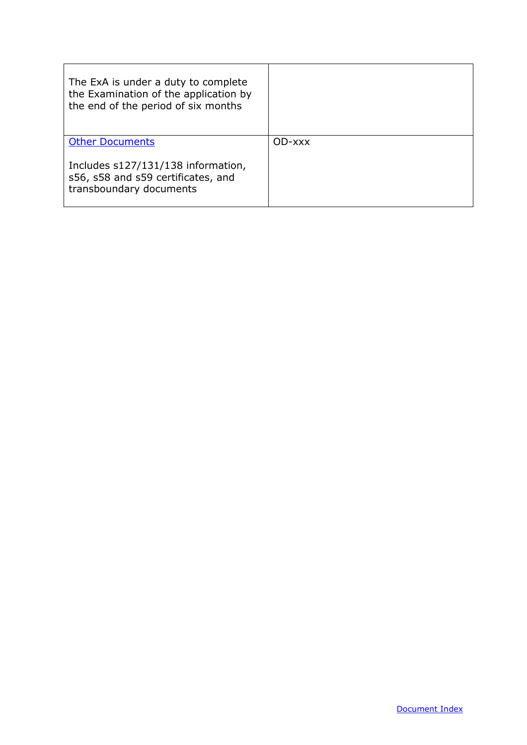| The ExA is under a duty to complete<br>the Examination of the application by<br>the end of the period of six months |        |
|---------------------------------------------------------------------------------------------------------------------|--------|
| <b>Other Documents</b>                                                                                              | OD-xxx |
| Includes s127/131/138 information,<br>s56, s58 and s59 certificates, and<br>transboundary documents                 |        |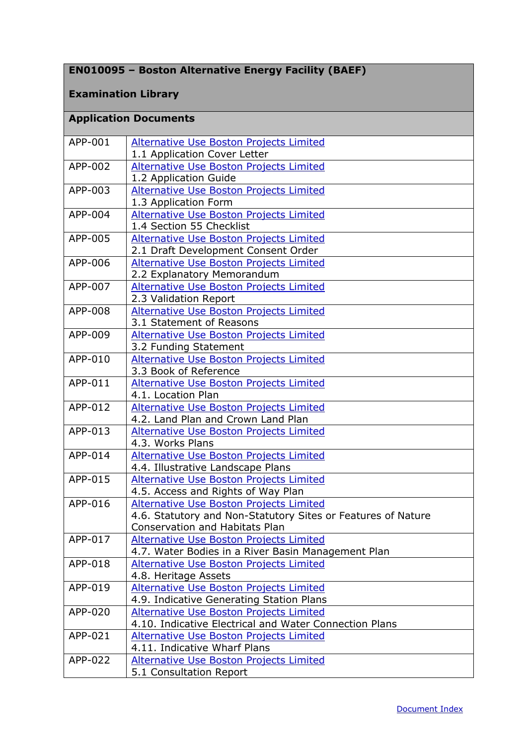## **EN010095 – Boston Alternative Energy Facility (BAEF)**

#### **Examination Library**

## <span id="page-7-0"></span>**Application Documents**

| APP-001 | Alternative Use Boston Projects Limited                                              |
|---------|--------------------------------------------------------------------------------------|
|         | 1.1 Application Cover Letter                                                         |
| APP-002 | Alternative Use Boston Projects Limited                                              |
|         | 1.2 Application Guide                                                                |
| APP-003 | Alternative Use Boston Projects Limited                                              |
|         | 1.3 Application Form                                                                 |
| APP-004 | <b>Alternative Use Boston Projects Limited</b>                                       |
|         | 1.4 Section 55 Checklist                                                             |
| APP-005 | Alternative Use Boston Projects Limited                                              |
|         | 2.1 Draft Development Consent Order                                                  |
| APP-006 | <b>Alternative Use Boston Projects Limited</b>                                       |
|         | 2.2 Explanatory Memorandum                                                           |
| APP-007 | Alternative Use Boston Projects Limited                                              |
|         | 2.3 Validation Report                                                                |
| APP-008 | Alternative Use Boston Projects Limited                                              |
|         | 3.1 Statement of Reasons                                                             |
| APP-009 | <b>Alternative Use Boston Projects Limited</b>                                       |
|         | 3.2 Funding Statement                                                                |
| APP-010 | <b>Alternative Use Boston Projects Limited</b>                                       |
|         | 3.3 Book of Reference                                                                |
| APP-011 | Alternative Use Boston Projects Limited                                              |
| APP-012 | 4.1. Location Plan                                                                   |
|         | <b>Alternative Use Boston Projects Limited</b><br>4.2. Land Plan and Crown Land Plan |
| APP-013 | Alternative Use Boston Projects Limited                                              |
|         | 4.3. Works Plans                                                                     |
| APP-014 | Alternative Use Boston Projects Limited                                              |
|         | 4.4. Illustrative Landscape Plans                                                    |
| APP-015 | Alternative Use Boston Projects Limited                                              |
|         | 4.5. Access and Rights of Way Plan                                                   |
| APP-016 | <b>Alternative Use Boston Projects Limited</b>                                       |
|         | 4.6. Statutory and Non-Statutory Sites or Features of Nature                         |
|         | <b>Conservation and Habitats Plan</b>                                                |
| APP-017 | <b>Alternative Use Boston Projects Limited</b>                                       |
|         | 4.7. Water Bodies in a River Basin Management Plan                                   |
| APP-018 | <b>Alternative Use Boston Projects Limited</b>                                       |
|         | 4.8. Heritage Assets                                                                 |
| APP-019 | <b>Alternative Use Boston Projects Limited</b>                                       |
|         | 4.9. Indicative Generating Station Plans                                             |
| APP-020 | Alternative Use Boston Projects Limited                                              |
|         | 4.10. Indicative Electrical and Water Connection Plans                               |
| APP-021 | Alternative Use Boston Projects Limited                                              |
|         | 4.11. Indicative Wharf Plans                                                         |
| APP-022 | Alternative Use Boston Projects Limited                                              |
|         | 5.1 Consultation Report                                                              |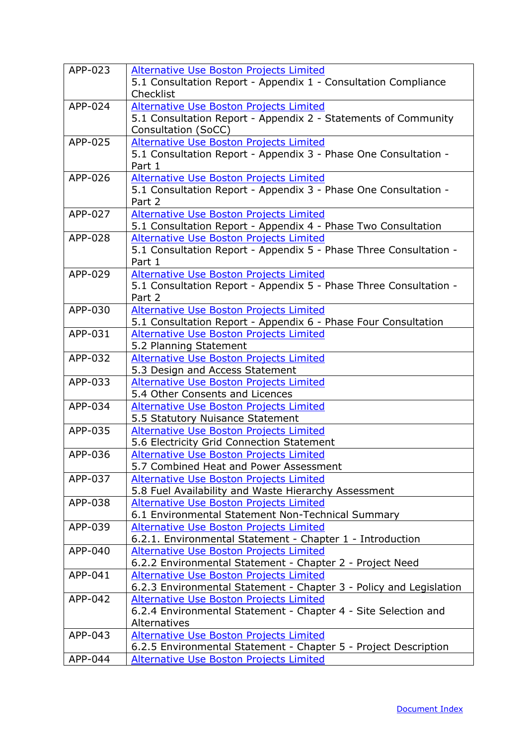| APP-023 | Alternative Use Boston Projects Limited<br>5.1 Consultation Report - Appendix 1 - Consultation Compliance<br>Checklist |
|---------|------------------------------------------------------------------------------------------------------------------------|
| APP-024 | Alternative Use Boston Projects Limited                                                                                |
|         | 5.1 Consultation Report - Appendix 2 - Statements of Community<br>Consultation (SoCC)                                  |
| APP-025 | <b>Alternative Use Boston Projects Limited</b>                                                                         |
|         | 5.1 Consultation Report - Appendix 3 - Phase One Consultation -<br>Part 1                                              |
| APP-026 | <b>Alternative Use Boston Projects Limited</b>                                                                         |
|         | 5.1 Consultation Report - Appendix 3 - Phase One Consultation -<br>Part 2                                              |
| APP-027 | Alternative Use Boston Projects Limited                                                                                |
|         | 5.1 Consultation Report - Appendix 4 - Phase Two Consultation                                                          |
| APP-028 | <b>Alternative Use Boston Projects Limited</b>                                                                         |
|         | 5.1 Consultation Report - Appendix 5 - Phase Three Consultation -<br>Part 1                                            |
| APP-029 | <b>Alternative Use Boston Projects Limited</b>                                                                         |
|         | 5.1 Consultation Report - Appendix 5 - Phase Three Consultation -<br>Part 2                                            |
| APP-030 | Alternative Use Boston Projects Limited                                                                                |
|         | 5.1 Consultation Report - Appendix 6 - Phase Four Consultation                                                         |
| APP-031 | <b>Alternative Use Boston Projects Limited</b>                                                                         |
|         | 5.2 Planning Statement                                                                                                 |
| APP-032 | <b>Alternative Use Boston Projects Limited</b>                                                                         |
|         | 5.3 Design and Access Statement                                                                                        |
| APP-033 | Alternative Use Boston Projects Limited                                                                                |
| APP-034 | 5.4 Other Consents and Licences                                                                                        |
|         | <b>Alternative Use Boston Projects Limited</b>                                                                         |
| APP-035 | 5.5 Statutory Nuisance Statement<br><b>Alternative Use Boston Projects Limited</b>                                     |
|         | 5.6 Electricity Grid Connection Statement                                                                              |
| APP-036 | <b>Alternative Use Boston Projects Limited</b>                                                                         |
|         | 5.7 Combined Heat and Power Assessment                                                                                 |
| APP-037 | Alternative Use Boston Projects Limited                                                                                |
|         | 5.8 Fuel Availability and Waste Hierarchy Assessment                                                                   |
| APP-038 | <b>Alternative Use Boston Projects Limited</b>                                                                         |
|         | 6.1 Environmental Statement Non-Technical Summary                                                                      |
| APP-039 | Alternative Use Boston Projects Limited                                                                                |
|         | 6.2.1. Environmental Statement - Chapter 1 - Introduction                                                              |
| APP-040 | <b>Alternative Use Boston Projects Limited</b>                                                                         |
|         | 6.2.2 Environmental Statement - Chapter 2 - Project Need                                                               |
| APP-041 | <b>Alternative Use Boston Projects Limited</b>                                                                         |
|         | 6.2.3 Environmental Statement - Chapter 3 - Policy and Legislation                                                     |
| APP-042 | <b>Alternative Use Boston Projects Limited</b>                                                                         |
|         | 6.2.4 Environmental Statement - Chapter 4 - Site Selection and                                                         |
|         | Alternatives                                                                                                           |
| APP-043 | <b>Alternative Use Boston Projects Limited</b>                                                                         |
|         | 6.2.5 Environmental Statement - Chapter 5 - Project Description                                                        |
| APP-044 | Alternative Use Boston Projects Limited                                                                                |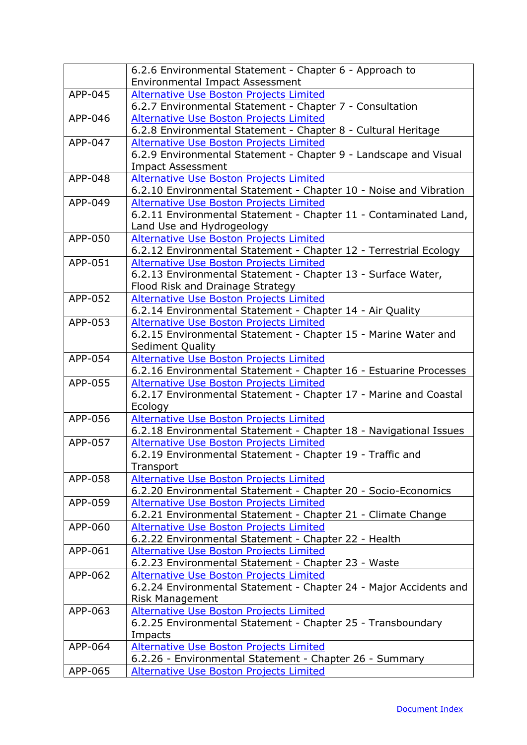|         | 6.2.6 Environmental Statement - Chapter 6 - Approach to                                      |
|---------|----------------------------------------------------------------------------------------------|
|         | <b>Environmental Impact Assessment</b>                                                       |
| APP-045 | Alternative Use Boston Projects Limited                                                      |
|         | 6.2.7 Environmental Statement - Chapter 7 - Consultation                                     |
| APP-046 | Alternative Use Boston Projects Limited                                                      |
|         | 6.2.8 Environmental Statement - Chapter 8 - Cultural Heritage                                |
| APP-047 | <b>Alternative Use Boston Projects Limited</b>                                               |
|         | 6.2.9 Environmental Statement - Chapter 9 - Landscape and Visual<br><b>Impact Assessment</b> |
| APP-048 | <b>Alternative Use Boston Projects Limited</b>                                               |
|         | 6.2.10 Environmental Statement - Chapter 10 - Noise and Vibration                            |
| APP-049 | <b>Alternative Use Boston Projects Limited</b>                                               |
|         | 6.2.11 Environmental Statement - Chapter 11 - Contaminated Land,                             |
|         | Land Use and Hydrogeology                                                                    |
| APP-050 | Alternative Use Boston Projects Limited                                                      |
|         | 6.2.12 Environmental Statement - Chapter 12 - Terrestrial Ecology                            |
| APP-051 | <b>Alternative Use Boston Projects Limited</b>                                               |
|         | 6.2.13 Environmental Statement - Chapter 13 - Surface Water,                                 |
|         | Flood Risk and Drainage Strategy                                                             |
| APP-052 | <b>Alternative Use Boston Projects Limited</b>                                               |
|         | 6.2.14 Environmental Statement - Chapter 14 - Air Quality                                    |
| APP-053 | <b>Alternative Use Boston Projects Limited</b>                                               |
|         | 6.2.15 Environmental Statement - Chapter 15 - Marine Water and                               |
|         | <b>Sediment Quality</b>                                                                      |
| APP-054 | <b>Alternative Use Boston Projects Limited</b>                                               |
|         | 6.2.16 Environmental Statement - Chapter 16 - Estuarine Processes                            |
| APP-055 | <b>Alternative Use Boston Projects Limited</b>                                               |
|         | 6.2.17 Environmental Statement - Chapter 17 - Marine and Coastal                             |
|         | Ecology                                                                                      |
| APP-056 | <b>Alternative Use Boston Projects Limited</b>                                               |
|         | 6.2.18 Environmental Statement - Chapter 18 - Navigational Issues                            |
| APP-057 | <b>Alternative Use Boston Projects Limited</b>                                               |
|         | 6.2.19 Environmental Statement - Chapter 19 - Traffic and                                    |
| APP-058 | Transport<br>Alternative Use Boston Projects Limited                                         |
|         | 6.2.20 Environmental Statement - Chapter 20 - Socio-Economics                                |
| APP-059 | <b>Alternative Use Boston Projects Limited</b>                                               |
|         | 6.2.21 Environmental Statement - Chapter 21 - Climate Change                                 |
| APP-060 | Alternative Use Boston Projects Limited                                                      |
|         | 6.2.22 Environmental Statement - Chapter 22 - Health                                         |
| APP-061 | <b>Alternative Use Boston Projects Limited</b>                                               |
|         | 6.2.23 Environmental Statement - Chapter 23 - Waste                                          |
| APP-062 | <b>Alternative Use Boston Projects Limited</b>                                               |
|         | 6.2.24 Environmental Statement - Chapter 24 - Major Accidents and                            |
|         | Risk Management                                                                              |
| APP-063 | Alternative Use Boston Projects Limited                                                      |
|         | 6.2.25 Environmental Statement - Chapter 25 - Transboundary                                  |
|         | Impacts                                                                                      |
| APP-064 | <b>Alternative Use Boston Projects Limited</b>                                               |
|         | 6.2.26 - Environmental Statement - Chapter 26 - Summary                                      |
| APP-065 | <b>Alternative Use Boston Projects Limited</b>                                               |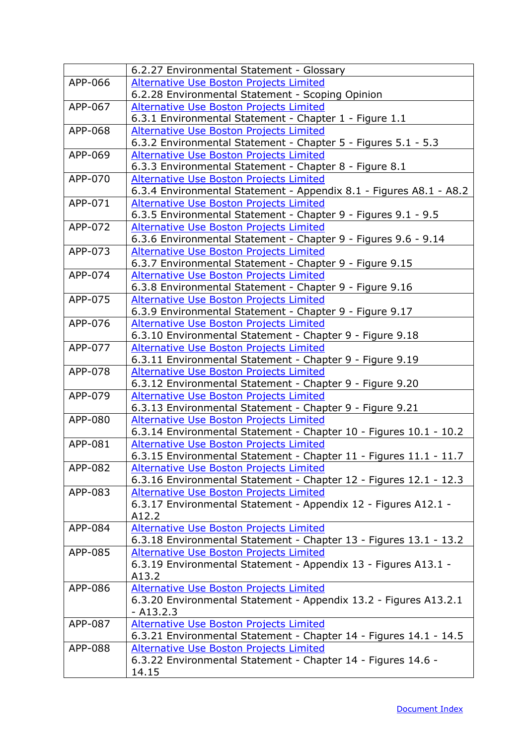|         | 6.2.27 Environmental Statement - Glossary                          |
|---------|--------------------------------------------------------------------|
| APP-066 | <b>Alternative Use Boston Projects Limited</b>                     |
|         | 6.2.28 Environmental Statement - Scoping Opinion                   |
| APP-067 | Alternative Use Boston Projects Limited                            |
|         | 6.3.1 Environmental Statement - Chapter 1 - Figure 1.1             |
| APP-068 | Alternative Use Boston Projects Limited                            |
|         | 6.3.2 Environmental Statement - Chapter 5 - Figures 5.1 - 5.3      |
| APP-069 | <b>Alternative Use Boston Projects Limited</b>                     |
|         | 6.3.3 Environmental Statement - Chapter 8 - Figure 8.1             |
| APP-070 | <b>Alternative Use Boston Projects Limited</b>                     |
|         | 6.3.4 Environmental Statement - Appendix 8.1 - Figures A8.1 - A8.2 |
| APP-071 | Alternative Use Boston Projects Limited                            |
|         | 6.3.5 Environmental Statement - Chapter 9 - Figures 9.1 - 9.5      |
| APP-072 | <b>Alternative Use Boston Projects Limited</b>                     |
|         | 6.3.6 Environmental Statement - Chapter 9 - Figures 9.6 - 9.14     |
| APP-073 | <b>Alternative Use Boston Projects Limited</b>                     |
|         | 6.3.7 Environmental Statement - Chapter 9 - Figure 9.15            |
| APP-074 | <b>Alternative Use Boston Projects Limited</b>                     |
|         | 6.3.8 Environmental Statement - Chapter 9 - Figure 9.16            |
| APP-075 | Alternative Use Boston Projects Limited                            |
|         | 6.3.9 Environmental Statement - Chapter 9 - Figure 9.17            |
| APP-076 | <b>Alternative Use Boston Projects Limited</b>                     |
|         | 6.3.10 Environmental Statement - Chapter 9 - Figure 9.18           |
| APP-077 | <b>Alternative Use Boston Projects Limited</b>                     |
|         | 6.3.11 Environmental Statement - Chapter 9 - Figure 9.19           |
| APP-078 | <b>Alternative Use Boston Projects Limited</b>                     |
|         | 6.3.12 Environmental Statement - Chapter 9 - Figure 9.20           |
| APP-079 | Alternative Use Boston Projects Limited                            |
|         | 6.3.13 Environmental Statement - Chapter 9 - Figure 9.21           |
| APP-080 | Alternative Use Boston Projects Limited                            |
|         | 6.3.14 Environmental Statement - Chapter 10 - Figures 10.1 - 10.2  |
| APP-081 | <b>Alternative Use Boston Projects Limited</b>                     |
|         | 6.3.15 Environmental Statement - Chapter 11 - Figures 11.1 - 11.7  |
| APP-082 | Alternative Use Boston Projects Limited                            |
|         | 6.3.16 Environmental Statement - Chapter 12 - Figures 12.1 - 12.3  |
| APP-083 | <b>Alternative Use Boston Projects Limited</b>                     |
|         | 6.3.17 Environmental Statement - Appendix 12 - Figures A12.1 -     |
|         | A12.2                                                              |
| APP-084 | <b>Alternative Use Boston Projects Limited</b>                     |
|         | 6.3.18 Environmental Statement - Chapter 13 - Figures 13.1 - 13.2  |
| APP-085 | Alternative Use Boston Projects Limited                            |
|         | 6.3.19 Environmental Statement - Appendix 13 - Figures A13.1 -     |
|         | A13.2                                                              |
| APP-086 | Alternative Use Boston Projects Limited                            |
|         | 6.3.20 Environmental Statement - Appendix 13.2 - Figures A13.2.1   |
|         | $- A13.2.3$                                                        |
| APP-087 | <b>Alternative Use Boston Projects Limited</b>                     |
|         | 6.3.21 Environmental Statement - Chapter 14 - Figures 14.1 - 14.5  |
| APP-088 | Alternative Use Boston Projects Limited                            |
|         | 6.3.22 Environmental Statement - Chapter 14 - Figures 14.6 -       |
|         | 14.15                                                              |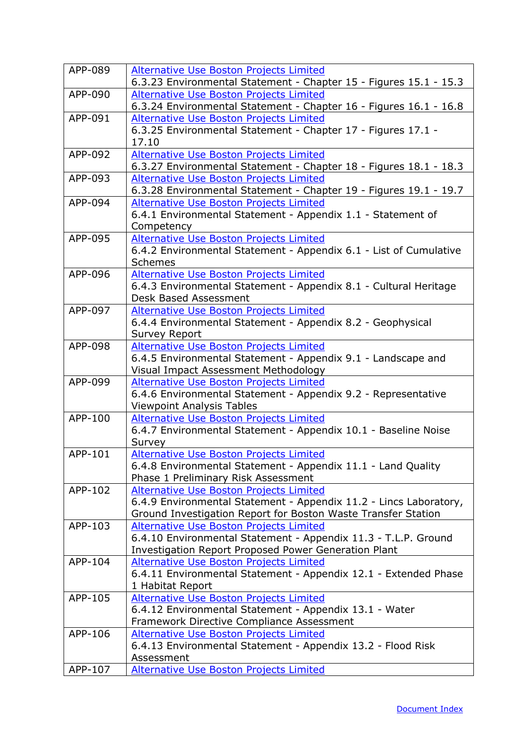| APP-089 | <b>Alternative Use Boston Projects Limited</b>                    |
|---------|-------------------------------------------------------------------|
|         | 6.3.23 Environmental Statement - Chapter 15 - Figures 15.1 - 15.3 |
| APP-090 | <b>Alternative Use Boston Projects Limited</b>                    |
|         | 6.3.24 Environmental Statement - Chapter 16 - Figures 16.1 - 16.8 |
| APP-091 | Alternative Use Boston Projects Limited                           |
|         | 6.3.25 Environmental Statement - Chapter 17 - Figures 17.1 -      |
|         | 17.10                                                             |
| APP-092 | Alternative Use Boston Projects Limited                           |
|         | 6.3.27 Environmental Statement - Chapter 18 - Figures 18.1 - 18.3 |
| APP-093 | <b>Alternative Use Boston Projects Limited</b>                    |
|         | 6.3.28 Environmental Statement - Chapter 19 - Figures 19.1 - 19.7 |
| APP-094 | <b>Alternative Use Boston Projects Limited</b>                    |
|         | 6.4.1 Environmental Statement - Appendix 1.1 - Statement of       |
|         | Competency                                                        |
| APP-095 | <b>Alternative Use Boston Projects Limited</b>                    |
|         | 6.4.2 Environmental Statement - Appendix 6.1 - List of Cumulative |
|         | <b>Schemes</b>                                                    |
| APP-096 | Alternative Use Boston Projects Limited                           |
|         | 6.4.3 Environmental Statement - Appendix 8.1 - Cultural Heritage  |
|         | Desk Based Assessment                                             |
| APP-097 | <b>Alternative Use Boston Projects Limited</b>                    |
|         | 6.4.4 Environmental Statement - Appendix 8.2 - Geophysical        |
|         | <b>Survey Report</b>                                              |
| APP-098 | <b>Alternative Use Boston Projects Limited</b>                    |
|         | 6.4.5 Environmental Statement - Appendix 9.1 - Landscape and      |
|         | Visual Impact Assessment Methodology                              |
| APP-099 | Alternative Use Boston Projects Limited                           |
|         | 6.4.6 Environmental Statement - Appendix 9.2 - Representative     |
|         | <b>Viewpoint Analysis Tables</b>                                  |
| APP-100 | <b>Alternative Use Boston Projects Limited</b>                    |
|         | 6.4.7 Environmental Statement - Appendix 10.1 - Baseline Noise    |
|         | Survey                                                            |
| APP-101 | <b>Alternative Use Boston Projects Limited</b>                    |
|         | 6.4.8 Environmental Statement - Appendix 11.1 - Land Quality      |
|         | Phase 1 Preliminary Risk Assessment                               |
| APP-102 | Alternative Use Boston Projects Limited                           |
|         | 6.4.9 Environmental Statement - Appendix 11.2 - Lincs Laboratory, |
|         | Ground Investigation Report for Boston Waste Transfer Station     |
| APP-103 | <b>Alternative Use Boston Projects Limited</b>                    |
|         | 6.4.10 Environmental Statement - Appendix 11.3 - T.L.P. Ground    |
|         | <b>Investigation Report Proposed Power Generation Plant</b>       |
| APP-104 | <b>Alternative Use Boston Projects Limited</b>                    |
|         | 6.4.11 Environmental Statement - Appendix 12.1 - Extended Phase   |
|         | 1 Habitat Report                                                  |
| APP-105 | <b>Alternative Use Boston Projects Limited</b>                    |
|         | 6.4.12 Environmental Statement - Appendix 13.1 - Water            |
|         | Framework Directive Compliance Assessment                         |
| APP-106 | <b>Alternative Use Boston Projects Limited</b>                    |
|         | 6.4.13 Environmental Statement - Appendix 13.2 - Flood Risk       |
|         | Assessment                                                        |
| APP-107 | <b>Alternative Use Boston Projects Limited</b>                    |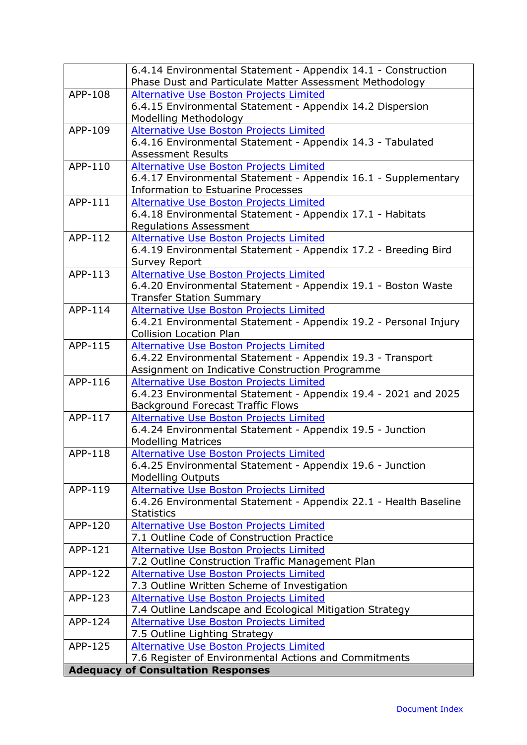<span id="page-12-0"></span>

|         | 6.4.14 Environmental Statement - Appendix 14.1 - Construction<br>Phase Dust and Particulate Matter Assessment Methodology |
|---------|---------------------------------------------------------------------------------------------------------------------------|
| APP-108 | Alternative Use Boston Projects Limited                                                                                   |
|         | 6.4.15 Environmental Statement - Appendix 14.2 Dispersion                                                                 |
|         | Modelling Methodology                                                                                                     |
| APP-109 | <b>Alternative Use Boston Projects Limited</b>                                                                            |
|         | 6.4.16 Environmental Statement - Appendix 14.3 - Tabulated                                                                |
|         | <b>Assessment Results</b>                                                                                                 |
| APP-110 | Alternative Use Boston Projects Limited                                                                                   |
|         | 6.4.17 Environmental Statement - Appendix 16.1 - Supplementary                                                            |
|         | <b>Information to Estuarine Processes</b>                                                                                 |
| APP-111 | Alternative Use Boston Projects Limited                                                                                   |
|         | 6.4.18 Environmental Statement - Appendix 17.1 - Habitats                                                                 |
|         | <b>Regulations Assessment</b>                                                                                             |
| APP-112 | <b>Alternative Use Boston Projects Limited</b>                                                                            |
|         | 6.4.19 Environmental Statement - Appendix 17.2 - Breeding Bird                                                            |
|         | <b>Survey Report</b>                                                                                                      |
| APP-113 | <b>Alternative Use Boston Projects Limited</b>                                                                            |
|         | 6.4.20 Environmental Statement - Appendix 19.1 - Boston Waste                                                             |
|         | <b>Transfer Station Summary</b>                                                                                           |
| APP-114 | Alternative Use Boston Projects Limited                                                                                   |
|         | 6.4.21 Environmental Statement - Appendix 19.2 - Personal Injury                                                          |
| APP-115 | <b>Collision Location Plan</b>                                                                                            |
|         | <b>Alternative Use Boston Projects Limited</b><br>6.4.22 Environmental Statement - Appendix 19.3 - Transport              |
|         | Assignment on Indicative Construction Programme                                                                           |
| APP-116 | <b>Alternative Use Boston Projects Limited</b>                                                                            |
|         | 6.4.23 Environmental Statement - Appendix 19.4 - 2021 and 2025                                                            |
|         | <b>Background Forecast Traffic Flows</b>                                                                                  |
| APP-117 | <b>Alternative Use Boston Projects Limited</b>                                                                            |
|         | 6.4.24 Environmental Statement - Appendix 19.5 - Junction                                                                 |
|         | <b>Modelling Matrices</b>                                                                                                 |
| APP-118 | Alternative Use Boston Projects Limited                                                                                   |
|         | 6.4.25 Environmental Statement - Appendix 19.6 - Junction                                                                 |
|         | <b>Modelling Outputs</b>                                                                                                  |
| APP-119 | Alternative Use Boston Projects Limited                                                                                   |
|         | 6.4.26 Environmental Statement - Appendix 22.1 - Health Baseline                                                          |
|         | <b>Statistics</b>                                                                                                         |
| APP-120 | <b>Alternative Use Boston Projects Limited</b>                                                                            |
|         | 7.1 Outline Code of Construction Practice                                                                                 |
| APP-121 | Alternative Use Boston Projects Limited                                                                                   |
|         | 7.2 Outline Construction Traffic Management Plan                                                                          |
| APP-122 | Alternative Use Boston Projects Limited                                                                                   |
|         | 7.3 Outline Written Scheme of Investigation                                                                               |
| APP-123 | Alternative Use Boston Projects Limited                                                                                   |
|         | 7.4 Outline Landscape and Ecological Mitigation Strategy                                                                  |
| APP-124 | Alternative Use Boston Projects Limited                                                                                   |
| APP-125 | 7.5 Outline Lighting Strategy                                                                                             |
|         | <b>Alternative Use Boston Projects Limited</b><br>7.6 Register of Environmental Actions and Commitments                   |
|         | <b>Adequacy of Consultation Responses</b>                                                                                 |
|         |                                                                                                                           |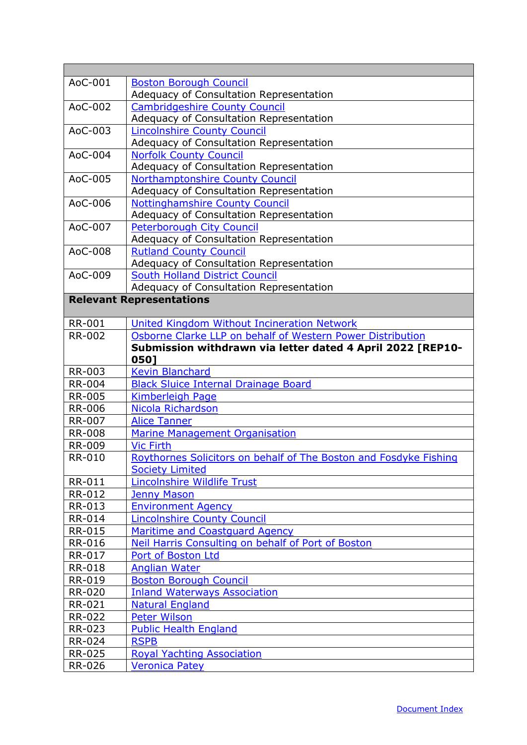<span id="page-13-0"></span>

| AoC-001<br><b>Boston Borough Council</b><br>Adequacy of Consultation Representation<br><b>Cambridgeshire County Council</b><br>AoC-002<br>Adequacy of Consultation Representation<br>AoC-003<br><b>Lincolnshire County Council</b><br>Adequacy of Consultation Representation<br>AoC-004<br><b>Norfolk County Council</b><br>Adequacy of Consultation Representation<br>Northamptonshire County Council<br>AoC-005<br>Adequacy of Consultation Representation<br><b>Nottinghamshire County Council</b><br>AoC-006<br>Adequacy of Consultation Representation<br>AoC-007<br><b>Peterborough City Council</b><br>Adequacy of Consultation Representation |         |                               |
|--------------------------------------------------------------------------------------------------------------------------------------------------------------------------------------------------------------------------------------------------------------------------------------------------------------------------------------------------------------------------------------------------------------------------------------------------------------------------------------------------------------------------------------------------------------------------------------------------------------------------------------------------------|---------|-------------------------------|
|                                                                                                                                                                                                                                                                                                                                                                                                                                                                                                                                                                                                                                                        |         |                               |
|                                                                                                                                                                                                                                                                                                                                                                                                                                                                                                                                                                                                                                                        |         |                               |
|                                                                                                                                                                                                                                                                                                                                                                                                                                                                                                                                                                                                                                                        |         |                               |
|                                                                                                                                                                                                                                                                                                                                                                                                                                                                                                                                                                                                                                                        |         |                               |
|                                                                                                                                                                                                                                                                                                                                                                                                                                                                                                                                                                                                                                                        |         |                               |
|                                                                                                                                                                                                                                                                                                                                                                                                                                                                                                                                                                                                                                                        |         |                               |
|                                                                                                                                                                                                                                                                                                                                                                                                                                                                                                                                                                                                                                                        |         |                               |
|                                                                                                                                                                                                                                                                                                                                                                                                                                                                                                                                                                                                                                                        |         |                               |
|                                                                                                                                                                                                                                                                                                                                                                                                                                                                                                                                                                                                                                                        |         |                               |
|                                                                                                                                                                                                                                                                                                                                                                                                                                                                                                                                                                                                                                                        |         |                               |
|                                                                                                                                                                                                                                                                                                                                                                                                                                                                                                                                                                                                                                                        |         |                               |
|                                                                                                                                                                                                                                                                                                                                                                                                                                                                                                                                                                                                                                                        |         |                               |
|                                                                                                                                                                                                                                                                                                                                                                                                                                                                                                                                                                                                                                                        |         |                               |
|                                                                                                                                                                                                                                                                                                                                                                                                                                                                                                                                                                                                                                                        |         |                               |
|                                                                                                                                                                                                                                                                                                                                                                                                                                                                                                                                                                                                                                                        | AoC-008 | <b>Rutland County Council</b> |
| Adequacy of Consultation Representation                                                                                                                                                                                                                                                                                                                                                                                                                                                                                                                                                                                                                |         |                               |
| <b>South Holland District Council</b><br>AoC-009                                                                                                                                                                                                                                                                                                                                                                                                                                                                                                                                                                                                       |         |                               |
| Adequacy of Consultation Representation                                                                                                                                                                                                                                                                                                                                                                                                                                                                                                                                                                                                                |         |                               |
| <b>Relevant Representations</b>                                                                                                                                                                                                                                                                                                                                                                                                                                                                                                                                                                                                                        |         |                               |
|                                                                                                                                                                                                                                                                                                                                                                                                                                                                                                                                                                                                                                                        |         |                               |
| <b>RR-001</b><br>United Kingdom Without Incineration Network                                                                                                                                                                                                                                                                                                                                                                                                                                                                                                                                                                                           |         |                               |
| <b>RR-002</b><br>Osborne Clarke LLP on behalf of Western Power Distribution                                                                                                                                                                                                                                                                                                                                                                                                                                                                                                                                                                            |         |                               |
| Submission withdrawn via letter dated 4 April 2022 [REP10-                                                                                                                                                                                                                                                                                                                                                                                                                                                                                                                                                                                             |         |                               |
| 0501                                                                                                                                                                                                                                                                                                                                                                                                                                                                                                                                                                                                                                                   |         |                               |
| <b>RR-003</b><br><b>Kevin Blanchard</b>                                                                                                                                                                                                                                                                                                                                                                                                                                                                                                                                                                                                                |         |                               |
| <b>RR-004</b><br><b>Black Sluice Internal Drainage Board</b>                                                                                                                                                                                                                                                                                                                                                                                                                                                                                                                                                                                           |         |                               |
| <b>RR-005</b><br><b>Kimberleigh Page</b>                                                                                                                                                                                                                                                                                                                                                                                                                                                                                                                                                                                                               |         |                               |
| <b>RR-006</b><br>Nicola Richardson                                                                                                                                                                                                                                                                                                                                                                                                                                                                                                                                                                                                                     |         |                               |
| <b>RR-007</b><br><b>Alice Tanner</b>                                                                                                                                                                                                                                                                                                                                                                                                                                                                                                                                                                                                                   |         |                               |
| <b>RR-008</b><br>Marine Management Organisation                                                                                                                                                                                                                                                                                                                                                                                                                                                                                                                                                                                                        |         |                               |
| <b>RR-009</b><br><b>Vic Firth</b>                                                                                                                                                                                                                                                                                                                                                                                                                                                                                                                                                                                                                      |         |                               |
| Roythornes Solicitors on behalf of The Boston and Fosdyke Fishing<br><b>RR-010</b>                                                                                                                                                                                                                                                                                                                                                                                                                                                                                                                                                                     |         |                               |
| <b>Society Limited</b>                                                                                                                                                                                                                                                                                                                                                                                                                                                                                                                                                                                                                                 |         |                               |
| <b>RR-011</b><br>Lincolnshire Wildlife Trust                                                                                                                                                                                                                                                                                                                                                                                                                                                                                                                                                                                                           |         |                               |
| RR-012<br><b>Jenny Mason</b>                                                                                                                                                                                                                                                                                                                                                                                                                                                                                                                                                                                                                           |         |                               |
| <b>Environment Agency</b><br>RR-013                                                                                                                                                                                                                                                                                                                                                                                                                                                                                                                                                                                                                    |         |                               |
| <b>RR-014</b><br><b>Lincolnshire County Council</b>                                                                                                                                                                                                                                                                                                                                                                                                                                                                                                                                                                                                    |         |                               |
| <b>RR-015</b><br><b>Maritime and Coastguard Agency</b>                                                                                                                                                                                                                                                                                                                                                                                                                                                                                                                                                                                                 |         |                               |
| <b>RR-016</b><br>Neil Harris Consulting on behalf of Port of Boston                                                                                                                                                                                                                                                                                                                                                                                                                                                                                                                                                                                    |         |                               |
| RR-017<br>Port of Boston Ltd                                                                                                                                                                                                                                                                                                                                                                                                                                                                                                                                                                                                                           |         |                               |
| <b>RR-018</b><br><b>Anglian Water</b>                                                                                                                                                                                                                                                                                                                                                                                                                                                                                                                                                                                                                  |         |                               |
| RR-019<br><b>Boston Borough Council</b>                                                                                                                                                                                                                                                                                                                                                                                                                                                                                                                                                                                                                |         |                               |
| <b>RR-020</b><br><b>Inland Waterways Association</b>                                                                                                                                                                                                                                                                                                                                                                                                                                                                                                                                                                                                   |         |                               |
| <b>RR-021</b><br><b>Natural England</b>                                                                                                                                                                                                                                                                                                                                                                                                                                                                                                                                                                                                                |         |                               |
| <b>RR-022</b><br><b>Peter Wilson</b>                                                                                                                                                                                                                                                                                                                                                                                                                                                                                                                                                                                                                   |         |                               |
| <b>RR-023</b><br><b>Public Health England</b>                                                                                                                                                                                                                                                                                                                                                                                                                                                                                                                                                                                                          |         |                               |
| <b>RR-024</b><br><b>RSPB</b>                                                                                                                                                                                                                                                                                                                                                                                                                                                                                                                                                                                                                           |         |                               |
| <b>RR-025</b><br><b>Royal Yachting Association</b>                                                                                                                                                                                                                                                                                                                                                                                                                                                                                                                                                                                                     |         |                               |
| <b>RR-026</b><br><b>Veronica Patey</b>                                                                                                                                                                                                                                                                                                                                                                                                                                                                                                                                                                                                                 |         |                               |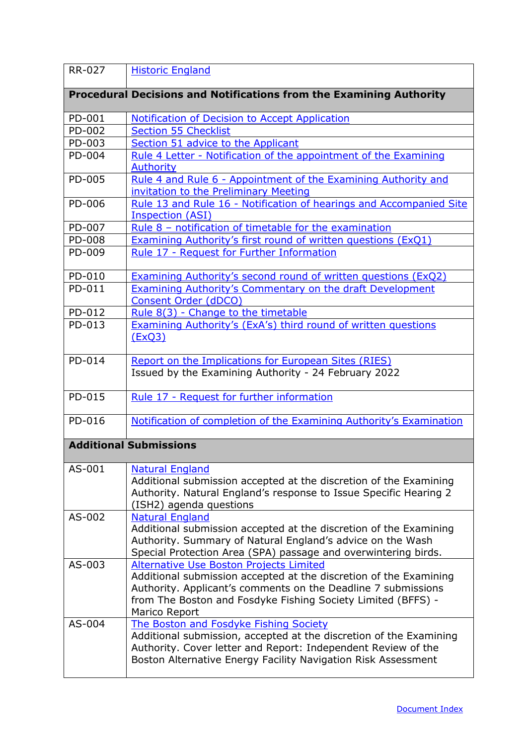<span id="page-14-1"></span><span id="page-14-0"></span>

| <b>RR-027</b> | <b>Historic England</b>                                                                                                                                                                                                                                        |
|---------------|----------------------------------------------------------------------------------------------------------------------------------------------------------------------------------------------------------------------------------------------------------------|
|               | <b>Procedural Decisions and Notifications from the Examining Authority</b>                                                                                                                                                                                     |
| PD-001        | Notification of Decision to Accept Application                                                                                                                                                                                                                 |
| PD-002        | <b>Section 55 Checklist</b>                                                                                                                                                                                                                                    |
| PD-003        | Section 51 advice to the Applicant                                                                                                                                                                                                                             |
| PD-004        | Rule 4 Letter - Notification of the appointment of the Examining                                                                                                                                                                                               |
|               | <b>Authority</b>                                                                                                                                                                                                                                               |
| PD-005        | Rule 4 and Rule 6 - Appointment of the Examining Authority and<br>invitation to the Preliminary Meeting                                                                                                                                                        |
| PD-006        | Rule 13 and Rule 16 - Notification of hearings and Accompanied Site<br><b>Inspection (ASI)</b>                                                                                                                                                                 |
| PD-007        | Rule 8 - notification of timetable for the examination                                                                                                                                                                                                         |
| PD-008        | <b>Examining Authority's first round of written questions (ExQ1)</b>                                                                                                                                                                                           |
| PD-009        | Rule 17 - Request for Further Information                                                                                                                                                                                                                      |
| PD-010        | <b>Examining Authority's second round of written questions (ExQ2)</b>                                                                                                                                                                                          |
| PD-011        | <b>Examining Authority's Commentary on the draft Development</b><br><b>Consent Order (dDCO)</b>                                                                                                                                                                |
| PD-012        | Rule 8(3) - Change to the timetable                                                                                                                                                                                                                            |
| PD-013        | <b>Examining Authority's (ExA's) third round of written questions</b>                                                                                                                                                                                          |
|               | <u>(ExQ3)</u>                                                                                                                                                                                                                                                  |
| PD-014        | Report on the Implications for European Sites (RIES)<br>Issued by the Examining Authority - 24 February 2022                                                                                                                                                   |
| PD-015        | Rule 17 - Request for further information                                                                                                                                                                                                                      |
| PD-016        | Notification of completion of the Examining Authority's Examination                                                                                                                                                                                            |
|               | <b>Additional Submissions</b>                                                                                                                                                                                                                                  |
| AS-001        | <b>Natural England</b><br>Additional submission accepted at the discretion of the Examining<br>Authority. Natural England's response to Issue Specific Hearing 2<br>(ISH2) agenda questions                                                                    |
| AS-002        | <b>Natural England</b><br>Additional submission accepted at the discretion of the Examining<br>Authority. Summary of Natural England's advice on the Wash<br>Special Protection Area (SPA) passage and overwintering birds.                                    |
| AS-003        | Alternative Use Boston Projects Limited<br>Additional submission accepted at the discretion of the Examining<br>Authority. Applicant's comments on the Deadline 7 submissions<br>from The Boston and Fosdyke Fishing Society Limited (BFFS) -<br>Marico Report |
| AS-004        | The Boston and Fosdyke Fishing Society<br>Additional submission, accepted at the discretion of the Examining<br>Authority. Cover letter and Report: Independent Review of the<br>Boston Alternative Energy Facility Navigation Risk Assessment                 |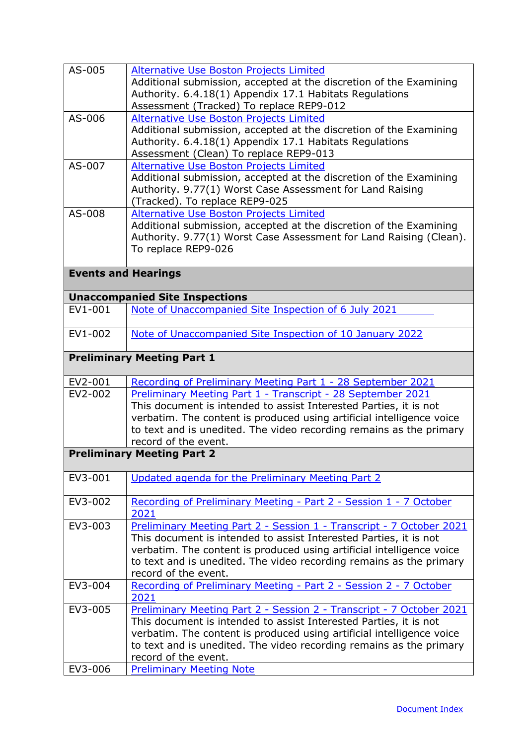<span id="page-15-0"></span>

| AS-005  | <b>Alternative Use Boston Projects Limited</b><br>Additional submission, accepted at the discretion of the Examining<br>Authority. 6.4.18(1) Appendix 17.1 Habitats Regulations                                                                                                                                   |
|---------|-------------------------------------------------------------------------------------------------------------------------------------------------------------------------------------------------------------------------------------------------------------------------------------------------------------------|
|         | Assessment (Tracked) To replace REP9-012                                                                                                                                                                                                                                                                          |
| AS-006  | <b>Alternative Use Boston Projects Limited</b><br>Additional submission, accepted at the discretion of the Examining<br>Authority. 6.4.18(1) Appendix 17.1 Habitats Regulations<br>Assessment (Clean) To replace REP9-013                                                                                         |
| AS-007  | Alternative Use Boston Projects Limited<br>Additional submission, accepted at the discretion of the Examining<br>Authority. 9.77(1) Worst Case Assessment for Land Raising<br>(Tracked). To replace REP9-025                                                                                                      |
| AS-008  | Alternative Use Boston Projects Limited<br>Additional submission, accepted at the discretion of the Examining<br>Authority. 9.77(1) Worst Case Assessment for Land Raising (Clean).<br>To replace REP9-026                                                                                                        |
|         | <b>Events and Hearings</b>                                                                                                                                                                                                                                                                                        |
|         | <b>Unaccompanied Site Inspections</b>                                                                                                                                                                                                                                                                             |
| EV1-001 | Note of Unaccompanied Site Inspection of 6 July 2021                                                                                                                                                                                                                                                              |
| EV1-002 | Note of Unaccompanied Site Inspection of 10 January 2022                                                                                                                                                                                                                                                          |
|         | <b>Preliminary Meeting Part 1</b>                                                                                                                                                                                                                                                                                 |
| EV2-001 | Recording of Preliminary Meeting Part 1 - 28 September 2021                                                                                                                                                                                                                                                       |
| EV2-002 | Preliminary Meeting Part 1 - Transcript - 28 September 2021<br>This document is intended to assist Interested Parties, it is not<br>verbatim. The content is produced using artificial intelligence voice<br>to text and is unedited. The video recording remains as the primary<br>record of the event.          |
|         | <b>Preliminary Meeting Part 2</b>                                                                                                                                                                                                                                                                                 |
| EV3-001 | Updated agenda for the Preliminary Meeting Part 2                                                                                                                                                                                                                                                                 |
| EV3-002 | Recording of Preliminary Meeting - Part 2 - Session 1 - 7 October<br>2021                                                                                                                                                                                                                                         |
| EV3-003 | Preliminary Meeting Part 2 - Session 1 - Transcript - 7 October 2021<br>This document is intended to assist Interested Parties, it is not<br>verbatim. The content is produced using artificial intelligence voice<br>to text and is unedited. The video recording remains as the primary<br>record of the event. |
| EV3-004 | Recording of Preliminary Meeting - Part 2 - Session 2 - 7 October<br>2021                                                                                                                                                                                                                                         |
| EV3-005 | Preliminary Meeting Part 2 - Session 2 - Transcript - 7 October 2021<br>This document is intended to assist Interested Parties, it is not<br>verbatim. The content is produced using artificial intelligence voice<br>to text and is unedited. The video recording remains as the primary<br>record of the event. |
| EV3-006 | <b>Preliminary Meeting Note</b>                                                                                                                                                                                                                                                                                   |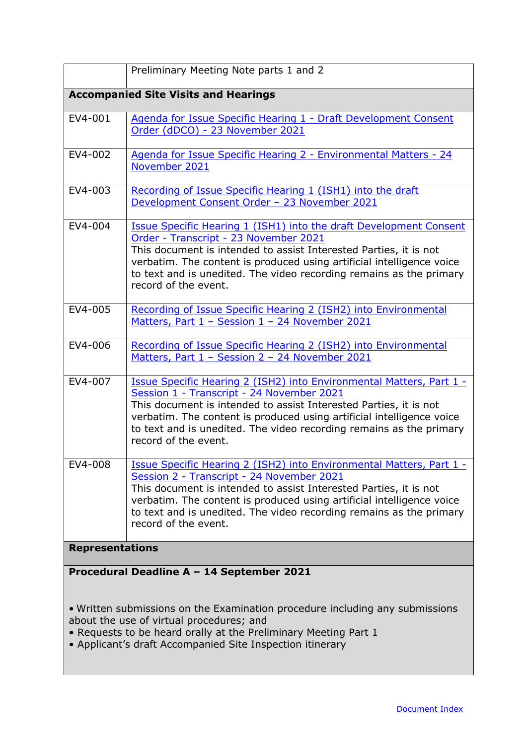|                                             | Preliminary Meeting Note parts 1 and 2                                                                                                                                                                                                                                                                                                                                |
|---------------------------------------------|-----------------------------------------------------------------------------------------------------------------------------------------------------------------------------------------------------------------------------------------------------------------------------------------------------------------------------------------------------------------------|
| <b>Accompanied Site Visits and Hearings</b> |                                                                                                                                                                                                                                                                                                                                                                       |
| EV4-001                                     | Agenda for Issue Specific Hearing 1 - Draft Development Consent<br>Order (dDCO) - 23 November 2021                                                                                                                                                                                                                                                                    |
| EV4-002                                     | Agenda for Issue Specific Hearing 2 - Environmental Matters - 24<br>November 2021                                                                                                                                                                                                                                                                                     |
| EV4-003                                     | Recording of Issue Specific Hearing 1 (ISH1) into the draft<br>Development Consent Order - 23 November 2021                                                                                                                                                                                                                                                           |
| EV4-004                                     | <b>Issue Specific Hearing 1 (ISH1) into the draft Development Consent</b><br>Order - Transcript - 23 November 2021<br>This document is intended to assist Interested Parties, it is not<br>verbatim. The content is produced using artificial intelligence voice<br>to text and is unedited. The video recording remains as the primary<br>record of the event.       |
| EV4-005                                     | Recording of Issue Specific Hearing 2 (ISH2) into Environmental<br>Matters, Part 1 - Session 1 - 24 November 2021                                                                                                                                                                                                                                                     |
| EV4-006                                     | Recording of Issue Specific Hearing 2 (ISH2) into Environmental<br>Matters, Part 1 - Session 2 - 24 November 2021                                                                                                                                                                                                                                                     |
| EV4-007                                     | <b>Issue Specific Hearing 2 (ISH2) into Environmental Matters, Part 1 -</b><br>Session 1 - Transcript - 24 November 2021<br>This document is intended to assist Interested Parties, it is not<br>verbatim. The content is produced using artificial intelligence voice<br>to text and is unedited. The video recording remains as the primary<br>record of the event. |
| EV4-008                                     | <b>Issue Specific Hearing 2 (ISH2) into Environmental Matters, Part 1 -</b><br>Session 2 - Transcript - 24 November 2021<br>This document is intended to assist Interested Parties, it is not<br>verbatim. The content is produced using artificial intelligence voice<br>to text and is unedited. The video recording remains as the primary<br>record of the event. |
| <b>Representations</b>                      |                                                                                                                                                                                                                                                                                                                                                                       |
| Procedural Deadline A - 14 September 2021   |                                                                                                                                                                                                                                                                                                                                                                       |

<span id="page-16-1"></span><span id="page-16-0"></span>• Written submissions on the Examination procedure including any submissions about the use of virtual procedures; and

- Requests to be heard orally at the Preliminary Meeting Part 1
- Applicant's draft Accompanied Site Inspection itinerary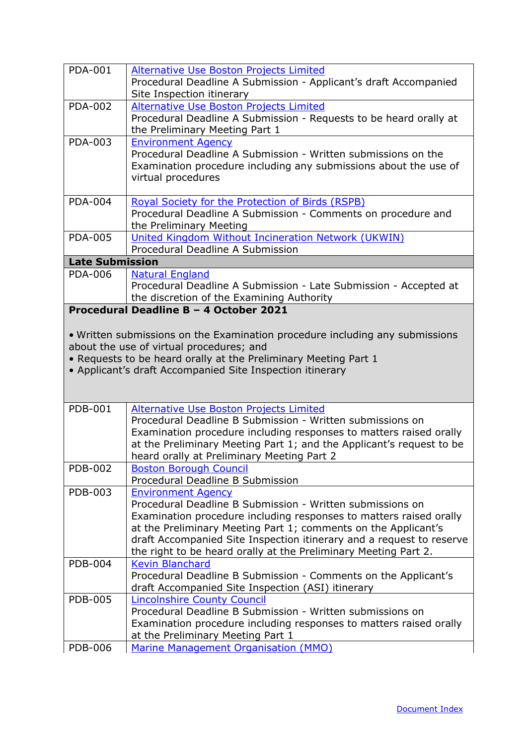<span id="page-17-0"></span>

| <b>PDA-001</b>         |                                                                              |
|------------------------|------------------------------------------------------------------------------|
|                        | <b>Alternative Use Boston Projects Limited</b>                               |
|                        | Procedural Deadline A Submission - Applicant's draft Accompanied             |
|                        | Site Inspection itinerary                                                    |
| <b>PDA-002</b>         | Alternative Use Boston Projects Limited                                      |
|                        | Procedural Deadline A Submission - Requests to be heard orally at            |
|                        |                                                                              |
|                        | the Preliminary Meeting Part 1                                               |
| PDA-003                | <b>Environment Agency</b>                                                    |
|                        | Procedural Deadline A Submission - Written submissions on the                |
|                        | Examination procedure including any submissions about the use of             |
|                        | virtual procedures                                                           |
|                        |                                                                              |
| <b>PDA-004</b>         |                                                                              |
|                        | <b>Royal Society for the Protection of Birds (RSPB)</b>                      |
|                        | Procedural Deadline A Submission - Comments on procedure and                 |
|                        | the Preliminary Meeting                                                      |
| <b>PDA-005</b>         | United Kingdom Without Incineration Network (UKWIN)                          |
|                        | Procedural Deadline A Submission                                             |
| <b>Late Submission</b> |                                                                              |
| <b>PDA-006</b>         |                                                                              |
|                        | <b>Natural England</b>                                                       |
|                        | Procedural Deadline A Submission - Late Submission - Accepted at             |
|                        | the discretion of the Examining Authority                                    |
|                        | Procedural Deadline B - 4 October 2021                                       |
|                        |                                                                              |
|                        | • Written submissions on the Examination procedure including any submissions |
|                        |                                                                              |
|                        | about the use of virtual procedures; and                                     |
|                        |                                                                              |
|                        | . Requests to be heard orally at the Preliminary Meeting Part 1              |
|                        | • Applicant's draft Accompanied Site Inspection itinerary                    |
|                        |                                                                              |
|                        |                                                                              |
|                        |                                                                              |
| <b>PDB-001</b>         | <b>Alternative Use Boston Projects Limited</b>                               |
|                        | Procedural Deadline B Submission - Written submissions on                    |
|                        | Examination procedure including responses to matters raised orally           |
|                        | at the Preliminary Meeting Part 1; and the Applicant's request to be         |
|                        |                                                                              |
|                        | heard orally at Preliminary Meeting Part 2                                   |
| <b>PDB-002</b>         | <b>Boston Borough Council</b>                                                |
|                        | Procedural Deadline B Submission                                             |
| PDB-003                | <b>Environment Agency</b>                                                    |
|                        | Procedural Deadline B Submission - Written submissions on                    |
|                        | Examination procedure including responses to matters raised orally           |
|                        | at the Preliminary Meeting Part 1; comments on the Applicant's               |
|                        |                                                                              |
|                        | draft Accompanied Site Inspection itinerary and a request to reserve         |
|                        | the right to be heard orally at the Preliminary Meeting Part 2.              |
| <b>PDB-004</b>         | <b>Kevin Blanchard</b>                                                       |
|                        | Procedural Deadline B Submission - Comments on the Applicant's               |
|                        | draft Accompanied Site Inspection (ASI) itinerary                            |
| <b>PDB-005</b>         | Lincolnshire County Council                                                  |
|                        | Procedural Deadline B Submission - Written submissions on                    |
|                        |                                                                              |
|                        | Examination procedure including responses to matters raised orally           |
| <b>PDB-006</b>         | at the Preliminary Meeting Part 1<br>Marine Management Organisation (MMO)    |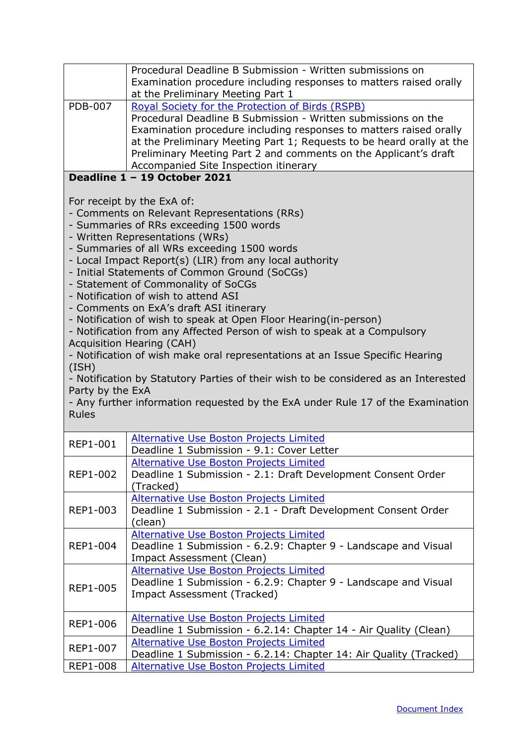<span id="page-18-0"></span>

|                                           | Procedural Deadline B Submission - Written submissions on<br>Examination procedure including responses to matters raised orally<br>at the Preliminary Meeting Part 1                                                                                                                                                                                                                                                                                                                                                                                                                                                                                                                                                                                                                                                                                                                         |
|-------------------------------------------|----------------------------------------------------------------------------------------------------------------------------------------------------------------------------------------------------------------------------------------------------------------------------------------------------------------------------------------------------------------------------------------------------------------------------------------------------------------------------------------------------------------------------------------------------------------------------------------------------------------------------------------------------------------------------------------------------------------------------------------------------------------------------------------------------------------------------------------------------------------------------------------------|
| <b>PDB-007</b>                            | Royal Society for the Protection of Birds (RSPB)<br>Procedural Deadline B Submission - Written submissions on the<br>Examination procedure including responses to matters raised orally<br>at the Preliminary Meeting Part 1; Requests to be heard orally at the<br>Preliminary Meeting Part 2 and comments on the Applicant's draft<br>Accompanied Site Inspection itinerary                                                                                                                                                                                                                                                                                                                                                                                                                                                                                                                |
|                                           | Deadline 1 - 19 October 2021                                                                                                                                                                                                                                                                                                                                                                                                                                                                                                                                                                                                                                                                                                                                                                                                                                                                 |
| (ISH)<br>Party by the ExA<br><b>Rules</b> | For receipt by the ExA of:<br>- Comments on Relevant Representations (RRs)<br>- Summaries of RRs exceeding 1500 words<br>- Written Representations (WRs)<br>- Summaries of all WRs exceeding 1500 words<br>- Local Impact Report(s) (LIR) from any local authority<br>- Initial Statements of Common Ground (SoCGs)<br>- Statement of Commonality of SoCGs<br>- Notification of wish to attend ASI<br>- Comments on ExA's draft ASI itinerary<br>- Notification of wish to speak at Open Floor Hearing(in-person)<br>- Notification from any Affected Person of wish to speak at a Compulsory<br><b>Acquisition Hearing (CAH)</b><br>- Notification of wish make oral representations at an Issue Specific Hearing<br>- Notification by Statutory Parties of their wish to be considered as an Interested<br>- Any further information requested by the ExA under Rule 17 of the Examination |
| <b>REP1-001</b>                           | Alternative Use Boston Projects Limited<br>Deadline 1 Submission - 9.1: Cover Letter                                                                                                                                                                                                                                                                                                                                                                                                                                                                                                                                                                                                                                                                                                                                                                                                         |
| REP1-002                                  | Alternative Use Boston Projects Limited<br>Deadline 1 Submission - 2.1: Draft Development Consent Order<br>(Tracked)                                                                                                                                                                                                                                                                                                                                                                                                                                                                                                                                                                                                                                                                                                                                                                         |
| REP1-003                                  | <b>Alternative Use Boston Projects Limited</b><br>Deadline 1 Submission - 2.1 - Draft Development Consent Order<br>(clean)                                                                                                                                                                                                                                                                                                                                                                                                                                                                                                                                                                                                                                                                                                                                                                   |
| <b>REP1-004</b>                           | <b>Alternative Use Boston Projects Limited</b><br>Deadline 1 Submission - 6.2.9: Chapter 9 - Landscape and Visual<br><b>Impact Assessment (Clean)</b>                                                                                                                                                                                                                                                                                                                                                                                                                                                                                                                                                                                                                                                                                                                                        |
| <b>REP1-005</b>                           | <b>Alternative Use Boston Projects Limited</b><br>Deadline 1 Submission - 6.2.9: Chapter 9 - Landscape and Visual<br><b>Impact Assessment (Tracked)</b>                                                                                                                                                                                                                                                                                                                                                                                                                                                                                                                                                                                                                                                                                                                                      |
| REP1-006                                  | <b>Alternative Use Boston Projects Limited</b><br>Deadline 1 Submission - 6.2.14: Chapter 14 - Air Quality (Clean)                                                                                                                                                                                                                                                                                                                                                                                                                                                                                                                                                                                                                                                                                                                                                                           |
| REP1-007                                  | <b>Alternative Use Boston Projects Limited</b><br>Deadline 1 Submission - 6.2.14: Chapter 14: Air Quality (Tracked)                                                                                                                                                                                                                                                                                                                                                                                                                                                                                                                                                                                                                                                                                                                                                                          |
| <b>REP1-008</b>                           | Alternative Use Boston Projects Limited                                                                                                                                                                                                                                                                                                                                                                                                                                                                                                                                                                                                                                                                                                                                                                                                                                                      |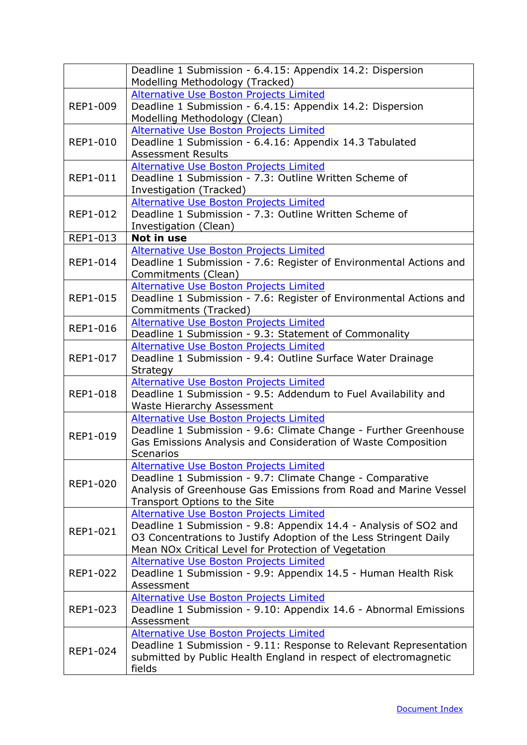|                 | Deadline 1 Submission - 6.4.15: Appendix 14.2: Dispersion<br>Modelling Methodology (Tracked)                                                                                                                                             |
|-----------------|------------------------------------------------------------------------------------------------------------------------------------------------------------------------------------------------------------------------------------------|
| REP1-009        | Alternative Use Boston Projects Limited<br>Deadline 1 Submission - 6.4.15: Appendix 14.2: Dispersion<br>Modelling Methodology (Clean)                                                                                                    |
| REP1-010        | <b>Alternative Use Boston Projects Limited</b><br>Deadline 1 Submission - 6.4.16: Appendix 14.3 Tabulated<br><b>Assessment Results</b>                                                                                                   |
| <b>REP1-011</b> | Alternative Use Boston Projects Limited<br>Deadline 1 Submission - 7.3: Outline Written Scheme of<br>Investigation (Tracked)                                                                                                             |
| REP1-012        | <b>Alternative Use Boston Projects Limited</b><br>Deadline 1 Submission - 7.3: Outline Written Scheme of<br>Investigation (Clean)                                                                                                        |
| REP1-013        | Not in use                                                                                                                                                                                                                               |
| REP1-014        | <b>Alternative Use Boston Projects Limited</b><br>Deadline 1 Submission - 7.6: Register of Environmental Actions and<br>Commitments (Clean)                                                                                              |
| REP1-015        | Alternative Use Boston Projects Limited<br>Deadline 1 Submission - 7.6: Register of Environmental Actions and<br>Commitments (Tracked)                                                                                                   |
| <b>REP1-016</b> | Alternative Use Boston Projects Limited<br>Deadline 1 Submission - 9.3: Statement of Commonality                                                                                                                                         |
| <b>REP1-017</b> | <b>Alternative Use Boston Projects Limited</b><br>Deadline 1 Submission - 9.4: Outline Surface Water Drainage<br>Strategy                                                                                                                |
| <b>REP1-018</b> | Alternative Use Boston Projects Limited<br>Deadline 1 Submission - 9.5: Addendum to Fuel Availability and<br>Waste Hierarchy Assessment                                                                                                  |
| REP1-019        | <b>Alternative Use Boston Projects Limited</b><br>Deadline 1 Submission - 9.6: Climate Change - Further Greenhouse<br>Gas Emissions Analysis and Consideration of Waste Composition<br><b>Scenarios</b>                                  |
| <b>REP1-020</b> | <b>Alternative Use Boston Projects Limited</b><br>Deadline 1 Submission - 9.7: Climate Change - Comparative<br>Analysis of Greenhouse Gas Emissions from Road and Marine Vessel<br>Transport Options to the Site                         |
| REP1-021        | Alternative Use Boston Projects Limited<br>Deadline 1 Submission - 9.8: Appendix 14.4 - Analysis of SO2 and<br>O3 Concentrations to Justify Adoption of the Less Stringent Daily<br>Mean NOx Critical Level for Protection of Vegetation |
| REP1-022        | <b>Alternative Use Boston Projects Limited</b><br>Deadline 1 Submission - 9.9: Appendix 14.5 - Human Health Risk<br>Assessment                                                                                                           |
| REP1-023        | <b>Alternative Use Boston Projects Limited</b><br>Deadline 1 Submission - 9.10: Appendix 14.6 - Abnormal Emissions<br>Assessment                                                                                                         |
| REP1-024        | Alternative Use Boston Projects Limited<br>Deadline 1 Submission - 9.11: Response to Relevant Representation<br>submitted by Public Health England in respect of electromagnetic<br>fields                                               |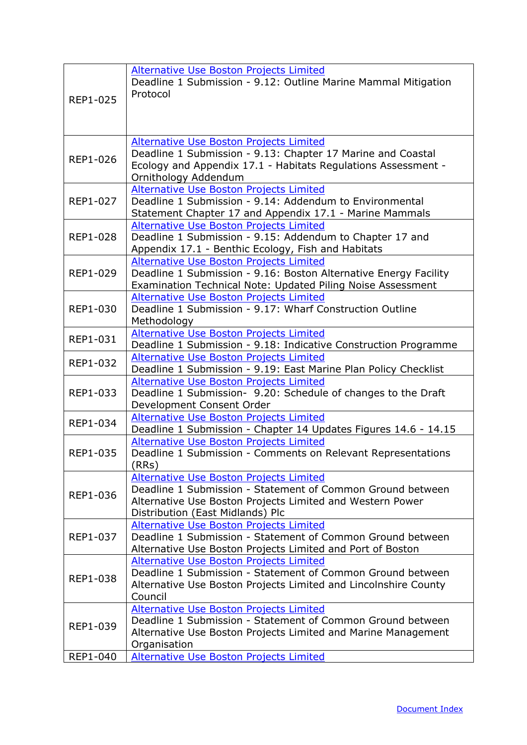| REP1-025        | Alternative Use Boston Projects Limited<br>Deadline 1 Submission - 9.12: Outline Marine Mammal Mitigation<br>Protocol                                                                                  |
|-----------------|--------------------------------------------------------------------------------------------------------------------------------------------------------------------------------------------------------|
| <b>REP1-026</b> | Alternative Use Boston Projects Limited<br>Deadline 1 Submission - 9.13: Chapter 17 Marine and Coastal<br>Ecology and Appendix 17.1 - Habitats Regulations Assessment -<br>Ornithology Addendum        |
| <b>REP1-027</b> | Alternative Use Boston Projects Limited<br>Deadline 1 Submission - 9.14: Addendum to Environmental<br>Statement Chapter 17 and Appendix 17.1 - Marine Mammals                                          |
| REP1-028        | Alternative Use Boston Projects Limited<br>Deadline 1 Submission - 9.15: Addendum to Chapter 17 and<br>Appendix 17.1 - Benthic Ecology, Fish and Habitats                                              |
| REP1-029        | <b>Alternative Use Boston Projects Limited</b><br>Deadline 1 Submission - 9.16: Boston Alternative Energy Facility<br>Examination Technical Note: Updated Piling Noise Assessment                      |
| REP1-030        | Alternative Use Boston Projects Limited<br>Deadline 1 Submission - 9.17: Wharf Construction Outline<br>Methodology                                                                                     |
| REP1-031        | Alternative Use Boston Projects Limited<br>Deadline 1 Submission - 9.18: Indicative Construction Programme                                                                                             |
| REP1-032        | <b>Alternative Use Boston Projects Limited</b><br>Deadline 1 Submission - 9.19: East Marine Plan Policy Checklist                                                                                      |
| REP1-033        | <b>Alternative Use Boston Projects Limited</b><br>Deadline 1 Submission- 9.20: Schedule of changes to the Draft<br>Development Consent Order                                                           |
| REP1-034        | <b>Alternative Use Boston Projects Limited</b><br>Deadline 1 Submission - Chapter 14 Updates Figures 14.6 - 14.15                                                                                      |
| REP1-035        | Alternative Use Boston Projects Limited<br>Deadline 1 Submission - Comments on Relevant Representations<br>(RRs)                                                                                       |
| REP1-036        | Alternative Use Boston Projects Limited<br>Deadline 1 Submission - Statement of Common Ground between<br>Alternative Use Boston Projects Limited and Western Power<br>Distribution (East Midlands) Plc |
| REP1-037        | Alternative Use Boston Projects Limited<br>Deadline 1 Submission - Statement of Common Ground between<br>Alternative Use Boston Projects Limited and Port of Boston                                    |
| REP1-038        | Alternative Use Boston Projects Limited<br>Deadline 1 Submission - Statement of Common Ground between<br>Alternative Use Boston Projects Limited and Lincolnshire County<br>Council                    |
| REP1-039        | Alternative Use Boston Projects Limited<br>Deadline 1 Submission - Statement of Common Ground between<br>Alternative Use Boston Projects Limited and Marine Management<br>Organisation                 |
| REP1-040        | <b>Alternative Use Boston Projects Limited</b>                                                                                                                                                         |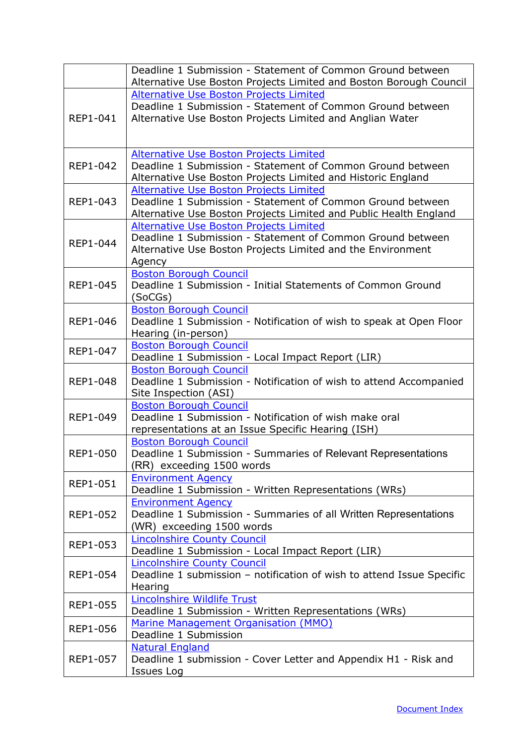|                 | Deadline 1 Submission - Statement of Common Ground between<br>Alternative Use Boston Projects Limited and Boston Borough Council |
|-----------------|----------------------------------------------------------------------------------------------------------------------------------|
|                 | Alternative Use Boston Projects Limited                                                                                          |
|                 | Deadline 1 Submission - Statement of Common Ground between                                                                       |
| REP1-041        | Alternative Use Boston Projects Limited and Anglian Water                                                                        |
|                 |                                                                                                                                  |
|                 |                                                                                                                                  |
|                 | Alternative Use Boston Projects Limited                                                                                          |
| REP1-042        | Deadline 1 Submission - Statement of Common Ground between                                                                       |
|                 | Alternative Use Boston Projects Limited and Historic England                                                                     |
|                 | <b>Alternative Use Boston Projects Limited</b>                                                                                   |
| REP1-043        | Deadline 1 Submission - Statement of Common Ground between                                                                       |
|                 | Alternative Use Boston Projects Limited and Public Health England                                                                |
|                 | <b>Alternative Use Boston Projects Limited</b>                                                                                   |
| REP1-044        | Deadline 1 Submission - Statement of Common Ground between                                                                       |
|                 | Alternative Use Boston Projects Limited and the Environment<br>Agency                                                            |
|                 | <b>Boston Borough Council</b>                                                                                                    |
| <b>REP1-045</b> | Deadline 1 Submission - Initial Statements of Common Ground                                                                      |
|                 | (SoCGs)                                                                                                                          |
|                 | <b>Boston Borough Council</b>                                                                                                    |
| REP1-046        | Deadline 1 Submission - Notification of wish to speak at Open Floor                                                              |
|                 | Hearing (in-person)                                                                                                              |
| REP1-047        | <b>Boston Borough Council</b>                                                                                                    |
|                 | Deadline 1 Submission - Local Impact Report (LIR)                                                                                |
|                 | <b>Boston Borough Council</b>                                                                                                    |
| <b>REP1-048</b> | Deadline 1 Submission - Notification of wish to attend Accompanied                                                               |
|                 | Site Inspection (ASI)<br><b>Boston Borough Council</b>                                                                           |
| REP1-049        | Deadline 1 Submission - Notification of wish make oral                                                                           |
|                 | representations at an Issue Specific Hearing (ISH)                                                                               |
|                 | <b>Boston Borough Council</b>                                                                                                    |
| <b>REP1-050</b> | Deadline 1 Submission - Summaries of Relevant Representations                                                                    |
|                 | (RR) exceeding 1500 words                                                                                                        |
| <b>REP1-051</b> | <b>Environment Agency</b>                                                                                                        |
|                 | Deadline 1 Submission - Written Representations (WRs)                                                                            |
|                 | <b>Environment Agency</b>                                                                                                        |
| REP1-052        | Deadline 1 Submission - Summaries of all Written Representations                                                                 |
|                 | (WR) exceeding 1500 words                                                                                                        |
| REP1-053        | <b>Lincolnshire County Council</b>                                                                                               |
|                 | Deadline 1 Submission - Local Impact Report (LIR)                                                                                |
|                 | <b>Lincolnshire County Council</b><br>Deadline 1 submission - notification of wish to attend Issue Specific                      |
| REP1-054        | Hearing                                                                                                                          |
|                 | <b>Lincolnshire Wildlife Trust</b>                                                                                               |
| REP1-055        | Deadline 1 Submission - Written Representations (WRs)                                                                            |
|                 | Marine Management Organisation (MMO)                                                                                             |
| <b>REP1-056</b> | Deadline 1 Submission                                                                                                            |
|                 | <b>Natural England</b>                                                                                                           |
| REP1-057        | Deadline 1 submission - Cover Letter and Appendix H1 - Risk and                                                                  |
|                 | <b>Issues Log</b>                                                                                                                |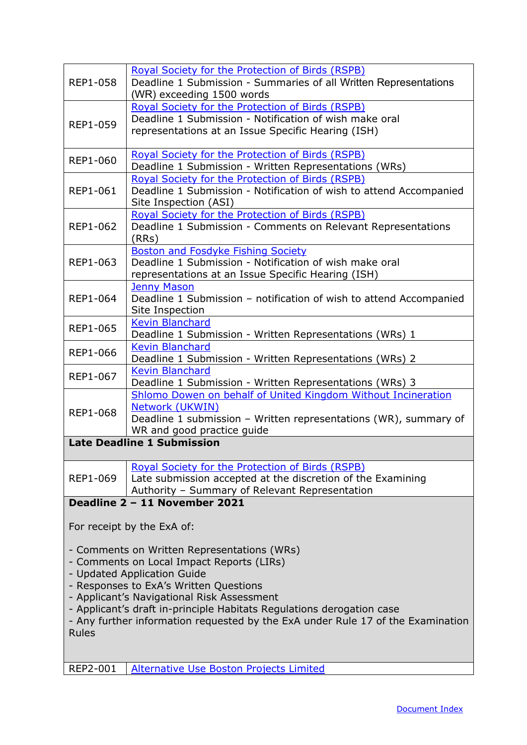<span id="page-22-0"></span>

| <b>REP1-058</b>                        | <b>Royal Society for the Protection of Birds (RSPB)</b><br>Deadline 1 Submission - Summaries of all Written Representations |  |
|----------------------------------------|-----------------------------------------------------------------------------------------------------------------------------|--|
|                                        | (WR) exceeding 1500 words                                                                                                   |  |
|                                        | Royal Society for the Protection of Birds (RSPB)<br>Deadline 1 Submission - Notification of wish make oral                  |  |
| <b>REP1-059</b>                        | representations at an Issue Specific Hearing (ISH)                                                                          |  |
|                                        |                                                                                                                             |  |
|                                        | Royal Society for the Protection of Birds (RSPB)                                                                            |  |
| <b>REP1-060</b>                        | Deadline 1 Submission - Written Representations (WRs)                                                                       |  |
|                                        | Royal Society for the Protection of Birds (RSPB)                                                                            |  |
| <b>REP1-061</b>                        | Deadline 1 Submission - Notification of wish to attend Accompanied                                                          |  |
|                                        | Site Inspection (ASI)                                                                                                       |  |
|                                        | Royal Society for the Protection of Birds (RSPB)                                                                            |  |
| REP1-062                               | Deadline 1 Submission - Comments on Relevant Representations<br>(RRs)                                                       |  |
|                                        | <b>Boston and Fosdyke Fishing Society</b>                                                                                   |  |
| REP1-063                               | Deadline 1 Submission - Notification of wish make oral                                                                      |  |
|                                        | representations at an Issue Specific Hearing (ISH)                                                                          |  |
| <b>REP1-064</b>                        | <b>Jenny Mason</b><br>Deadline 1 Submission - notification of wish to attend Accompanied                                    |  |
|                                        | Site Inspection                                                                                                             |  |
|                                        | <b>Kevin Blanchard</b>                                                                                                      |  |
| <b>REP1-065</b>                        | Deadline 1 Submission - Written Representations (WRs) 1                                                                     |  |
| <b>REP1-066</b>                        | <b>Kevin Blanchard</b>                                                                                                      |  |
|                                        | Deadline 1 Submission - Written Representations (WRs) 2                                                                     |  |
| <b>REP1-067</b>                        | <b>Kevin Blanchard</b><br>Deadline 1 Submission - Written Representations (WRs) 3                                           |  |
|                                        | Shlomo Dowen on behalf of United Kingdom Without Incineration                                                               |  |
| <b>REP1-068</b>                        | Network (UKWIN)                                                                                                             |  |
|                                        | Deadline 1 submission - Written representations (WR), summary of                                                            |  |
|                                        | WR and good practice guide                                                                                                  |  |
| <b>Late Deadline 1 Submission</b>      |                                                                                                                             |  |
|                                        | <b>Royal Society for the Protection of Birds (RSPB)</b>                                                                     |  |
| REP1-069                               | Late submission accepted at the discretion of the Examining                                                                 |  |
|                                        | Authority - Summary of Relevant Representation<br>Deadline 2 - 11 November 2021                                             |  |
|                                        |                                                                                                                             |  |
|                                        | For receipt by the ExA of:                                                                                                  |  |
|                                        | - Comments on Written Representations (WRs)                                                                                 |  |
|                                        | - Comments on Local Impact Reports (LIRs)                                                                                   |  |
|                                        | - Updated Application Guide                                                                                                 |  |
| - Responses to ExA's Written Questions |                                                                                                                             |  |
|                                        | - Applicant's Navigational Risk Assessment                                                                                  |  |
|                                        | - Applicant's draft in-principle Habitats Regulations derogation case                                                       |  |
|                                        | - Any further information requested by the ExA under Rule 17 of the Examination                                             |  |
| <b>Rules</b>                           |                                                                                                                             |  |
|                                        |                                                                                                                             |  |
| REP2-001                               | <b>Alternative Use Boston Projects Limited</b>                                                                              |  |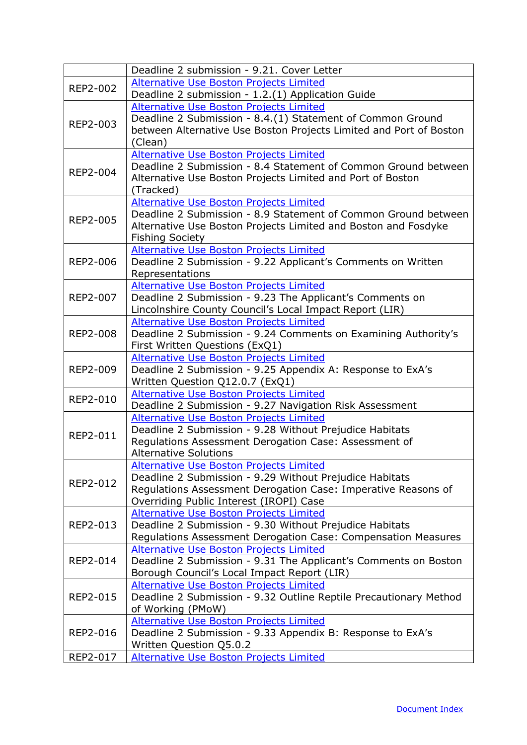|                 | Deadline 2 submission - 9.21. Cover Letter                         |
|-----------------|--------------------------------------------------------------------|
| REP2-002        | Alternative Use Boston Projects Limited                            |
|                 | Deadline 2 submission - 1.2.(1) Application Guide                  |
|                 | <b>Alternative Use Boston Projects Limited</b>                     |
| REP2-003        | Deadline 2 Submission - 8.4.(1) Statement of Common Ground         |
|                 | between Alternative Use Boston Projects Limited and Port of Boston |
|                 | (Clean)                                                            |
|                 | <b>Alternative Use Boston Projects Limited</b>                     |
| REP2-004        | Deadline 2 Submission - 8.4 Statement of Common Ground between     |
|                 | Alternative Use Boston Projects Limited and Port of Boston         |
|                 | (Tracked)                                                          |
| <b>REP2-005</b> | Alternative Use Boston Projects Limited                            |
|                 | Deadline 2 Submission - 8.9 Statement of Common Ground between     |
|                 | Alternative Use Boston Projects Limited and Boston and Fosdyke     |
|                 | <b>Fishing Society</b>                                             |
|                 | Alternative Use Boston Projects Limited                            |
| <b>REP2-006</b> | Deadline 2 Submission - 9.22 Applicant's Comments on Written       |
|                 | Representations                                                    |
|                 | <b>Alternative Use Boston Projects Limited</b>                     |
| <b>REP2-007</b> | Deadline 2 Submission - 9.23 The Applicant's Comments on           |
|                 | Lincolnshire County Council's Local Impact Report (LIR)            |
|                 | Alternative Use Boston Projects Limited                            |
| <b>REP2-008</b> | Deadline 2 Submission - 9.24 Comments on Examining Authority's     |
|                 | First Written Questions (ExQ1)                                     |
|                 | Alternative Use Boston Projects Limited                            |
| REP2-009        | Deadline 2 Submission - 9.25 Appendix A: Response to ExA's         |
|                 | Written Question Q12.0.7 (ExQ1)                                    |
| REP2-010        | <b>Alternative Use Boston Projects Limited</b>                     |
|                 | Deadline 2 Submission - 9.27 Navigation Risk Assessment            |
|                 | Alternative Use Boston Projects Limited                            |
| REP2-011        | Deadline 2 Submission - 9.28 Without Prejudice Habitats            |
|                 | Regulations Assessment Derogation Case: Assessment of              |
|                 | <b>Alternative Solutions</b>                                       |
|                 | <b>Alternative Use Boston Projects Limited</b>                     |
| REP2-012        | Deadline 2 Submission - 9.29 Without Prejudice Habitats            |
|                 | Regulations Assessment Derogation Case: Imperative Reasons of      |
|                 | Overriding Public Interest (IROPI) Case                            |
|                 | Alternative Use Boston Projects Limited                            |
| REP2-013        | Deadline 2 Submission - 9.30 Without Prejudice Habitats            |
|                 | Regulations Assessment Derogation Case: Compensation Measures      |
|                 | <b>Alternative Use Boston Projects Limited</b>                     |
| <b>REP2-014</b> | Deadline 2 Submission - 9.31 The Applicant's Comments on Boston    |
|                 | Borough Council's Local Impact Report (LIR)                        |
|                 | <b>Alternative Use Boston Projects Limited</b>                     |
| REP2-015        | Deadline 2 Submission - 9.32 Outline Reptile Precautionary Method  |
|                 | of Working (PMoW)                                                  |
|                 | <b>Alternative Use Boston Projects Limited</b>                     |
| REP2-016        | Deadline 2 Submission - 9.33 Appendix B: Response to ExA's         |
|                 | Written Question Q5.0.2                                            |
| REP2-017        | <b>Alternative Use Boston Projects Limited</b>                     |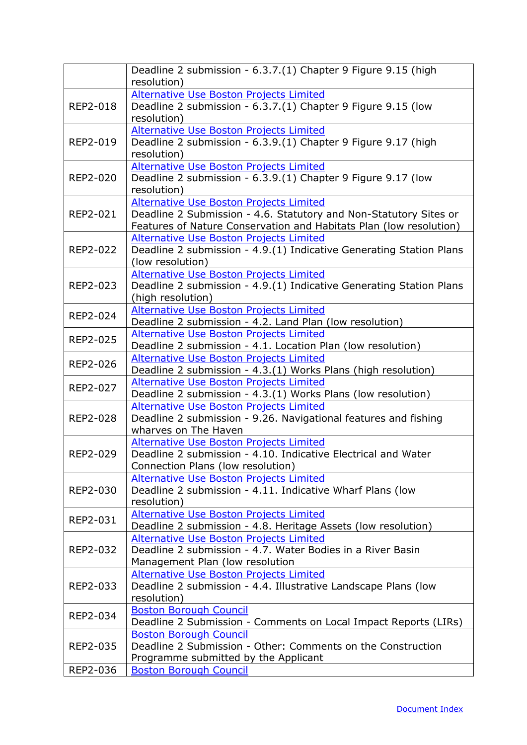|          | Deadline 2 submission - 6.3.7.(1) Chapter 9 Figure 9.15 (high                                                     |
|----------|-------------------------------------------------------------------------------------------------------------------|
|          | resolution)<br>Alternative Use Boston Projects Limited                                                            |
| REP2-018 | Deadline 2 submission - 6.3.7.(1) Chapter 9 Figure 9.15 (low                                                      |
|          | resolution)                                                                                                       |
|          | <b>Alternative Use Boston Projects Limited</b>                                                                    |
| REP2-019 | Deadline 2 submission - 6.3.9.(1) Chapter 9 Figure 9.17 (high                                                     |
|          | resolution)                                                                                                       |
|          | <b>Alternative Use Boston Projects Limited</b>                                                                    |
| REP2-020 | Deadline 2 submission - 6.3.9.(1) Chapter 9 Figure 9.17 (low                                                      |
|          | resolution)                                                                                                       |
|          | <b>Alternative Use Boston Projects Limited</b>                                                                    |
| REP2-021 | Deadline 2 Submission - 4.6. Statutory and Non-Statutory Sites or                                                 |
|          | Features of Nature Conservation and Habitats Plan (low resolution)                                                |
|          | <b>Alternative Use Boston Projects Limited</b>                                                                    |
| REP2-022 | Deadline 2 submission - 4.9.(1) Indicative Generating Station Plans                                               |
|          | (low resolution)                                                                                                  |
|          | <b>Alternative Use Boston Projects Limited</b>                                                                    |
| REP2-023 | Deadline 2 submission - 4.9.(1) Indicative Generating Station Plans                                               |
|          | (high resolution)                                                                                                 |
| REP2-024 | <b>Alternative Use Boston Projects Limited</b>                                                                    |
|          | Deadline 2 submission - 4.2. Land Plan (low resolution)                                                           |
| REP2-025 | <b>Alternative Use Boston Projects Limited</b>                                                                    |
|          | Deadline 2 submission - 4.1. Location Plan (low resolution)                                                       |
| REP2-026 | <b>Alternative Use Boston Projects Limited</b>                                                                    |
|          | Deadline 2 submission - 4.3.(1) Works Plans (high resolution)                                                     |
| REP2-027 | <b>Alternative Use Boston Projects Limited</b>                                                                    |
|          | Deadline 2 submission - 4.3.(1) Works Plans (low resolution)                                                      |
| REP2-028 | <b>Alternative Use Boston Projects Limited</b><br>Deadline 2 submission - 9.26. Navigational features and fishing |
|          | wharves on The Haven                                                                                              |
|          | <b>Alternative Use Boston Projects Limited</b>                                                                    |
| REP2-029 | Deadline 2 submission - 4.10. Indicative Electrical and Water                                                     |
|          | Connection Plans (low resolution)                                                                                 |
|          | Alternative Use Boston Projects Limited                                                                           |
| REP2-030 | Deadline 2 submission - 4.11. Indicative Wharf Plans (low                                                         |
|          | resolution)                                                                                                       |
|          | <b>Alternative Use Boston Projects Limited</b>                                                                    |
| REP2-031 | Deadline 2 submission - 4.8. Heritage Assets (low resolution)                                                     |
|          | <b>Alternative Use Boston Projects Limited</b>                                                                    |
| REP2-032 | Deadline 2 submission - 4.7. Water Bodies in a River Basin                                                        |
|          | Management Plan (low resolution                                                                                   |
|          | <b>Alternative Use Boston Projects Limited</b>                                                                    |
| REP2-033 | Deadline 2 submission - 4.4. Illustrative Landscape Plans (low                                                    |
|          | resolution)                                                                                                       |
| REP2-034 | <b>Boston Borough Council</b>                                                                                     |
|          | Deadline 2 Submission - Comments on Local Impact Reports (LIRs)                                                   |
|          | <b>Boston Borough Council</b>                                                                                     |
| REP2-035 | Deadline 2 Submission - Other: Comments on the Construction                                                       |
|          | Programme submitted by the Applicant                                                                              |
| REP2-036 | <b>Boston Borough Council</b>                                                                                     |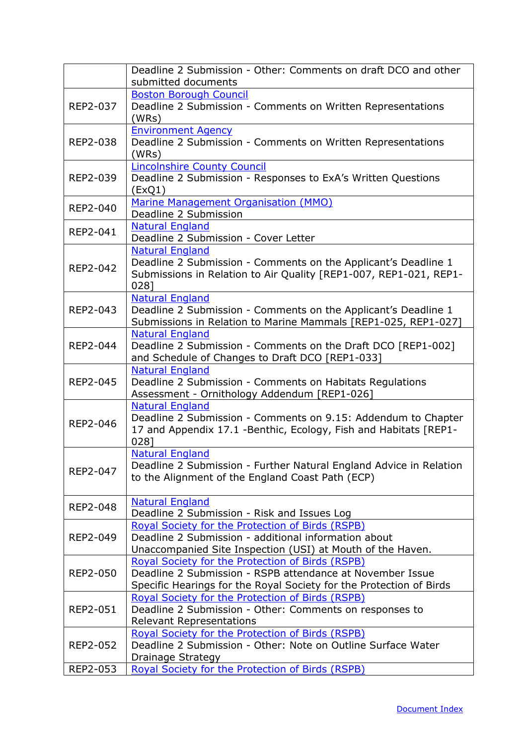|                 | Deadline 2 Submission - Other: Comments on draft DCO and other<br>submitted documents                                                                                                |
|-----------------|--------------------------------------------------------------------------------------------------------------------------------------------------------------------------------------|
| REP2-037        | <b>Boston Borough Council</b><br>Deadline 2 Submission - Comments on Written Representations<br>(WRs)                                                                                |
| REP2-038        | <b>Environment Agency</b><br>Deadline 2 Submission - Comments on Written Representations<br>(WRs)                                                                                    |
| REP2-039        | <b>Lincolnshire County Council</b><br>Deadline 2 Submission - Responses to ExA's Written Questions<br>(EXQ1)                                                                         |
| REP2-040        | Marine Management Organisation (MMO)<br>Deadline 2 Submission                                                                                                                        |
| REP2-041        | <b>Natural England</b><br>Deadline 2 Submission - Cover Letter                                                                                                                       |
| REP2-042        | <b>Natural England</b><br>Deadline 2 Submission - Comments on the Applicant's Deadline 1<br>Submissions in Relation to Air Quality [REP1-007, REP1-021, REP1-<br>0281                |
| REP2-043        | <b>Natural England</b><br>Deadline 2 Submission - Comments on the Applicant's Deadline 1<br>Submissions in Relation to Marine Mammals [REP1-025, REP1-027]                           |
| REP2-044        | <b>Natural England</b><br>Deadline 2 Submission - Comments on the Draft DCO [REP1-002]<br>and Schedule of Changes to Draft DCO [REP1-033]                                            |
| REP2-045        | <b>Natural England</b><br>Deadline 2 Submission - Comments on Habitats Regulations<br>Assessment - Ornithology Addendum [REP1-026]                                                   |
| REP2-046        | <b>Natural England</b><br>Deadline 2 Submission - Comments on 9.15: Addendum to Chapter<br>17 and Appendix 17.1 - Benthic, Ecology, Fish and Habitats [REP1-<br>0281                 |
| REP2-047        | <b>Natural England</b><br>Deadline 2 Submission - Further Natural England Advice in Relation<br>to the Alignment of the England Coast Path (ECP)                                     |
| REP2-048        | <b>Natural England</b><br>Deadline 2 Submission - Risk and Issues Log                                                                                                                |
| REP2-049        | <b>Royal Society for the Protection of Birds (RSPB)</b><br>Deadline 2 Submission - additional information about<br>Unaccompanied Site Inspection (USI) at Mouth of the Haven.        |
| <b>REP2-050</b> | Royal Society for the Protection of Birds (RSPB)<br>Deadline 2 Submission - RSPB attendance at November Issue<br>Specific Hearings for the Royal Society for the Protection of Birds |
| REP2-051        | Royal Society for the Protection of Birds (RSPB)<br>Deadline 2 Submission - Other: Comments on responses to<br><b>Relevant Representations</b>                                       |
| REP2-052        | Royal Society for the Protection of Birds (RSPB)<br>Deadline 2 Submission - Other: Note on Outline Surface Water<br>Drainage Strategy                                                |
| REP2-053        | Royal Society for the Protection of Birds (RSPB)                                                                                                                                     |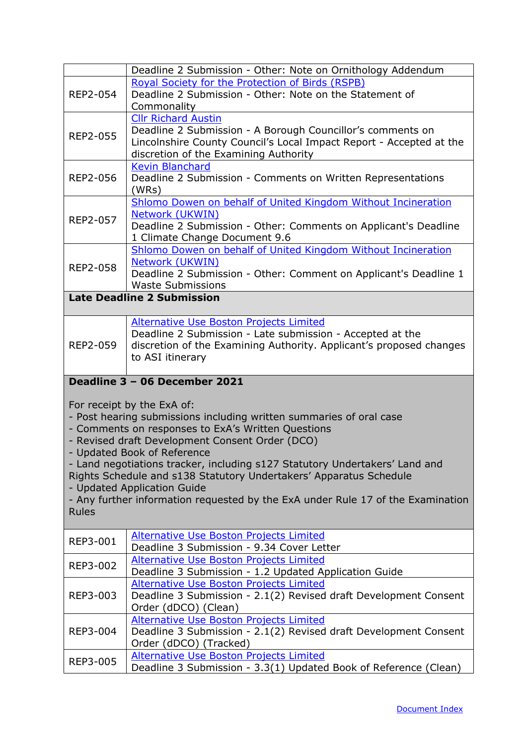<span id="page-26-0"></span>

|                                                                             | Deadline 2 Submission - Other: Note on Ornithology Addendum                                                        |
|-----------------------------------------------------------------------------|--------------------------------------------------------------------------------------------------------------------|
| REP2-054                                                                    | Royal Society for the Protection of Birds (RSPB)                                                                   |
|                                                                             | Deadline 2 Submission - Other: Note on the Statement of                                                            |
|                                                                             | Commonality<br><b>Cllr Richard Austin</b>                                                                          |
|                                                                             | Deadline 2 Submission - A Borough Councillor's comments on                                                         |
| REP2-055                                                                    | Lincolnshire County Council's Local Impact Report - Accepted at the                                                |
|                                                                             | discretion of the Examining Authority                                                                              |
|                                                                             | <b>Kevin Blanchard</b>                                                                                             |
| <b>REP2-056</b>                                                             | Deadline 2 Submission - Comments on Written Representations                                                        |
|                                                                             | (WRs)                                                                                                              |
|                                                                             | Shlomo Dowen on behalf of United Kingdom Without Incineration                                                      |
| REP2-057                                                                    | Network (UKWIN)                                                                                                    |
|                                                                             | Deadline 2 Submission - Other: Comments on Applicant's Deadline<br>1 Climate Change Document 9.6                   |
|                                                                             | Shlomo Dowen on behalf of United Kingdom Without Incineration                                                      |
|                                                                             | Network (UKWIN)                                                                                                    |
| REP2-058                                                                    | Deadline 2 Submission - Other: Comment on Applicant's Deadline 1                                                   |
|                                                                             | <b>Waste Submissions</b>                                                                                           |
|                                                                             | <b>Late Deadline 2 Submission</b>                                                                                  |
|                                                                             | <b>Alternative Use Boston Projects Limited</b>                                                                     |
|                                                                             | Deadline 2 Submission - Late submission - Accepted at the                                                          |
| REP2-059                                                                    | discretion of the Examining Authority. Applicant's proposed changes                                                |
|                                                                             | to ASI itinerary                                                                                                   |
|                                                                             | Deadline 3 - 06 December 2021                                                                                      |
|                                                                             |                                                                                                                    |
|                                                                             | For receipt by the ExA of:                                                                                         |
|                                                                             | - Post hearing submissions including written summaries of oral case                                                |
|                                                                             | - Comments on responses to ExA's Written Questions                                                                 |
|                                                                             | - Revised draft Development Consent Order (DCO)                                                                    |
|                                                                             | - Updated Book of Reference                                                                                        |
| - Land negotiations tracker, including s127 Statutory Undertakers' Land and |                                                                                                                    |
|                                                                             |                                                                                                                    |
| - Updated Application Guide                                                 |                                                                                                                    |
|                                                                             | Rights Schedule and s138 Statutory Undertakers' Apparatus Schedule                                                 |
|                                                                             | - Any further information requested by the ExA under Rule 17 of the Examination                                    |
| <b>Rules</b>                                                                |                                                                                                                    |
|                                                                             | Alternative Use Boston Projects Limited                                                                            |
| REP3-001                                                                    | Deadline 3 Submission - 9.34 Cover Letter                                                                          |
| REP3-002                                                                    | Alternative Use Boston Projects Limited                                                                            |
|                                                                             | Deadline 3 Submission - 1.2 Updated Application Guide                                                              |
|                                                                             | <b>Alternative Use Boston Projects Limited</b>                                                                     |
| REP3-003                                                                    | Deadline 3 Submission - 2.1(2) Revised draft Development Consent                                                   |
|                                                                             | Order (dDCO) (Clean)                                                                                               |
| REP3-004                                                                    | Alternative Use Boston Projects Limited<br>Deadline 3 Submission - 2.1(2) Revised draft Development Consent        |
|                                                                             | Order (dDCO) (Tracked)                                                                                             |
| REP3-005                                                                    | <b>Alternative Use Boston Projects Limited</b><br>Deadline 3 Submission - 3.3(1) Updated Book of Reference (Clean) |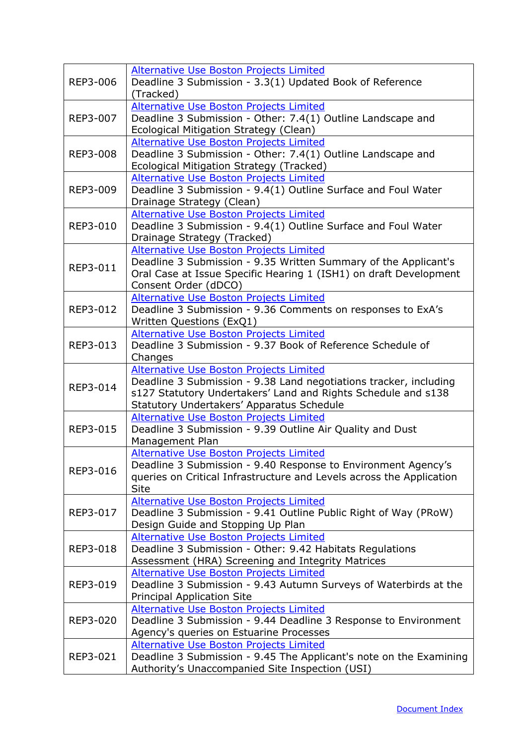| REP3-006        | <b>Alternative Use Boston Projects Limited</b><br>Deadline 3 Submission - 3.3(1) Updated Book of Reference<br>(Tracked)                                                                                                           |
|-----------------|-----------------------------------------------------------------------------------------------------------------------------------------------------------------------------------------------------------------------------------|
| REP3-007        | Alternative Use Boston Projects Limited<br>Deadline 3 Submission - Other: 7.4(1) Outline Landscape and<br>Ecological Mitigation Strategy (Clean)                                                                                  |
| <b>REP3-008</b> | <b>Alternative Use Boston Projects Limited</b><br>Deadline 3 Submission - Other: 7.4(1) Outline Landscape and<br>Ecological Mitigation Strategy (Tracked)                                                                         |
| REP3-009        | <b>Alternative Use Boston Projects Limited</b><br>Deadline 3 Submission - 9.4(1) Outline Surface and Foul Water<br>Drainage Strategy (Clean)                                                                                      |
| REP3-010        | <b>Alternative Use Boston Projects Limited</b><br>Deadline 3 Submission - 9.4(1) Outline Surface and Foul Water<br>Drainage Strategy (Tracked)                                                                                    |
| REP3-011        | <b>Alternative Use Boston Projects Limited</b><br>Deadline 3 Submission - 9.35 Written Summary of the Applicant's<br>Oral Case at Issue Specific Hearing 1 (ISH1) on draft Development<br>Consent Order (dDCO)                    |
| REP3-012        | <b>Alternative Use Boston Projects Limited</b><br>Deadline 3 Submission - 9.36 Comments on responses to ExA's<br>Written Questions (ExQ1)                                                                                         |
| REP3-013        | <b>Alternative Use Boston Projects Limited</b><br>Deadline 3 Submission - 9.37 Book of Reference Schedule of<br>Changes                                                                                                           |
| REP3-014        | <b>Alternative Use Boston Projects Limited</b><br>Deadline 3 Submission - 9.38 Land negotiations tracker, including<br>s127 Statutory Undertakers' Land and Rights Schedule and s138<br>Statutory Undertakers' Apparatus Schedule |
| REP3-015        | Alternative Use Boston Projects Limited<br>Deadline 3 Submission - 9.39 Outline Air Quality and Dust<br>Management Plan                                                                                                           |
| REP3-016        | Alternative Use Boston Projects Limited<br>Deadline 3 Submission - 9.40 Response to Environment Agency's<br>queries on Critical Infrastructure and Levels across the Application<br>Site                                          |
| REP3-017        | <b>Alternative Use Boston Projects Limited</b><br>Deadline 3 Submission - 9.41 Outline Public Right of Way (PRoW)<br>Design Guide and Stopping Up Plan                                                                            |
| REP3-018        | <b>Alternative Use Boston Projects Limited</b><br>Deadline 3 Submission - Other: 9.42 Habitats Regulations<br>Assessment (HRA) Screening and Integrity Matrices                                                                   |
| REP3-019        | <b>Alternative Use Boston Projects Limited</b><br>Deadline 3 Submission - 9.43 Autumn Surveys of Waterbirds at the<br><b>Principal Application Site</b>                                                                           |
| REP3-020        | <b>Alternative Use Boston Projects Limited</b><br>Deadline 3 Submission - 9.44 Deadline 3 Response to Environment<br>Agency's queries on Estuarine Processes                                                                      |
| REP3-021        | <b>Alternative Use Boston Projects Limited</b><br>Deadline 3 Submission - 9.45 The Applicant's note on the Examining<br>Authority's Unaccompanied Site Inspection (USI)                                                           |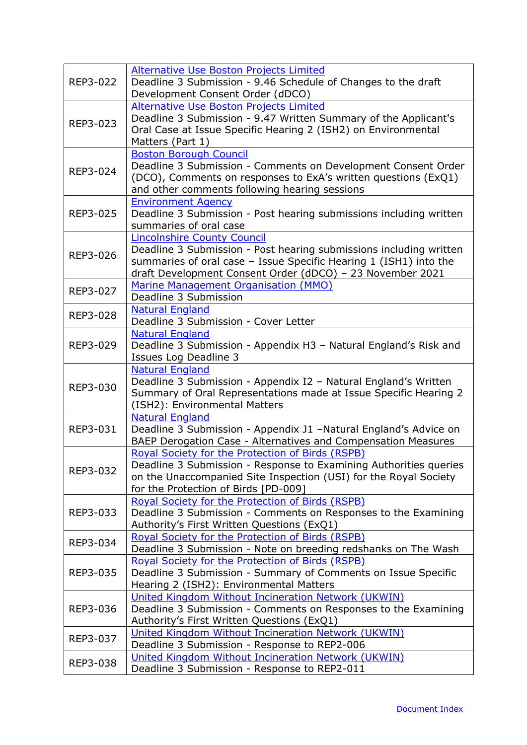| REP3-022 | <b>Alternative Use Boston Projects Limited</b><br>Deadline 3 Submission - 9.46 Schedule of Changes to the draft<br>Development Consent Order (dDCO)                                                                                        |
|----------|--------------------------------------------------------------------------------------------------------------------------------------------------------------------------------------------------------------------------------------------|
| REP3-023 | <b>Alternative Use Boston Projects Limited</b><br>Deadline 3 Submission - 9.47 Written Summary of the Applicant's<br>Oral Case at Issue Specific Hearing 2 (ISH2) on Environmental<br>Matters (Part 1)                                     |
| REP3-024 | <b>Boston Borough Council</b><br>Deadline 3 Submission - Comments on Development Consent Order<br>(DCO), Comments on responses to ExA's written questions (ExQ1)<br>and other comments following hearing sessions                          |
| REP3-025 | <b>Environment Agency</b><br>Deadline 3 Submission - Post hearing submissions including written<br>summaries of oral case                                                                                                                  |
| REP3-026 | <b>Lincolnshire County Council</b><br>Deadline 3 Submission - Post hearing submissions including written<br>summaries of oral case - Issue Specific Hearing 1 (ISH1) into the<br>draft Development Consent Order (dDCO) - 23 November 2021 |
| REP3-027 | Marine Management Organisation (MMO)<br>Deadline 3 Submission                                                                                                                                                                              |
| REP3-028 | <b>Natural England</b><br>Deadline 3 Submission - Cover Letter                                                                                                                                                                             |
| REP3-029 | <b>Natural England</b><br>Deadline 3 Submission - Appendix H3 - Natural England's Risk and<br>Issues Log Deadline 3                                                                                                                        |
| REP3-030 | <b>Natural England</b><br>Deadline 3 Submission - Appendix I2 - Natural England's Written<br>Summary of Oral Representations made at Issue Specific Hearing 2<br>(ISH2): Environmental Matters                                             |
| REP3-031 | <b>Natural England</b><br>Deadline 3 Submission - Appendix J1 -Natural England's Advice on<br>BAEP Derogation Case - Alternatives and Compensation Measures                                                                                |
| REP3-032 | Royal Society for the Protection of Birds (RSPB)<br>Deadline 3 Submission - Response to Examining Authorities queries<br>on the Unaccompanied Site Inspection (USI) for the Royal Society<br>for the Protection of Birds [PD-009]          |
| REP3-033 | Royal Society for the Protection of Birds (RSPB)<br>Deadline 3 Submission - Comments on Responses to the Examining<br>Authority's First Written Questions (ExQ1)                                                                           |
| REP3-034 | Royal Society for the Protection of Birds (RSPB)<br>Deadline 3 Submission - Note on breeding redshanks on The Wash                                                                                                                         |
| REP3-035 | Royal Society for the Protection of Birds (RSPB)<br>Deadline 3 Submission - Summary of Comments on Issue Specific<br>Hearing 2 (ISH2): Environmental Matters                                                                               |
| REP3-036 | United Kingdom Without Incineration Network (UKWIN)<br>Deadline 3 Submission - Comments on Responses to the Examining<br>Authority's First Written Questions (ExQ1)                                                                        |
| REP3-037 | United Kingdom Without Incineration Network (UKWIN)<br>Deadline 3 Submission - Response to REP2-006                                                                                                                                        |
| REP3-038 | United Kingdom Without Incineration Network (UKWIN)<br>Deadline 3 Submission - Response to REP2-011                                                                                                                                        |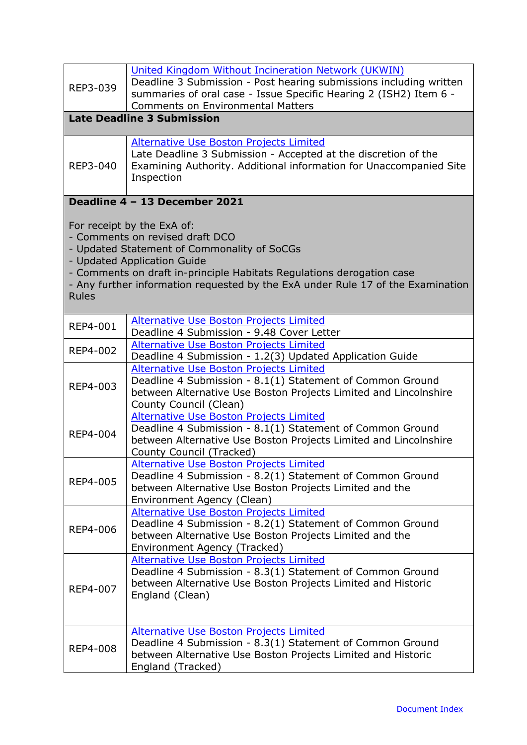<span id="page-29-0"></span>

| REP3-039                                                                                                                                                                                                                                                                                                                | United Kingdom Without Incineration Network (UKWIN)<br>Deadline 3 Submission - Post hearing submissions including written<br>summaries of oral case - Issue Specific Hearing 2 (ISH2) Item 6 -<br><b>Comments on Environmental Matters</b> |
|-------------------------------------------------------------------------------------------------------------------------------------------------------------------------------------------------------------------------------------------------------------------------------------------------------------------------|--------------------------------------------------------------------------------------------------------------------------------------------------------------------------------------------------------------------------------------------|
|                                                                                                                                                                                                                                                                                                                         | <b>Late Deadline 3 Submission</b>                                                                                                                                                                                                          |
| REP3-040                                                                                                                                                                                                                                                                                                                | Alternative Use Boston Projects Limited<br>Late Deadline 3 Submission - Accepted at the discretion of the<br>Examining Authority. Additional information for Unaccompanied Site<br>Inspection                                              |
|                                                                                                                                                                                                                                                                                                                         | Deadline 4 - 13 December 2021                                                                                                                                                                                                              |
| For receipt by the ExA of:<br>- Comments on revised draft DCO<br>- Updated Statement of Commonality of SoCGs<br>- Updated Application Guide<br>- Comments on draft in-principle Habitats Regulations derogation case<br>- Any further information requested by the ExA under Rule 17 of the Examination<br><b>Rules</b> |                                                                                                                                                                                                                                            |
| REP4-001                                                                                                                                                                                                                                                                                                                | <b>Alternative Use Boston Projects Limited</b><br>Deadline 4 Submission - 9.48 Cover Letter                                                                                                                                                |
| REP4-002                                                                                                                                                                                                                                                                                                                | <b>Alternative Use Boston Projects Limited</b><br>Deadline 4 Submission - 1.2(3) Updated Application Guide                                                                                                                                 |
| REP4-003                                                                                                                                                                                                                                                                                                                | <b>Alternative Use Boston Projects Limited</b><br>Deadline 4 Submission - 8.1(1) Statement of Common Ground<br>between Alternative Use Boston Projects Limited and Lincolnshire<br>County Council (Clean)                                  |
| REP4-004                                                                                                                                                                                                                                                                                                                | <b>Alternative Use Boston Projects Limited</b><br>Deadline 4 Submission - 8.1(1) Statement of Common Ground<br>between Alternative Use Boston Projects Limited and Lincolnshire<br>County Council (Tracked)                                |
| REP4-005                                                                                                                                                                                                                                                                                                                | Alternative Use Boston Projects Limited<br>Deadline 4 Submission - 8.2(1) Statement of Common Ground<br>between Alternative Use Boston Projects Limited and the<br>Environment Agency (Clean)                                              |
| <b>REP4-006</b>                                                                                                                                                                                                                                                                                                         | <b>Alternative Use Boston Projects Limited</b><br>Deadline 4 Submission - 8.2(1) Statement of Common Ground<br>between Alternative Use Boston Projects Limited and the<br>Environment Agency (Tracked)                                     |
| REP4-007                                                                                                                                                                                                                                                                                                                | <b>Alternative Use Boston Projects Limited</b><br>Deadline 4 Submission - 8.3(1) Statement of Common Ground<br>between Alternative Use Boston Projects Limited and Historic<br>England (Clean)                                             |
| <b>REP4-008</b>                                                                                                                                                                                                                                                                                                         | <b>Alternative Use Boston Projects Limited</b><br>Deadline 4 Submission - 8.3(1) Statement of Common Ground<br>between Alternative Use Boston Projects Limited and Historic<br>England (Tracked)                                           |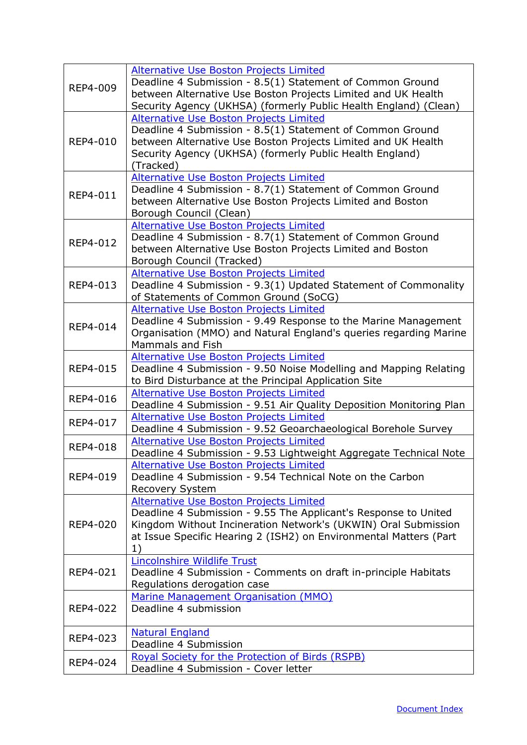| REP4-009        | Alternative Use Boston Projects Limited<br>Deadline 4 Submission - 8.5(1) Statement of Common Ground<br>between Alternative Use Boston Projects Limited and UK Health<br>Security Agency (UKHSA) (formerly Public Health England) (Clean)                      |
|-----------------|----------------------------------------------------------------------------------------------------------------------------------------------------------------------------------------------------------------------------------------------------------------|
| REP4-010        | <b>Alternative Use Boston Projects Limited</b><br>Deadline 4 Submission - 8.5(1) Statement of Common Ground<br>between Alternative Use Boston Projects Limited and UK Health<br>Security Agency (UKHSA) (formerly Public Health England)<br>(Tracked)          |
| REP4-011        | Alternative Use Boston Projects Limited<br>Deadline 4 Submission - 8.7(1) Statement of Common Ground<br>between Alternative Use Boston Projects Limited and Boston<br>Borough Council (Clean)                                                                  |
| REP4-012        | Alternative Use Boston Projects Limited<br>Deadline 4 Submission - 8.7(1) Statement of Common Ground<br>between Alternative Use Boston Projects Limited and Boston<br>Borough Council (Tracked)                                                                |
| REP4-013        | Alternative Use Boston Projects Limited<br>Deadline 4 Submission - 9.3(1) Updated Statement of Commonality<br>of Statements of Common Ground (SoCG)                                                                                                            |
| REP4-014        | <b>Alternative Use Boston Projects Limited</b><br>Deadline 4 Submission - 9.49 Response to the Marine Management<br>Organisation (MMO) and Natural England's queries regarding Marine<br>Mammals and Fish                                                      |
| REP4-015        | <b>Alternative Use Boston Projects Limited</b><br>Deadline 4 Submission - 9.50 Noise Modelling and Mapping Relating<br>to Bird Disturbance at the Principal Application Site                                                                                   |
| REP4-016        | <b>Alternative Use Boston Projects Limited</b><br>Deadline 4 Submission - 9.51 Air Quality Deposition Monitoring Plan                                                                                                                                          |
| REP4-017        | <b>Alternative Use Boston Projects Limited</b><br>Deadline 4 Submission - 9.52 Geoarchaeological Borehole Survey                                                                                                                                               |
| REP4-018        | <b>Alternative Use Boston Projects Limited</b><br>Deadline 4 Submission - 9.53 Lightweight Aggregate Technical Note                                                                                                                                            |
| REP4-019        | <b>Alternative Use Boston Projects Limited</b><br>Deadline 4 Submission - 9.54 Technical Note on the Carbon<br>Recovery System                                                                                                                                 |
| <b>REP4-020</b> | <b>Alternative Use Boston Projects Limited</b><br>Deadline 4 Submission - 9.55 The Applicant's Response to United<br>Kingdom Without Incineration Network's (UKWIN) Oral Submission<br>at Issue Specific Hearing 2 (ISH2) on Environmental Matters (Part<br>1) |
| REP4-021        | <b>Lincolnshire Wildlife Trust</b><br>Deadline 4 Submission - Comments on draft in-principle Habitats<br>Regulations derogation case                                                                                                                           |
| REP4-022        | Marine Management Organisation (MMO)<br>Deadline 4 submission                                                                                                                                                                                                  |
| REP4-023        | <b>Natural England</b><br>Deadline 4 Submission                                                                                                                                                                                                                |
| REP4-024        | <b>Royal Society for the Protection of Birds (RSPB)</b><br>Deadline 4 Submission - Cover letter                                                                                                                                                                |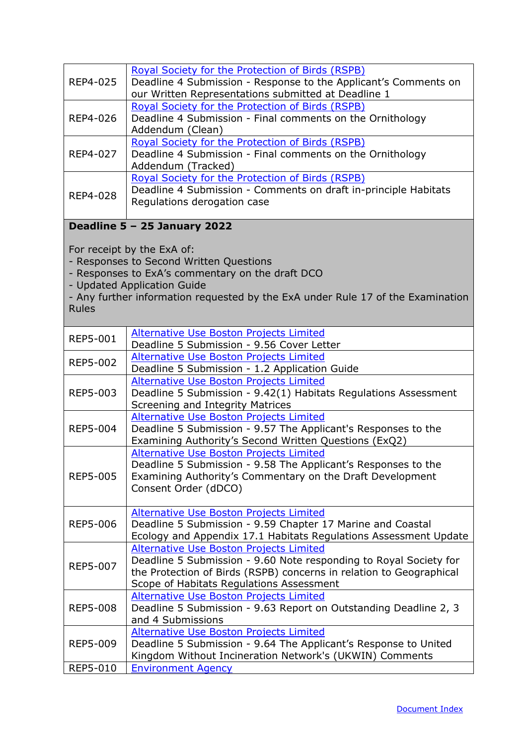<span id="page-31-0"></span>

| REP4-025        | <b>Royal Society for the Protection of Birds (RSPB)</b><br>Deadline 4 Submission - Response to the Applicant's Comments on<br>our Written Representations submitted at Deadline 1                                                           |
|-----------------|---------------------------------------------------------------------------------------------------------------------------------------------------------------------------------------------------------------------------------------------|
| REP4-026        | Royal Society for the Protection of Birds (RSPB)<br>Deadline 4 Submission - Final comments on the Ornithology<br>Addendum (Clean)                                                                                                           |
| REP4-027        | Royal Society for the Protection of Birds (RSPB)<br>Deadline 4 Submission - Final comments on the Ornithology<br>Addendum (Tracked)                                                                                                         |
| REP4-028        | Royal Society for the Protection of Birds (RSPB)<br>Deadline 4 Submission - Comments on draft in-principle Habitats<br>Regulations derogation case                                                                                          |
|                 | Deadline 5 - 25 January 2022                                                                                                                                                                                                                |
| <b>Rules</b>    | For receipt by the ExA of:<br>- Responses to Second Written Questions<br>- Responses to ExA's commentary on the draft DCO<br>- Updated Application Guide<br>- Any further information requested by the ExA under Rule 17 of the Examination |
| <b>REP5-001</b> | Alternative Use Boston Projects Limited<br>Deadline 5 Submission - 9.56 Cover Letter                                                                                                                                                        |
| <b>REP5-002</b> | <b>Alternative Use Boston Projects Limited</b><br>Deadline 5 Submission - 1.2 Application Guide                                                                                                                                             |
| REP5-003        | <b>Alternative Use Boston Projects Limited</b><br>Deadline 5 Submission - 9.42(1) Habitats Regulations Assessment<br>Screening and Integrity Matrices                                                                                       |
| <b>REP5-004</b> | <b>Alternative Use Boston Projects Limited</b><br>Deadline 5 Submission - 9.57 The Applicant's Responses to the<br>Examining Authority's Second Written Questions (ExQ2)                                                                    |
| <b>REP5-005</b> | <b>Alternative Use Boston Projects Limited</b><br>Deadline 5 Submission - 9.58 The Applicant's Responses to the<br>Examining Authority's Commentary on the Draft Development<br>Consent Order (dDCO)                                        |
| <b>REP5-006</b> | <b>Alternative Use Boston Projects Limited</b><br>Deadline 5 Submission - 9.59 Chapter 17 Marine and Coastal<br>Ecology and Appendix 17.1 Habitats Regulations Assessment Update                                                            |
| <b>REP5-007</b> | <b>Alternative Use Boston Projects Limited</b><br>Deadline 5 Submission - 9.60 Note responding to Royal Society for<br>the Protection of Birds (RSPB) concerns in relation to Geographical<br>Scope of Habitats Regulations Assessment      |
| <b>REP5-008</b> | <b>Alternative Use Boston Projects Limited</b><br>Deadline 5 Submission - 9.63 Report on Outstanding Deadline 2, 3<br>and 4 Submissions                                                                                                     |
| <b>REP5-009</b> | Alternative Use Boston Projects Limited<br>Deadline 5 Submission - 9.64 The Applicant's Response to United<br>Kingdom Without Incineration Network's (UKWIN) Comments                                                                       |
| REP5-010        | <b>Environment Agency</b>                                                                                                                                                                                                                   |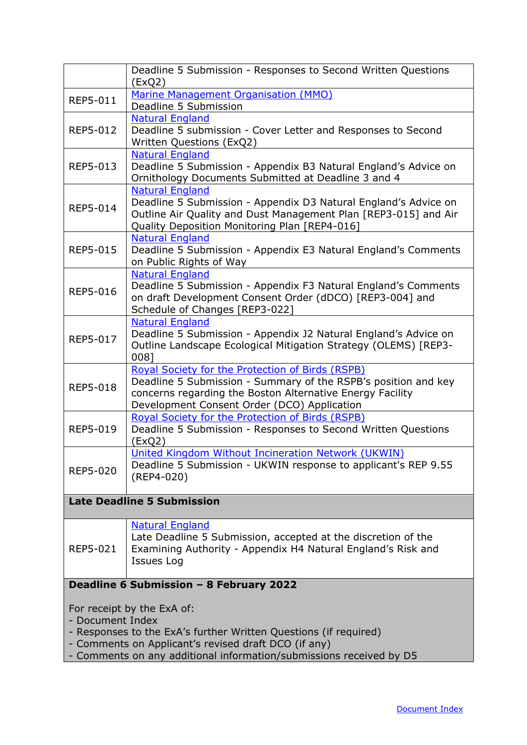|                                                                  | Deadline 5 Submission - Responses to Second Written Questions<br>(ExQ2) |  |
|------------------------------------------------------------------|-------------------------------------------------------------------------|--|
| REP5-011                                                         | Marine Management Organisation (MMO)                                    |  |
|                                                                  | Deadline 5 Submission                                                   |  |
|                                                                  | <b>Natural England</b>                                                  |  |
| REP5-012                                                         | Deadline 5 submission - Cover Letter and Responses to Second            |  |
|                                                                  | Written Questions (ExQ2)                                                |  |
|                                                                  | <b>Natural England</b>                                                  |  |
| REP5-013                                                         | Deadline 5 Submission - Appendix B3 Natural England's Advice on         |  |
|                                                                  | Ornithology Documents Submitted at Deadline 3 and 4                     |  |
|                                                                  | <b>Natural England</b>                                                  |  |
| REP5-014                                                         | Deadline 5 Submission - Appendix D3 Natural England's Advice on         |  |
|                                                                  | Outline Air Quality and Dust Management Plan [REP3-015] and Air         |  |
|                                                                  | Quality Deposition Monitoring Plan [REP4-016]                           |  |
|                                                                  | <b>Natural England</b>                                                  |  |
| <b>REP5-015</b>                                                  | Deadline 5 Submission - Appendix E3 Natural England's Comments          |  |
|                                                                  | on Public Rights of Way                                                 |  |
|                                                                  | <b>Natural England</b>                                                  |  |
| <b>REP5-016</b>                                                  | Deadline 5 Submission - Appendix F3 Natural England's Comments          |  |
|                                                                  | on draft Development Consent Order (dDCO) [REP3-004] and                |  |
|                                                                  | Schedule of Changes [REP3-022]                                          |  |
|                                                                  | <b>Natural England</b>                                                  |  |
| REP5-017                                                         | Deadline 5 Submission - Appendix J2 Natural England's Advice on         |  |
|                                                                  | Outline Landscape Ecological Mitigation Strategy (OLEMS) [REP3-         |  |
|                                                                  | 0081                                                                    |  |
|                                                                  | Royal Society for the Protection of Birds (RSPB)                        |  |
| <b>REP5-018</b>                                                  | Deadline 5 Submission - Summary of the RSPB's position and key          |  |
|                                                                  | concerns regarding the Boston Alternative Energy Facility               |  |
|                                                                  | Development Consent Order (DCO) Application                             |  |
|                                                                  | Royal Society for the Protection of Birds (RSPB)                        |  |
| REP5-019                                                         | Deadline 5 Submission - Responses to Second Written Questions           |  |
|                                                                  | (EXQ2)                                                                  |  |
|                                                                  | United Kingdom Without Incineration Network (UKWIN)                     |  |
| <b>REP5-020</b>                                                  | Deadline 5 Submission - UKWIN response to applicant's REP 9.55          |  |
|                                                                  | (REP4-020)                                                              |  |
|                                                                  |                                                                         |  |
| <b>Late Deadline 5 Submission</b>                                |                                                                         |  |
|                                                                  | <b>Natural England</b>                                                  |  |
|                                                                  | Late Deadline 5 Submission, accepted at the discretion of the           |  |
| REP5-021                                                         | Examining Authority - Appendix H4 Natural England's Risk and            |  |
|                                                                  | Issues Log                                                              |  |
|                                                                  |                                                                         |  |
| Deadline 6 Submission - 8 February 2022                          |                                                                         |  |
|                                                                  |                                                                         |  |
|                                                                  | For receipt by the ExA of:                                              |  |
| - Document Index                                                 |                                                                         |  |
| - Responses to the ExA's further Written Questions (if required) |                                                                         |  |
| - Comments on Applicant's revised draft DCO (if any)             |                                                                         |  |

<span id="page-32-0"></span>- Comments on any additional information/submissions received by D5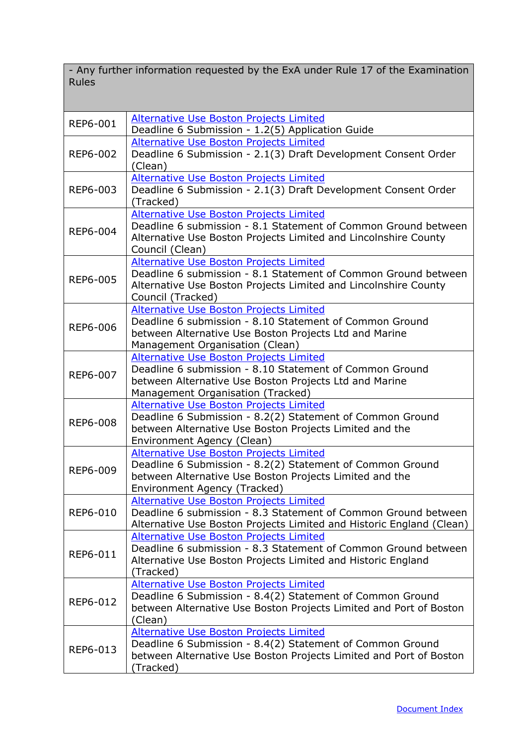- Any further information requested by the ExA under Rule 17 of the Examination Rules

| REP6-001        | <b>Alternative Use Boston Projects Limited</b><br>Deadline 6 Submission - 1.2(5) Application Guide          |
|-----------------|-------------------------------------------------------------------------------------------------------------|
|                 | <b>Alternative Use Boston Projects Limited</b>                                                              |
| REP6-002        | Deadline 6 Submission - 2.1(3) Draft Development Consent Order                                              |
|                 | (Clean)                                                                                                     |
|                 | <b>Alternative Use Boston Projects Limited</b>                                                              |
| REP6-003        | Deadline 6 Submission - 2.1(3) Draft Development Consent Order                                              |
|                 | (Tracked)                                                                                                   |
|                 | <b>Alternative Use Boston Projects Limited</b>                                                              |
|                 | Deadline 6 submission - 8.1 Statement of Common Ground between                                              |
| REP6-004        | Alternative Use Boston Projects Limited and Lincolnshire County                                             |
|                 | Council (Clean)                                                                                             |
|                 | <b>Alternative Use Boston Projects Limited</b>                                                              |
|                 | Deadline 6 submission - 8.1 Statement of Common Ground between                                              |
| REP6-005        | Alternative Use Boston Projects Limited and Lincolnshire County                                             |
|                 | Council (Tracked)                                                                                           |
|                 | <b>Alternative Use Boston Projects Limited</b>                                                              |
|                 | Deadline 6 submission - 8.10 Statement of Common Ground                                                     |
| REP6-006        | between Alternative Use Boston Projects Ltd and Marine                                                      |
|                 | Management Organisation (Clean)                                                                             |
|                 | <b>Alternative Use Boston Projects Limited</b>                                                              |
| REP6-007        | Deadline 6 submission - 8.10 Statement of Common Ground                                                     |
|                 | between Alternative Use Boston Projects Ltd and Marine                                                      |
|                 | Management Organisation (Tracked)                                                                           |
|                 | <b>Alternative Use Boston Projects Limited</b>                                                              |
| <b>REP6-008</b> | Deadline 6 Submission - 8.2(2) Statement of Common Ground                                                   |
|                 | between Alternative Use Boston Projects Limited and the                                                     |
|                 | Environment Agency (Clean)                                                                                  |
|                 | <b>Alternative Use Boston Projects Limited</b>                                                              |
| REP6-009        | Deadline 6 Submission - 8.2(2) Statement of Common Ground                                                   |
|                 | between Alternative Use Boston Projects Limited and the                                                     |
|                 | Environment Agency (Tracked)                                                                                |
|                 | <b>Alternative Use Boston Projects Limited</b>                                                              |
| REP6-010        | Deadline 6 submission - 8.3 Statement of Common Ground between                                              |
|                 | Alternative Use Boston Projects Limited and Historic England (Clean)                                        |
|                 | <b>Alternative Use Boston Projects Limited</b>                                                              |
| REP6-011        | Deadline 6 submission - 8.3 Statement of Common Ground between                                              |
|                 | Alternative Use Boston Projects Limited and Historic England                                                |
|                 | (Tracked)                                                                                                   |
|                 | <b>Alternative Use Boston Projects Limited</b><br>Deadline 6 Submission - 8.4(2) Statement of Common Ground |
| REP6-012        | between Alternative Use Boston Projects Limited and Port of Boston                                          |
|                 |                                                                                                             |
|                 | (Clean)<br>Alternative Use Boston Projects Limited                                                          |
|                 | Deadline 6 Submission - 8.4(2) Statement of Common Ground                                                   |
| REP6-013        | between Alternative Use Boston Projects Limited and Port of Boston                                          |
|                 | (Tracked)                                                                                                   |
|                 |                                                                                                             |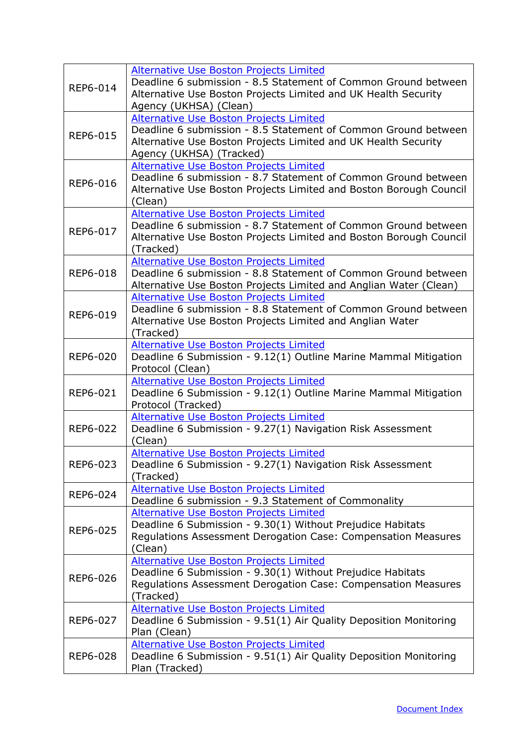| REP6-014        | <b>Alternative Use Boston Projects Limited</b><br>Deadline 6 submission - 8.5 Statement of Common Ground between<br>Alternative Use Boston Projects Limited and UK Health Security<br>Agency (UKHSA) (Clean)   |
|-----------------|----------------------------------------------------------------------------------------------------------------------------------------------------------------------------------------------------------------|
| <b>REP6-015</b> | <b>Alternative Use Boston Projects Limited</b><br>Deadline 6 submission - 8.5 Statement of Common Ground between<br>Alternative Use Boston Projects Limited and UK Health Security<br>Agency (UKHSA) (Tracked) |
| REP6-016        | Alternative Use Boston Projects Limited<br>Deadline 6 submission - 8.7 Statement of Common Ground between<br>Alternative Use Boston Projects Limited and Boston Borough Council<br>(Clean)                     |
| REP6-017        | Alternative Use Boston Projects Limited<br>Deadline 6 submission - 8.7 Statement of Common Ground between<br>Alternative Use Boston Projects Limited and Boston Borough Council<br>(Tracked)                   |
| <b>REP6-018</b> | <b>Alternative Use Boston Projects Limited</b><br>Deadline 6 submission - 8.8 Statement of Common Ground between<br>Alternative Use Boston Projects Limited and Anglian Water (Clean)                          |
| REP6-019        | Alternative Use Boston Projects Limited<br>Deadline 6 submission - 8.8 Statement of Common Ground between<br>Alternative Use Boston Projects Limited and Anglian Water<br>(Tracked)                            |
| REP6-020        | <b>Alternative Use Boston Projects Limited</b><br>Deadline 6 Submission - 9.12(1) Outline Marine Mammal Mitigation<br>Protocol (Clean)                                                                         |
| REP6-021        | Alternative Use Boston Projects Limited<br>Deadline 6 Submission - 9.12(1) Outline Marine Mammal Mitigation<br>Protocol (Tracked)                                                                              |
| REP6-022        | <b>Alternative Use Boston Projects Limited</b><br>Deadline 6 Submission - 9.27(1) Navigation Risk Assessment<br>(Clean)                                                                                        |
| REP6-023        | Alternative Use Boston Projects Limited<br>Deadline 6 Submission - 9.27(1) Navigation Risk Assessment<br>(Tracked)                                                                                             |
| REP6-024        | Alternative Use Boston Projects Limited<br>Deadline 6 submission - 9.3 Statement of Commonality                                                                                                                |
| REP6-025        | <b>Alternative Use Boston Projects Limited</b><br>Deadline 6 Submission - 9.30(1) Without Prejudice Habitats<br>Regulations Assessment Derogation Case: Compensation Measures<br>(Clean)                       |
| REP6-026        | <b>Alternative Use Boston Projects Limited</b><br>Deadline 6 Submission - 9.30(1) Without Prejudice Habitats<br>Regulations Assessment Derogation Case: Compensation Measures<br>(Tracked)                     |
| REP6-027        | <b>Alternative Use Boston Projects Limited</b><br>Deadline 6 Submission - 9.51(1) Air Quality Deposition Monitoring<br>Plan (Clean)                                                                            |
| REP6-028        | <b>Alternative Use Boston Projects Limited</b><br>Deadline 6 Submission - 9.51(1) Air Quality Deposition Monitoring<br>Plan (Tracked)                                                                          |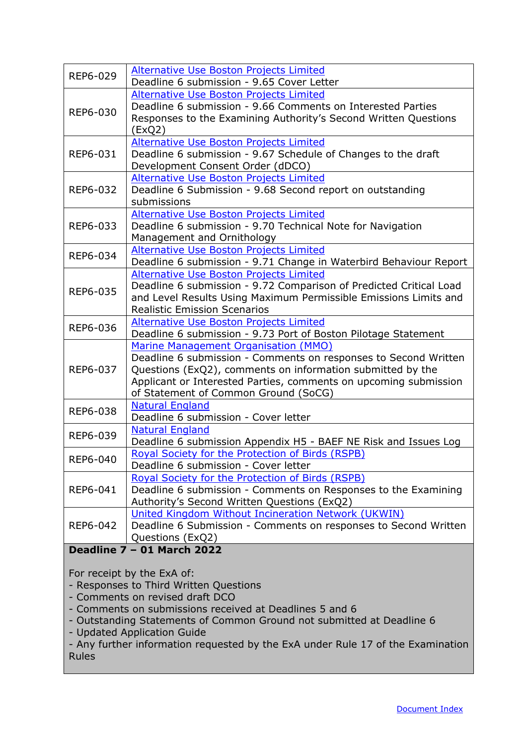<span id="page-35-0"></span>

| REP6-029                                                                                                                                                                                                                                                                                              | <b>Alternative Use Boston Projects Limited</b>                                                                         |  |  |
|-------------------------------------------------------------------------------------------------------------------------------------------------------------------------------------------------------------------------------------------------------------------------------------------------------|------------------------------------------------------------------------------------------------------------------------|--|--|
|                                                                                                                                                                                                                                                                                                       | Deadline 6 submission - 9.65 Cover Letter                                                                              |  |  |
| REP6-030                                                                                                                                                                                                                                                                                              | <b>Alternative Use Boston Projects Limited</b><br>Deadline 6 submission - 9.66 Comments on Interested Parties          |  |  |
|                                                                                                                                                                                                                                                                                                       | Responses to the Examining Authority's Second Written Questions                                                        |  |  |
|                                                                                                                                                                                                                                                                                                       | (ExQ2)                                                                                                                 |  |  |
|                                                                                                                                                                                                                                                                                                       | Alternative Use Boston Projects Limited                                                                                |  |  |
| REP6-031                                                                                                                                                                                                                                                                                              | Deadline 6 submission - 9.67 Schedule of Changes to the draft                                                          |  |  |
|                                                                                                                                                                                                                                                                                                       | Development Consent Order (dDCO)                                                                                       |  |  |
|                                                                                                                                                                                                                                                                                                       | <b>Alternative Use Boston Projects Limited</b>                                                                         |  |  |
| REP6-032                                                                                                                                                                                                                                                                                              | Deadline 6 Submission - 9.68 Second report on outstanding<br>submissions                                               |  |  |
|                                                                                                                                                                                                                                                                                                       | Alternative Use Boston Projects Limited                                                                                |  |  |
| REP6-033                                                                                                                                                                                                                                                                                              | Deadline 6 submission - 9.70 Technical Note for Navigation                                                             |  |  |
|                                                                                                                                                                                                                                                                                                       | Management and Ornithology                                                                                             |  |  |
| REP6-034                                                                                                                                                                                                                                                                                              | Alternative Use Boston Projects Limited                                                                                |  |  |
|                                                                                                                                                                                                                                                                                                       | Deadline 6 submission - 9.71 Change in Waterbird Behaviour Report                                                      |  |  |
|                                                                                                                                                                                                                                                                                                       | <b>Alternative Use Boston Projects Limited</b>                                                                         |  |  |
| REP6-035                                                                                                                                                                                                                                                                                              | Deadline 6 submission - 9.72 Comparison of Predicted Critical Load                                                     |  |  |
|                                                                                                                                                                                                                                                                                                       | and Level Results Using Maximum Permissible Emissions Limits and<br><b>Realistic Emission Scenarios</b>                |  |  |
|                                                                                                                                                                                                                                                                                                       | Alternative Use Boston Projects Limited                                                                                |  |  |
| REP6-036                                                                                                                                                                                                                                                                                              | Deadline 6 submission - 9.73 Port of Boston Pilotage Statement                                                         |  |  |
|                                                                                                                                                                                                                                                                                                       | Marine Management Organisation (MMO)                                                                                   |  |  |
|                                                                                                                                                                                                                                                                                                       | Deadline 6 submission - Comments on responses to Second Written                                                        |  |  |
| REP6-037                                                                                                                                                                                                                                                                                              | Questions (ExQ2), comments on information submitted by the                                                             |  |  |
|                                                                                                                                                                                                                                                                                                       | Applicant or Interested Parties, comments on upcoming submission                                                       |  |  |
|                                                                                                                                                                                                                                                                                                       | of Statement of Common Ground (SoCG)<br><b>Natural England</b>                                                         |  |  |
| REP6-038                                                                                                                                                                                                                                                                                              | Deadline 6 submission - Cover letter                                                                                   |  |  |
|                                                                                                                                                                                                                                                                                                       | <b>Natural England</b>                                                                                                 |  |  |
| REP6-039                                                                                                                                                                                                                                                                                              | Deadline 6 submission Appendix H5 - BAEF NE Risk and Issues Log                                                        |  |  |
| REP6-040                                                                                                                                                                                                                                                                                              | Royal Society for the Protection of Birds (RSPB)                                                                       |  |  |
|                                                                                                                                                                                                                                                                                                       | Deadline 6 submission - Cover letter                                                                                   |  |  |
|                                                                                                                                                                                                                                                                                                       | Royal Society for the Protection of Birds (RSPB)                                                                       |  |  |
| REP6-041                                                                                                                                                                                                                                                                                              | Deadline 6 submission - Comments on Responses to the Examining                                                         |  |  |
|                                                                                                                                                                                                                                                                                                       | Authority's Second Written Questions (ExQ2)                                                                            |  |  |
| REP6-042                                                                                                                                                                                                                                                                                              | United Kingdom Without Incineration Network (UKWIN)<br>Deadline 6 Submission - Comments on responses to Second Written |  |  |
|                                                                                                                                                                                                                                                                                                       | Questions (ExQ2)                                                                                                       |  |  |
|                                                                                                                                                                                                                                                                                                       | <b>Deadline 7 - 01 March 2022</b>                                                                                      |  |  |
|                                                                                                                                                                                                                                                                                                       |                                                                                                                        |  |  |
|                                                                                                                                                                                                                                                                                                       | For receipt by the ExA of:                                                                                             |  |  |
| - Responses to Third Written Questions                                                                                                                                                                                                                                                                |                                                                                                                        |  |  |
| - Comments on revised draft DCO<br>- Comments on submissions received at Deadlines 5 and 6<br>- Outstanding Statements of Common Ground not submitted at Deadline 6<br>- Updated Application Guide<br>- Any further information requested by the ExA under Rule 17 of the Examination<br><b>Rules</b> |                                                                                                                        |  |  |
|                                                                                                                                                                                                                                                                                                       |                                                                                                                        |  |  |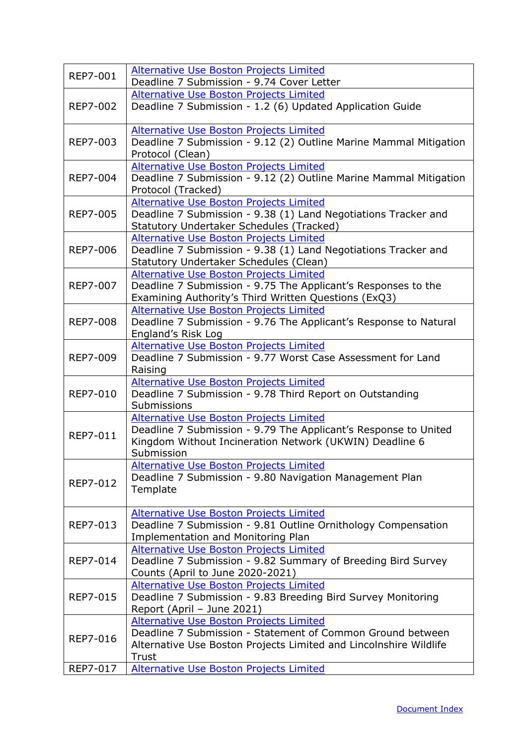| <b>REP7-001</b> | <b>Alternative Use Boston Projects Limited</b><br>Deadline 7 Submission - 9.74 Cover Letter                                                                                                |
|-----------------|--------------------------------------------------------------------------------------------------------------------------------------------------------------------------------------------|
| <b>REP7-002</b> | Alternative Use Boston Projects Limited<br>Deadline 7 Submission - 1.2 (6) Updated Application Guide                                                                                       |
| REP7-003        | <b>Alternative Use Boston Projects Limited</b><br>Deadline 7 Submission - 9.12 (2) Outline Marine Mammal Mitigation<br>Protocol (Clean)                                                    |
| <b>REP7-004</b> | Alternative Use Boston Projects Limited<br>Deadline 7 Submission - 9.12 (2) Outline Marine Mammal Mitigation<br>Protocol (Tracked)                                                         |
| <b>REP7-005</b> | Alternative Use Boston Projects Limited<br>Deadline 7 Submission - 9.38 (1) Land Negotiations Tracker and<br>Statutory Undertaker Schedules (Tracked)                                      |
| <b>REP7-006</b> | Alternative Use Boston Projects Limited<br>Deadline 7 Submission - 9.38 (1) Land Negotiations Tracker and<br>Statutory Undertaker Schedules (Clean)                                        |
| <b>REP7-007</b> | Alternative Use Boston Projects Limited<br>Deadline 7 Submission - 9.75 The Applicant's Responses to the<br>Examining Authority's Third Written Questions (ExQ3)                           |
| <b>REP7-008</b> | Alternative Use Boston Projects Limited<br>Deadline 7 Submission - 9.76 The Applicant's Response to Natural<br>England's Risk Log                                                          |
| <b>REP7-009</b> | <b>Alternative Use Boston Projects Limited</b><br>Deadline 7 Submission - 9.77 Worst Case Assessment for Land<br>Raising                                                                   |
| <b>REP7-010</b> | <b>Alternative Use Boston Projects Limited</b><br>Deadline 7 Submission - 9.78 Third Report on Outstanding<br>Submissions                                                                  |
| <b>REP7-011</b> | <b>Alternative Use Boston Projects Limited</b><br>Deadline 7 Submission - 9.79 The Applicant's Response to United<br>Kingdom Without Incineration Network (UKWIN) Deadline 6<br>Submission |
| <b>REP7-012</b> | <b>Alternative Use Boston Projects Limited</b><br>Deadline 7 Submission - 9.80 Navigation Management Plan<br>Template                                                                      |
| REP7-013        | Alternative Use Boston Projects Limited<br>Deadline 7 Submission - 9.81 Outline Ornithology Compensation<br><b>Implementation and Monitoring Plan</b>                                      |
| REP7-014        | <b>Alternative Use Boston Projects Limited</b><br>Deadline 7 Submission - 9.82 Summary of Breeding Bird Survey<br>Counts (April to June 2020-2021)                                         |
| <b>REP7-015</b> | Alternative Use Boston Projects Limited<br>Deadline 7 Submission - 9.83 Breeding Bird Survey Monitoring<br>Report (April - June 2021)                                                      |
| <b>REP7-016</b> | <b>Alternative Use Boston Projects Limited</b><br>Deadline 7 Submission - Statement of Common Ground between<br>Alternative Use Boston Projects Limited and Lincolnshire Wildlife<br>Trust |
| REP7-017        | Alternative Use Boston Projects Limited                                                                                                                                                    |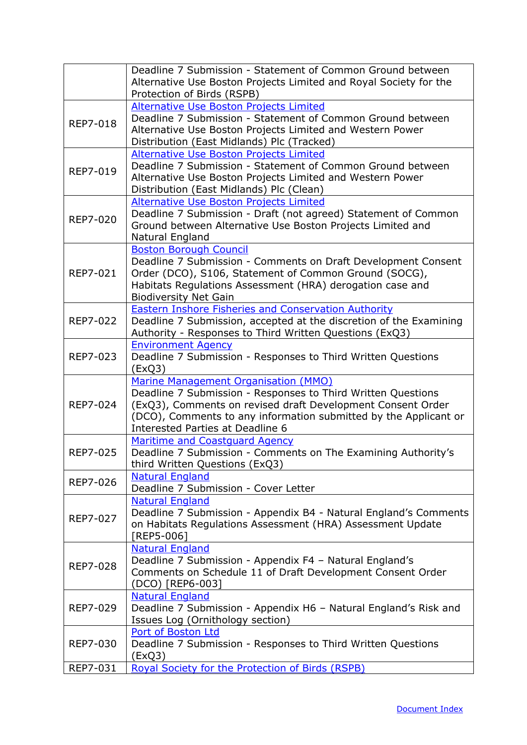|                 | Deadline 7 Submission - Statement of Common Ground between                                                                                                                                                                                                                  |
|-----------------|-----------------------------------------------------------------------------------------------------------------------------------------------------------------------------------------------------------------------------------------------------------------------------|
|                 | Alternative Use Boston Projects Limited and Royal Society for the<br>Protection of Birds (RSPB)                                                                                                                                                                             |
|                 | Alternative Use Boston Projects Limited                                                                                                                                                                                                                                     |
| <b>REP7-018</b> | Deadline 7 Submission - Statement of Common Ground between<br>Alternative Use Boston Projects Limited and Western Power<br>Distribution (East Midlands) Plc (Tracked)                                                                                                       |
| REP7-019        | <b>Alternative Use Boston Projects Limited</b><br>Deadline 7 Submission - Statement of Common Ground between<br>Alternative Use Boston Projects Limited and Western Power<br>Distribution (East Midlands) Plc (Clean)                                                       |
| <b>REP7-020</b> | <b>Alternative Use Boston Projects Limited</b><br>Deadline 7 Submission - Draft (not agreed) Statement of Common<br>Ground between Alternative Use Boston Projects Limited and<br>Natural England                                                                           |
| <b>REP7-021</b> | <b>Boston Borough Council</b><br>Deadline 7 Submission - Comments on Draft Development Consent<br>Order (DCO), S106, Statement of Common Ground (SOCG),<br>Habitats Regulations Assessment (HRA) derogation case and<br><b>Biodiversity Net Gain</b>                        |
| REP7-022        | <b>Eastern Inshore Fisheries and Conservation Authority</b><br>Deadline 7 Submission, accepted at the discretion of the Examining<br>Authority - Responses to Third Written Questions (ExQ3)                                                                                |
| REP7-023        | <b>Environment Agency</b><br>Deadline 7 Submission - Responses to Third Written Questions<br>(EXQ3)                                                                                                                                                                         |
| <b>REP7-024</b> | Marine Management Organisation (MMO)<br>Deadline 7 Submission - Responses to Third Written Questions<br>(ExQ3), Comments on revised draft Development Consent Order<br>(DCO), Comments to any information submitted by the Applicant or<br>Interested Parties at Deadline 6 |
| <b>REP7-025</b> | <b>Maritime and Coastguard Agency</b><br>Deadline 7 Submission - Comments on The Examining Authority's<br>third Written Questions (ExQ3)                                                                                                                                    |
| <b>REP7-026</b> | <b>Natural England</b><br>Deadline 7 Submission - Cover Letter                                                                                                                                                                                                              |
| REP7-027        | <b>Natural England</b><br>Deadline 7 Submission - Appendix B4 - Natural England's Comments<br>on Habitats Regulations Assessment (HRA) Assessment Update<br>[REP5-006]                                                                                                      |
| <b>REP7-028</b> | <b>Natural England</b><br>Deadline 7 Submission - Appendix F4 - Natural England's<br>Comments on Schedule 11 of Draft Development Consent Order<br>(DCO) [REP6-003]                                                                                                         |
| REP7-029        | <b>Natural England</b><br>Deadline 7 Submission - Appendix H6 - Natural England's Risk and<br>Issues Log (Ornithology section)                                                                                                                                              |
| REP7-030        | Port of Boston Ltd<br>Deadline 7 Submission - Responses to Third Written Questions<br>(EXQ3)                                                                                                                                                                                |
| REP7-031        | Royal Society for the Protection of Birds (RSPB)                                                                                                                                                                                                                            |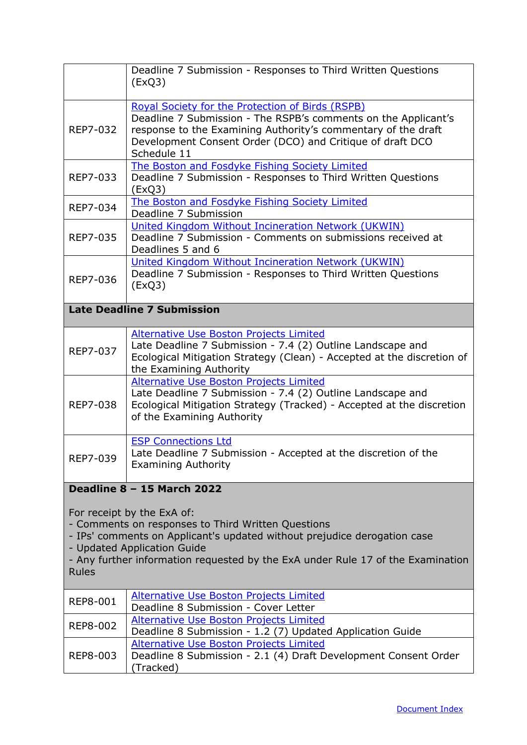<span id="page-38-0"></span>

|                                                                                                                                                                                                                                                                                                                              | Deadline 7 Submission - Responses to Third Written Questions<br>(EXQ3)                                                                                                                                                                                          |
|------------------------------------------------------------------------------------------------------------------------------------------------------------------------------------------------------------------------------------------------------------------------------------------------------------------------------|-----------------------------------------------------------------------------------------------------------------------------------------------------------------------------------------------------------------------------------------------------------------|
| REP7-032                                                                                                                                                                                                                                                                                                                     | Royal Society for the Protection of Birds (RSPB)<br>Deadline 7 Submission - The RSPB's comments on the Applicant's<br>response to the Examining Authority's commentary of the draft<br>Development Consent Order (DCO) and Critique of draft DCO<br>Schedule 11 |
| REP7-033                                                                                                                                                                                                                                                                                                                     | The Boston and Fosdyke Fishing Society Limited<br>Deadline 7 Submission - Responses to Third Written Questions<br>(ExQ3)                                                                                                                                        |
| REP7-034                                                                                                                                                                                                                                                                                                                     | The Boston and Fosdyke Fishing Society Limited<br>Deadline 7 Submission                                                                                                                                                                                         |
| REP7-035                                                                                                                                                                                                                                                                                                                     | United Kingdom Without Incineration Network (UKWIN)<br>Deadline 7 Submission - Comments on submissions received at<br>Deadlines 5 and 6                                                                                                                         |
| REP7-036                                                                                                                                                                                                                                                                                                                     | United Kingdom Without Incineration Network (UKWIN)<br>Deadline 7 Submission - Responses to Third Written Questions<br>(EXQ3)                                                                                                                                   |
|                                                                                                                                                                                                                                                                                                                              | <b>Late Deadline 7 Submission</b>                                                                                                                                                                                                                               |
| REP7-037                                                                                                                                                                                                                                                                                                                     | <b>Alternative Use Boston Projects Limited</b><br>Late Deadline 7 Submission - 7.4 (2) Outline Landscape and<br>Ecological Mitigation Strategy (Clean) - Accepted at the discretion of<br>the Examining Authority                                               |
| REP7-038                                                                                                                                                                                                                                                                                                                     | <b>Alternative Use Boston Projects Limited</b><br>Late Deadline 7 Submission - 7.4 (2) Outline Landscape and<br>Ecological Mitigation Strategy (Tracked) - Accepted at the discretion<br>of the Examining Authority                                             |
| REP7-039                                                                                                                                                                                                                                                                                                                     | <b>ESP Connections Ltd</b><br>Late Deadline 7 Submission - Accepted at the discretion of the<br><b>Examining Authority</b>                                                                                                                                      |
| Deadline 8 - 15 March 2022<br>For receipt by the ExA of:<br>- Comments on responses to Third Written Questions<br>- IPs' comments on Applicant's updated without prejudice derogation case<br>- Updated Application Guide<br>- Any further information requested by the ExA under Rule 17 of the Examination<br><b>Rules</b> |                                                                                                                                                                                                                                                                 |
| <b>REP8-001</b>                                                                                                                                                                                                                                                                                                              | Alternative Use Boston Projects Limited<br>Deadline 8 Submission - Cover Letter                                                                                                                                                                                 |
| REP8-002                                                                                                                                                                                                                                                                                                                     | Alternative Use Boston Projects Limited<br>Deadline 8 Submission - 1.2 (7) Updated Application Guide                                                                                                                                                            |
| REP8-003                                                                                                                                                                                                                                                                                                                     | <b>Alternative Use Boston Projects Limited</b><br>Deadline 8 Submission - 2.1 (4) Draft Development Consent Order<br>(Tracked)                                                                                                                                  |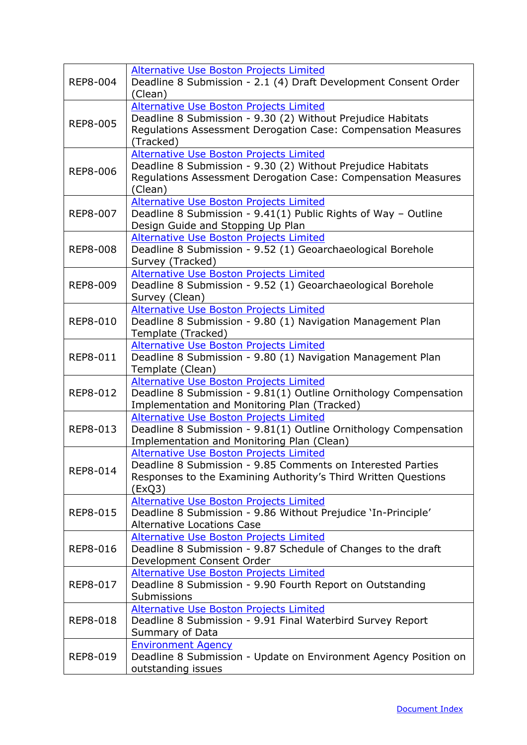| REP8-004        | <b>Alternative Use Boston Projects Limited</b><br>Deadline 8 Submission - 2.1 (4) Draft Development Consent Order<br>(Clean)                                                              |
|-----------------|-------------------------------------------------------------------------------------------------------------------------------------------------------------------------------------------|
| <b>REP8-005</b> | Alternative Use Boston Projects Limited<br>Deadline 8 Submission - 9.30 (2) Without Prejudice Habitats<br>Regulations Assessment Derogation Case: Compensation Measures<br>(Tracked)      |
| <b>REP8-006</b> | <b>Alternative Use Boston Projects Limited</b><br>Deadline 8 Submission - 9.30 (2) Without Prejudice Habitats<br>Regulations Assessment Derogation Case: Compensation Measures<br>(Clean) |
| <b>REP8-007</b> | Alternative Use Boston Projects Limited<br>Deadline 8 Submission - 9.41(1) Public Rights of Way - Outline<br>Design Guide and Stopping Up Plan                                            |
| <b>REP8-008</b> | Alternative Use Boston Projects Limited<br>Deadline 8 Submission - 9.52 (1) Geoarchaeological Borehole<br>Survey (Tracked)                                                                |
| <b>REP8-009</b> | Alternative Use Boston Projects Limited<br>Deadline 8 Submission - 9.52 (1) Geoarchaeological Borehole<br>Survey (Clean)                                                                  |
| REP8-010        | <b>Alternative Use Boston Projects Limited</b><br>Deadline 8 Submission - 9.80 (1) Navigation Management Plan<br>Template (Tracked)                                                       |
| REP8-011        | <b>Alternative Use Boston Projects Limited</b><br>Deadline 8 Submission - 9.80 (1) Navigation Management Plan<br>Template (Clean)                                                         |
| REP8-012        | <b>Alternative Use Boston Projects Limited</b><br>Deadline 8 Submission - 9.81(1) Outline Ornithology Compensation<br>Implementation and Monitoring Plan (Tracked)                        |
| REP8-013        | Alternative Use Boston Projects Limited<br>Deadline 8 Submission - 9.81(1) Outline Ornithology Compensation<br>Implementation and Monitoring Plan (Clean)                                 |
| REP8-014        | Alternative Use Boston Projects Limited<br>Deadline 8 Submission - 9.85 Comments on Interested Parties<br>Responses to the Examining Authority's Third Written Questions<br>(ExQ3)        |
| REP8-015        | <b>Alternative Use Boston Projects Limited</b><br>Deadline 8 Submission - 9.86 Without Prejudice 'In-Principle'<br><b>Alternative Locations Case</b>                                      |
| <b>REP8-016</b> | <b>Alternative Use Boston Projects Limited</b><br>Deadline 8 Submission - 9.87 Schedule of Changes to the draft<br>Development Consent Order                                              |
| REP8-017        | <b>Alternative Use Boston Projects Limited</b><br>Deadline 8 Submission - 9.90 Fourth Report on Outstanding<br>Submissions                                                                |
| <b>REP8-018</b> | <b>Alternative Use Boston Projects Limited</b><br>Deadline 8 Submission - 9.91 Final Waterbird Survey Report<br>Summary of Data                                                           |
| REP8-019        | <b>Environment Agency</b><br>Deadline 8 Submission - Update on Environment Agency Position on<br>outstanding issues                                                                       |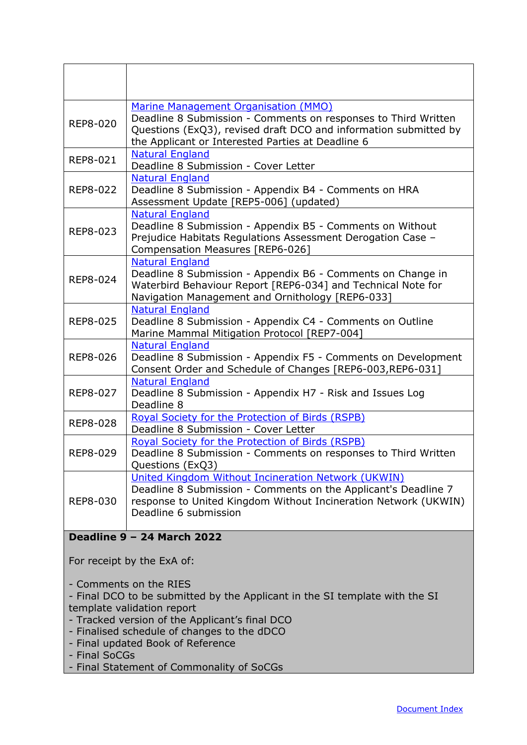<span id="page-40-0"></span>

|                                                                                                                                                                                       | Marine Management Organisation (MMO)                                                                                                                                                                              |
|---------------------------------------------------------------------------------------------------------------------------------------------------------------------------------------|-------------------------------------------------------------------------------------------------------------------------------------------------------------------------------------------------------------------|
| <b>REP8-020</b>                                                                                                                                                                       | Deadline 8 Submission - Comments on responses to Third Written<br>Questions (ExQ3), revised draft DCO and information submitted by<br>the Applicant or Interested Parties at Deadline 6                           |
| <b>REP8-021</b>                                                                                                                                                                       | <b>Natural England</b><br>Deadline 8 Submission - Cover Letter                                                                                                                                                    |
| <b>REP8-022</b>                                                                                                                                                                       | <b>Natural England</b><br>Deadline 8 Submission - Appendix B4 - Comments on HRA<br>Assessment Update [REP5-006] (updated)                                                                                         |
| REP8-023                                                                                                                                                                              | <b>Natural England</b><br>Deadline 8 Submission - Appendix B5 - Comments on Without<br>Prejudice Habitats Regulations Assessment Derogation Case -<br>Compensation Measures [REP6-026]                            |
| REP8-024                                                                                                                                                                              | <b>Natural England</b><br>Deadline 8 Submission - Appendix B6 - Comments on Change in<br>Waterbird Behaviour Report [REP6-034] and Technical Note for<br>Navigation Management and Ornithology [REP6-033]         |
| <b>REP8-025</b>                                                                                                                                                                       | <b>Natural England</b><br>Deadline 8 Submission - Appendix C4 - Comments on Outline<br>Marine Mammal Mitigation Protocol [REP7-004]                                                                               |
| <b>REP8-026</b>                                                                                                                                                                       | <b>Natural England</b><br>Deadline 8 Submission - Appendix F5 - Comments on Development<br>Consent Order and Schedule of Changes [REP6-003, REP6-031]                                                             |
| <b>REP8-027</b>                                                                                                                                                                       | <b>Natural England</b><br>Deadline 8 Submission - Appendix H7 - Risk and Issues Log<br>Deadline 8                                                                                                                 |
| <b>REP8-028</b>                                                                                                                                                                       | <b>Royal Society for the Protection of Birds (RSPB)</b><br>Deadline 8 Submission - Cover Letter                                                                                                                   |
| <b>REP8-029</b>                                                                                                                                                                       | Royal Society for the Protection of Birds (RSPB)<br>Deadline 8 Submission - Comments on responses to Third Written<br>Questions (ExQ3)                                                                            |
| <b>REP8-030</b>                                                                                                                                                                       | United Kingdom Without Incineration Network (UKWIN)<br>Deadline 8 Submission - Comments on the Applicant's Deadline 7<br>response to United Kingdom Without Incineration Network (UKWIN)<br>Deadline 6 submission |
|                                                                                                                                                                                       | <b>Deadline 9 - 24 March 2022</b>                                                                                                                                                                                 |
|                                                                                                                                                                                       | For receipt by the ExA of:                                                                                                                                                                                        |
| - Comments on the RIES<br>- Final DCO to be submitted by the Applicant in the SI template with the SI<br>template validation report<br>- Tracked version of the Applicant's final DCO |                                                                                                                                                                                                                   |
| - Finalised schedule of changes to the dDCO<br>- Final updated Book of Reference<br>- Final SoCGs                                                                                     |                                                                                                                                                                                                                   |
| - Final Statement of Commonality of SoCGs                                                                                                                                             |                                                                                                                                                                                                                   |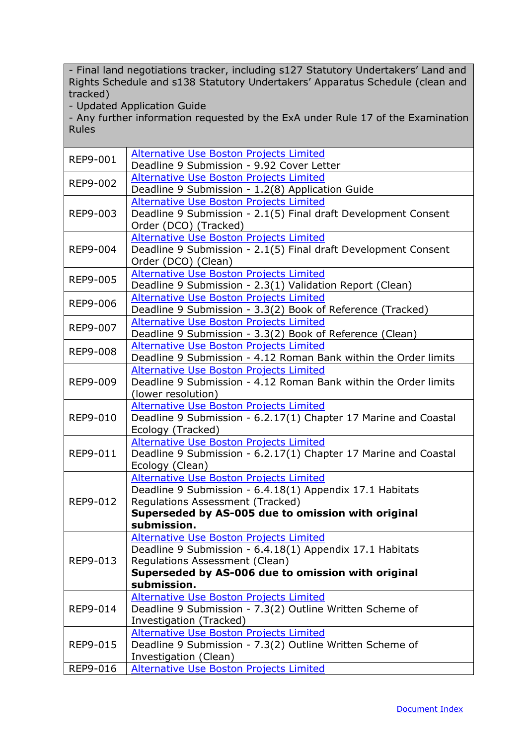- Final land negotiations tracker, including s127 Statutory Undertakers' Land and Rights Schedule and s138 Statutory Undertakers' Apparatus Schedule (clean and tracked)

- Updated Application Guide

- Any further information requested by the ExA under Rule 17 of the Examination Rules

| <b>REP9-001</b> | <b>Alternative Use Boston Projects Limited</b><br>Deadline 9 Submission - 9.92 Cover Letter                                                                                                                       |
|-----------------|-------------------------------------------------------------------------------------------------------------------------------------------------------------------------------------------------------------------|
| REP9-002        | <b>Alternative Use Boston Projects Limited</b><br>Deadline 9 Submission - 1.2(8) Application Guide                                                                                                                |
| REP9-003        | <b>Alternative Use Boston Projects Limited</b><br>Deadline 9 Submission - 2.1(5) Final draft Development Consent<br>Order (DCO) (Tracked)                                                                         |
| <b>REP9-004</b> | <b>Alternative Use Boston Projects Limited</b><br>Deadline 9 Submission - 2.1(5) Final draft Development Consent<br>Order (DCO) (Clean)                                                                           |
| <b>REP9-005</b> | <b>Alternative Use Boston Projects Limited</b><br>Deadline 9 Submission - 2.3(1) Validation Report (Clean)                                                                                                        |
| <b>REP9-006</b> | <b>Alternative Use Boston Projects Limited</b><br>Deadline 9 Submission - 3.3(2) Book of Reference (Tracked)                                                                                                      |
| <b>REP9-007</b> | Alternative Use Boston Projects Limited<br>Deadline 9 Submission - 3.3(2) Book of Reference (Clean)                                                                                                               |
| <b>REP9-008</b> | <b>Alternative Use Boston Projects Limited</b><br>Deadline 9 Submission - 4.12 Roman Bank within the Order limits                                                                                                 |
| <b>REP9-009</b> | <b>Alternative Use Boston Projects Limited</b><br>Deadline 9 Submission - 4.12 Roman Bank within the Order limits<br>(lower resolution)                                                                           |
| <b>REP9-010</b> | <b>Alternative Use Boston Projects Limited</b><br>Deadline 9 Submission - 6.2.17(1) Chapter 17 Marine and Coastal<br>Ecology (Tracked)                                                                            |
| REP9-011        | Alternative Use Boston Projects Limited<br>Deadline 9 Submission - 6.2.17(1) Chapter 17 Marine and Coastal<br>Ecology (Clean)                                                                                     |
| REP9-012        | Alternative Use Boston Projects Limited<br>Deadline 9 Submission - 6.4.18(1) Appendix 17.1 Habitats<br>Regulations Assessment (Tracked)<br>Superseded by AS-005 due to omission with original<br>submission.      |
| REP9-013        | <b>Alternative Use Boston Projects Limited</b><br>Deadline 9 Submission - 6.4.18(1) Appendix 17.1 Habitats<br>Regulations Assessment (Clean)<br>Superseded by AS-006 due to omission with original<br>submission. |
| REP9-014        | <b>Alternative Use Boston Projects Limited</b><br>Deadline 9 Submission - 7.3(2) Outline Written Scheme of<br>Investigation (Tracked)                                                                             |
| <b>REP9-015</b> | <b>Alternative Use Boston Projects Limited</b><br>Deadline 9 Submission - 7.3(2) Outline Written Scheme of<br>Investigation (Clean)                                                                               |
| REP9-016        | Alternative Use Boston Projects Limited                                                                                                                                                                           |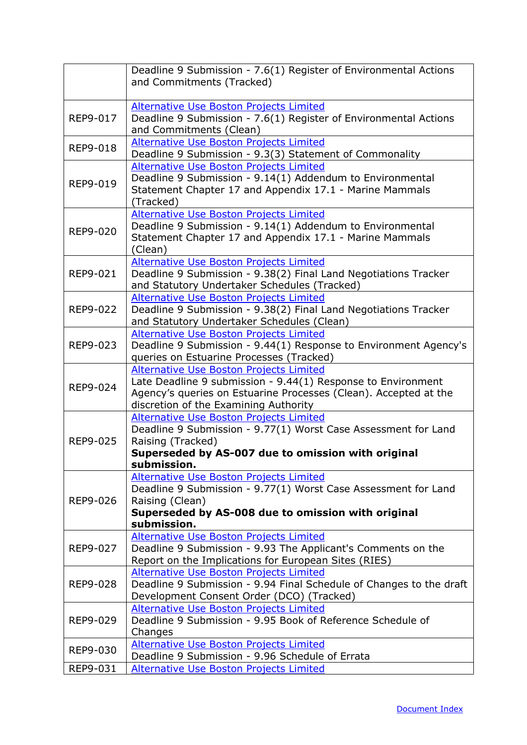|                      | Deadline 9 Submission - 7.6(1) Register of Environmental Actions<br>and Commitments (Tracked)                                                                                                                        |
|----------------------|----------------------------------------------------------------------------------------------------------------------------------------------------------------------------------------------------------------------|
| REP9-017             | Alternative Use Boston Projects Limited<br>Deadline 9 Submission - 7.6(1) Register of Environmental Actions<br>and Commitments (Clean)                                                                               |
| <b>REP9-018</b>      | <b>Alternative Use Boston Projects Limited</b><br>Deadline 9 Submission - 9.3(3) Statement of Commonality                                                                                                            |
| REP9-019             | Alternative Use Boston Projects Limited<br>Deadline 9 Submission - 9.14(1) Addendum to Environmental<br>Statement Chapter 17 and Appendix 17.1 - Marine Mammals<br>(Tracked)                                         |
| REP9-020             | Alternative Use Boston Projects Limited<br>Deadline 9 Submission - 9.14(1) Addendum to Environmental<br>Statement Chapter 17 and Appendix 17.1 - Marine Mammals<br>(Clean)                                           |
| REP9-021             | Alternative Use Boston Projects Limited<br>Deadline 9 Submission - 9.38(2) Final Land Negotiations Tracker<br>and Statutory Undertaker Schedules (Tracked)                                                           |
| REP9-022             | <b>Alternative Use Boston Projects Limited</b><br>Deadline 9 Submission - 9.38(2) Final Land Negotiations Tracker<br>and Statutory Undertaker Schedules (Clean)                                                      |
| REP9-023             | <b>Alternative Use Boston Projects Limited</b><br>Deadline 9 Submission - 9.44(1) Response to Environment Agency's<br>queries on Estuarine Processes (Tracked)                                                       |
| REP9-024             | Alternative Use Boston Projects Limited<br>Late Deadline 9 submission - 9.44(1) Response to Environment<br>Agency's queries on Estuarine Processes (Clean). Accepted at the<br>discretion of the Examining Authority |
| REP9-025             | <b>Alternative Use Boston Projects Limited</b><br>Deadline 9 Submission - 9.77(1) Worst Case Assessment for Land<br>Raising (Tracked)<br>Superseded by AS-007 due to omission with original<br>submission.           |
| REP9-026             | <b>Alternative Use Boston Projects Limited</b><br>Deadline 9 Submission - 9.77(1) Worst Case Assessment for Land<br>Raising (Clean)<br>Superseded by AS-008 due to omission with original<br>submission.             |
| REP9-027             | Alternative Use Boston Projects Limited<br>Deadline 9 Submission - 9.93 The Applicant's Comments on the<br>Report on the Implications for European Sites (RIES)                                                      |
| REP9-028             | Alternative Use Boston Projects Limited<br>Deadline 9 Submission - 9.94 Final Schedule of Changes to the draft<br>Development Consent Order (DCO) (Tracked)                                                          |
| REP9-029             | Alternative Use Boston Projects Limited<br>Deadline 9 Submission - 9.95 Book of Reference Schedule of<br>Changes                                                                                                     |
| REP9-030<br>REP9-031 | Alternative Use Boston Projects Limited<br>Deadline 9 Submission - 9.96 Schedule of Errata<br><b>Alternative Use Boston Projects Limited</b>                                                                         |
|                      |                                                                                                                                                                                                                      |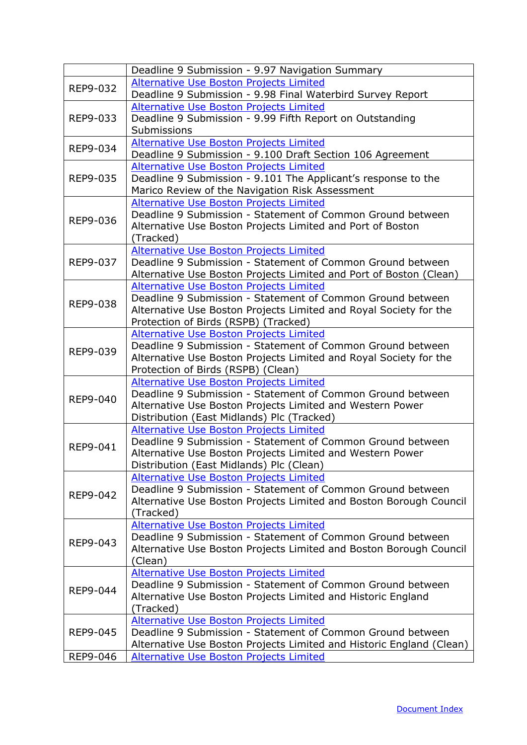|                 | Deadline 9 Submission - 9.97 Navigation Summary                                                         |
|-----------------|---------------------------------------------------------------------------------------------------------|
| REP9-032        | <b>Alternative Use Boston Projects Limited</b>                                                          |
|                 | Deadline 9 Submission - 9.98 Final Waterbird Survey Report                                              |
|                 | <b>Alternative Use Boston Projects Limited</b>                                                          |
| REP9-033        | Deadline 9 Submission - 9.99 Fifth Report on Outstanding                                                |
|                 | Submissions                                                                                             |
|                 | <b>Alternative Use Boston Projects Limited</b>                                                          |
| REP9-034        | Deadline 9 Submission - 9.100 Draft Section 106 Agreement                                               |
|                 | Alternative Use Boston Projects Limited                                                                 |
| REP9-035        | Deadline 9 Submission - 9.101 The Applicant's response to the                                           |
|                 | Marico Review of the Navigation Risk Assessment                                                         |
|                 | <b>Alternative Use Boston Projects Limited</b>                                                          |
| REP9-036        | Deadline 9 Submission - Statement of Common Ground between                                              |
|                 | Alternative Use Boston Projects Limited and Port of Boston                                              |
|                 | (Tracked)                                                                                               |
|                 | <b>Alternative Use Boston Projects Limited</b>                                                          |
| REP9-037        | Deadline 9 Submission - Statement of Common Ground between                                              |
|                 | Alternative Use Boston Projects Limited and Port of Boston (Clean)                                      |
|                 | <b>Alternative Use Boston Projects Limited</b>                                                          |
| REP9-038        | Deadline 9 Submission - Statement of Common Ground between                                              |
|                 | Alternative Use Boston Projects Limited and Royal Society for the                                       |
|                 | Protection of Birds (RSPB) (Tracked)                                                                    |
|                 | <b>Alternative Use Boston Projects Limited</b>                                                          |
| REP9-039        | Deadline 9 Submission - Statement of Common Ground between                                              |
|                 | Alternative Use Boston Projects Limited and Royal Society for the                                       |
|                 | Protection of Birds (RSPB) (Clean)                                                                      |
|                 | <b>Alternative Use Boston Projects Limited</b>                                                          |
| <b>REP9-040</b> | Deadline 9 Submission - Statement of Common Ground between                                              |
|                 | Alternative Use Boston Projects Limited and Western Power<br>Distribution (East Midlands) Plc (Tracked) |
|                 | <b>Alternative Use Boston Projects Limited</b>                                                          |
|                 | Deadline 9 Submission - Statement of Common Ground between                                              |
| REP9-041        | Alternative Use Boston Projects Limited and Western Power                                               |
|                 | Distribution (East Midlands) Plc (Clean)                                                                |
|                 | Alternative Use Boston Projects Limited                                                                 |
|                 | Deadline 9 Submission - Statement of Common Ground between                                              |
| REP9-042        | Alternative Use Boston Projects Limited and Boston Borough Council                                      |
|                 | (Tracked)                                                                                               |
|                 | Alternative Use Boston Projects Limited                                                                 |
|                 | Deadline 9 Submission - Statement of Common Ground between                                              |
| REP9-043        | Alternative Use Boston Projects Limited and Boston Borough Council                                      |
|                 | (Clean)                                                                                                 |
| REP9-044        | <b>Alternative Use Boston Projects Limited</b>                                                          |
|                 | Deadline 9 Submission - Statement of Common Ground between                                              |
|                 | Alternative Use Boston Projects Limited and Historic England                                            |
|                 | (Tracked)                                                                                               |
|                 | Alternative Use Boston Projects Limited                                                                 |
| <b>REP9-045</b> | Deadline 9 Submission - Statement of Common Ground between                                              |
|                 | Alternative Use Boston Projects Limited and Historic England (Clean)                                    |
| REP9-046        | <b>Alternative Use Boston Projects Limited</b>                                                          |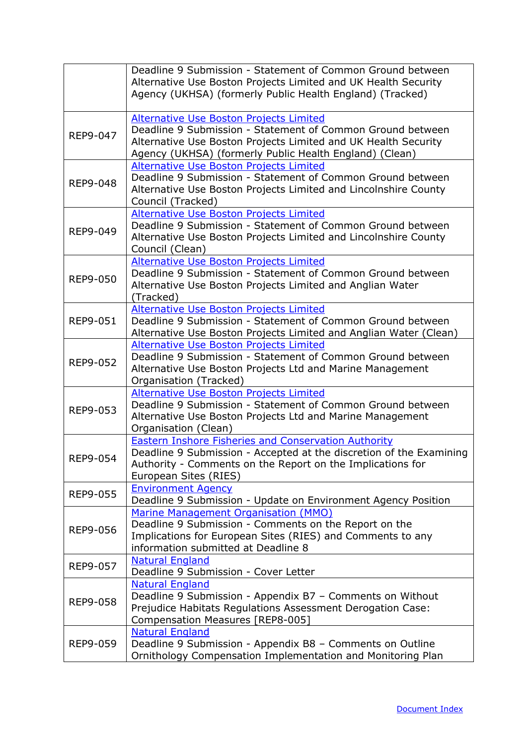|                 | Deadline 9 Submission - Statement of Common Ground between<br>Alternative Use Boston Projects Limited and UK Health Security<br>Agency (UKHSA) (formerly Public Health England) (Tracked)                                                 |
|-----------------|-------------------------------------------------------------------------------------------------------------------------------------------------------------------------------------------------------------------------------------------|
| REP9-047        | <b>Alternative Use Boston Projects Limited</b><br>Deadline 9 Submission - Statement of Common Ground between<br>Alternative Use Boston Projects Limited and UK Health Security<br>Agency (UKHSA) (formerly Public Health England) (Clean) |
| REP9-048        | Alternative Use Boston Projects Limited<br>Deadline 9 Submission - Statement of Common Ground between<br>Alternative Use Boston Projects Limited and Lincolnshire County<br>Council (Tracked)                                             |
| REP9-049        | Alternative Use Boston Projects Limited<br>Deadline 9 Submission - Statement of Common Ground between<br>Alternative Use Boston Projects Limited and Lincolnshire County<br>Council (Clean)                                               |
| <b>REP9-050</b> | <b>Alternative Use Boston Projects Limited</b><br>Deadline 9 Submission - Statement of Common Ground between<br>Alternative Use Boston Projects Limited and Anglian Water<br>(Tracked)                                                    |
| <b>REP9-051</b> | Alternative Use Boston Projects Limited<br>Deadline 9 Submission - Statement of Common Ground between<br>Alternative Use Boston Projects Limited and Anglian Water (Clean)                                                                |
| REP9-052        | <b>Alternative Use Boston Projects Limited</b><br>Deadline 9 Submission - Statement of Common Ground between<br>Alternative Use Boston Projects Ltd and Marine Management<br>Organisation (Tracked)                                       |
| REP9-053        | Alternative Use Boston Projects Limited<br>Deadline 9 Submission - Statement of Common Ground between<br>Alternative Use Boston Projects Ltd and Marine Management<br>Organisation (Clean)                                                |
| <b>REP9-054</b> | <b>Eastern Inshore Fisheries and Conservation Authority</b><br>Deadline 9 Submission - Accepted at the discretion of the Examining<br>Authority - Comments on the Report on the Implications for<br>European Sites (RIES)                 |
| <b>REP9-055</b> | <b>Environment Agency</b><br>Deadline 9 Submission - Update on Environment Agency Position                                                                                                                                                |
| REP9-056        | Marine Management Organisation (MMO)<br>Deadline 9 Submission - Comments on the Report on the<br>Implications for European Sites (RIES) and Comments to any<br>information submitted at Deadline 8                                        |
| <b>REP9-057</b> | <b>Natural England</b><br>Deadline 9 Submission - Cover Letter                                                                                                                                                                            |
| REP9-058        | <b>Natural England</b><br>Deadline 9 Submission - Appendix B7 - Comments on Without<br>Prejudice Habitats Regulations Assessment Derogation Case:<br>Compensation Measures [REP8-005]                                                     |
| REP9-059        | <b>Natural England</b><br>Deadline 9 Submission - Appendix B8 - Comments on Outline<br>Ornithology Compensation Implementation and Monitoring Plan                                                                                        |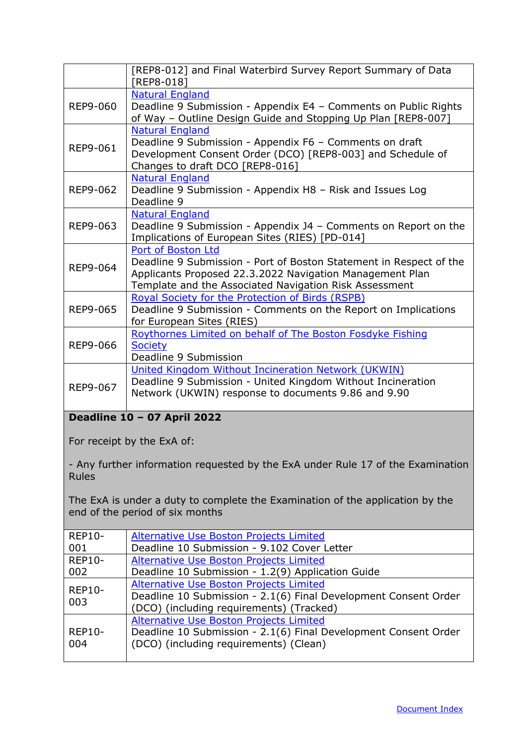<span id="page-45-0"></span>

|                                                                                                 | [REP8-012] and Final Waterbird Survey Report Summary of Data<br>[REP8-018]                                                                                                                                     |  |
|-------------------------------------------------------------------------------------------------|----------------------------------------------------------------------------------------------------------------------------------------------------------------------------------------------------------------|--|
| REP9-060                                                                                        | <b>Natural England</b><br>Deadline 9 Submission - Appendix E4 - Comments on Public Rights<br>of Way - Outline Design Guide and Stopping Up Plan [REP8-007]                                                     |  |
| REP9-061                                                                                        | <b>Natural England</b><br>Deadline 9 Submission - Appendix F6 - Comments on draft<br>Development Consent Order (DCO) [REP8-003] and Schedule of<br>Changes to draft DCO [REP8-016]                             |  |
| REP9-062                                                                                        | <b>Natural England</b><br>Deadline 9 Submission - Appendix H8 - Risk and Issues Log<br>Deadline 9                                                                                                              |  |
| REP9-063                                                                                        | <b>Natural England</b><br>Deadline 9 Submission - Appendix J4 - Comments on Report on the<br>Implications of European Sites (RIES) [PD-014]                                                                    |  |
| REP9-064                                                                                        | Port of Boston Ltd<br>Deadline 9 Submission - Port of Boston Statement in Respect of the<br>Applicants Proposed 22.3.2022 Navigation Management Plan<br>Template and the Associated Navigation Risk Assessment |  |
| REP9-065                                                                                        | Royal Society for the Protection of Birds (RSPB)<br>Deadline 9 Submission - Comments on the Report on Implications<br>for European Sites (RIES)                                                                |  |
| REP9-066                                                                                        | Roythornes Limited on behalf of The Boston Fosdyke Fishing<br><b>Society</b><br>Deadline 9 Submission                                                                                                          |  |
| REP9-067                                                                                        | United Kingdom Without Incineration Network (UKWIN)<br>Deadline 9 Submission - United Kingdom Without Incineration<br>Network (UKWIN) response to documents 9.86 and 9.90                                      |  |
|                                                                                                 | Deadline 10 - 07 April 2022                                                                                                                                                                                    |  |
|                                                                                                 | For receipt by the ExA of:                                                                                                                                                                                     |  |
| - Any further information requested by the ExA under Rule 17 of the Examination<br><b>Rules</b> |                                                                                                                                                                                                                |  |
|                                                                                                 | The ExA is under a duty to complete the Examination of the application by the<br>end of the period of six months                                                                                               |  |
| <b>REP10-</b><br>001                                                                            | Alternative Use Boston Projects Limited<br>Deadline 10 Submission - 9.102 Cover Letter                                                                                                                         |  |
| <b>REP10-</b>                                                                                   | <b>Alternative Use Boston Projects Limited</b>                                                                                                                                                                 |  |
| 002<br><b>REP10-</b><br>003                                                                     | Deadline 10 Submission - 1.2(9) Application Guide<br>Alternative Use Boston Projects Limited<br>Deadline 10 Submission - 2.1(6) Final Development Consent Order<br>(DCO) (including requirements) (Tracked)    |  |
| <b>REP10-</b><br>004                                                                            | <b>Alternative Use Boston Projects Limited</b><br>Deadline 10 Submission - 2.1(6) Final Development Consent Order<br>(DCO) (including requirements) (Clean)                                                    |  |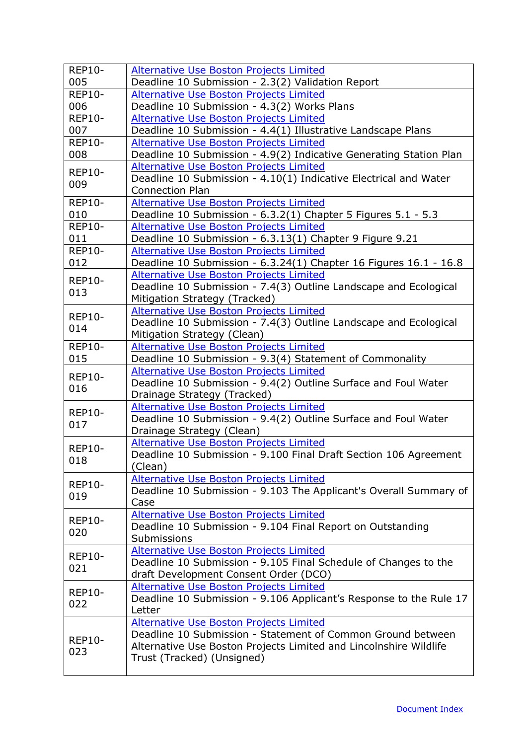| <b>REP10-</b><br>005 | <b>Alternative Use Boston Projects Limited</b><br>Deadline 10 Submission - 2.3(2) Validation Report        |
|----------------------|------------------------------------------------------------------------------------------------------------|
| <b>REP10-</b>        | Alternative Use Boston Projects Limited                                                                    |
| 006                  | Deadline 10 Submission - 4.3(2) Works Plans                                                                |
| <b>REP10-</b>        | <b>Alternative Use Boston Projects Limited</b>                                                             |
| 007                  | Deadline 10 Submission - 4.4(1) Illustrative Landscape Plans                                               |
| <b>REP10-</b>        | <b>Alternative Use Boston Projects Limited</b>                                                             |
| 008                  | Deadline 10 Submission - 4.9(2) Indicative Generating Station Plan                                         |
| <b>REP10-</b>        | Alternative Use Boston Projects Limited                                                                    |
| 009                  | Deadline 10 Submission - 4.10(1) Indicative Electrical and Water                                           |
|                      | <b>Connection Plan</b>                                                                                     |
| <b>REP10-</b>        | <b>Alternative Use Boston Projects Limited</b>                                                             |
| 010<br><b>REP10-</b> | Deadline 10 Submission - 6.3.2(1) Chapter 5 Figures 5.1 - 5.3                                              |
| 011                  | <b>Alternative Use Boston Projects Limited</b><br>Deadline 10 Submission - 6.3.13(1) Chapter 9 Figure 9.21 |
| <b>REP10-</b>        | <b>Alternative Use Boston Projects Limited</b>                                                             |
| 012                  | Deadline 10 Submission - 6.3.24(1) Chapter 16 Figures 16.1 - 16.8                                          |
|                      | <b>Alternative Use Boston Projects Limited</b>                                                             |
| <b>REP10-</b>        | Deadline 10 Submission - 7.4(3) Outline Landscape and Ecological                                           |
| 013                  | Mitigation Strategy (Tracked)                                                                              |
| <b>REP10-</b>        | Alternative Use Boston Projects Limited                                                                    |
| 014                  | Deadline 10 Submission - 7.4(3) Outline Landscape and Ecological                                           |
|                      | Mitigation Strategy (Clean)                                                                                |
| <b>REP10-</b>        | <b>Alternative Use Boston Projects Limited</b>                                                             |
| 015                  | Deadline 10 Submission - 9.3(4) Statement of Commonality                                                   |
| <b>REP10-</b>        | <b>Alternative Use Boston Projects Limited</b>                                                             |
| 016                  | Deadline 10 Submission - 9.4(2) Outline Surface and Foul Water<br>Drainage Strategy (Tracked)              |
|                      | <b>Alternative Use Boston Projects Limited</b>                                                             |
| <b>REP10-</b>        | Deadline 10 Submission - 9.4(2) Outline Surface and Foul Water                                             |
| 017                  | Drainage Strategy (Clean)                                                                                  |
|                      | Alternative Use Boston Projects Limited                                                                    |
| <b>REP10-</b><br>018 | Deadline 10 Submission - 9.100 Final Draft Section 106 Agreement                                           |
|                      | (Clean)                                                                                                    |
| <b>REP10-</b>        | <b>Alternative Use Boston Projects Limited</b>                                                             |
| 019                  | Deadline 10 Submission - 9.103 The Applicant's Overall Summary of                                          |
|                      | Case                                                                                                       |
| <b>REP10-</b>        | Alternative Use Boston Projects Limited<br>Deadline 10 Submission - 9.104 Final Report on Outstanding      |
| 020                  | Submissions                                                                                                |
|                      | <b>Alternative Use Boston Projects Limited</b>                                                             |
| <b>REP10-</b>        | Deadline 10 Submission - 9.105 Final Schedule of Changes to the                                            |
| 021                  | draft Development Consent Order (DCO)                                                                      |
| <b>REP10-</b>        | <b>Alternative Use Boston Projects Limited</b>                                                             |
| 022                  | Deadline 10 Submission - 9.106 Applicant's Response to the Rule 17                                         |
|                      | Letter                                                                                                     |
|                      | Alternative Use Boston Projects Limited                                                                    |
| <b>REP10-</b>        | Deadline 10 Submission - Statement of Common Ground between                                                |
| 023                  | Alternative Use Boston Projects Limited and Lincolnshire Wildlife<br>Trust (Tracked) (Unsigned)            |
|                      |                                                                                                            |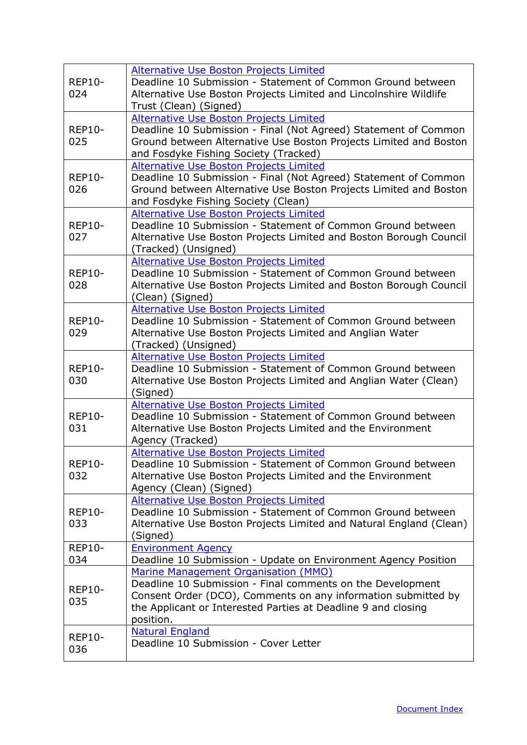| <b>REP10-</b><br>024 | <b>Alternative Use Boston Projects Limited</b><br>Deadline 10 Submission - Statement of Common Ground between<br>Alternative Use Boston Projects Limited and Lincolnshire Wildlife<br>Trust (Clean) (Signed)                                      |
|----------------------|---------------------------------------------------------------------------------------------------------------------------------------------------------------------------------------------------------------------------------------------------|
| <b>REP10-</b><br>025 | <b>Alternative Use Boston Projects Limited</b><br>Deadline 10 Submission - Final (Not Agreed) Statement of Common<br>Ground between Alternative Use Boston Projects Limited and Boston<br>and Fosdyke Fishing Society (Tracked)                   |
| <b>REP10-</b><br>026 | <b>Alternative Use Boston Projects Limited</b><br>Deadline 10 Submission - Final (Not Agreed) Statement of Common<br>Ground between Alternative Use Boston Projects Limited and Boston<br>and Fosdyke Fishing Society (Clean)                     |
| <b>REP10-</b><br>027 | Alternative Use Boston Projects Limited<br>Deadline 10 Submission - Statement of Common Ground between<br>Alternative Use Boston Projects Limited and Boston Borough Council<br>(Tracked) (Unsigned)                                              |
| <b>REP10-</b><br>028 | Alternative Use Boston Projects Limited<br>Deadline 10 Submission - Statement of Common Ground between<br>Alternative Use Boston Projects Limited and Boston Borough Council<br>(Clean) (Signed)                                                  |
| <b>REP10-</b><br>029 | <b>Alternative Use Boston Projects Limited</b><br>Deadline 10 Submission - Statement of Common Ground between<br>Alternative Use Boston Projects Limited and Anglian Water<br>(Tracked) (Unsigned)                                                |
| <b>REP10-</b><br>030 | <b>Alternative Use Boston Projects Limited</b><br>Deadline 10 Submission - Statement of Common Ground between<br>Alternative Use Boston Projects Limited and Anglian Water (Clean)<br>(Signed)                                                    |
| <b>REP10-</b><br>031 | Alternative Use Boston Projects Limited<br>Deadline 10 Submission - Statement of Common Ground between<br>Alternative Use Boston Projects Limited and the Environment<br>Agency (Tracked)                                                         |
| <b>REP10-</b><br>032 | Alternative Use Boston Projects Limited<br>Deadline 10 Submission - Statement of Common Ground between<br>Alternative Use Boston Projects Limited and the Environment<br>Agency (Clean) (Signed)                                                  |
| <b>REP10-</b><br>033 | Alternative Use Boston Projects Limited<br>Deadline 10 Submission - Statement of Common Ground between<br>Alternative Use Boston Projects Limited and Natural England (Clean)<br>(Signed)                                                         |
| <b>REP10-</b><br>034 | <b>Environment Agency</b><br>Deadline 10 Submission - Update on Environment Agency Position                                                                                                                                                       |
| <b>REP10-</b><br>035 | Marine Management Organisation (MMO)<br>Deadline 10 Submission - Final comments on the Development<br>Consent Order (DCO), Comments on any information submitted by<br>the Applicant or Interested Parties at Deadline 9 and closing<br>position. |
| <b>REP10-</b><br>036 | <b>Natural England</b><br>Deadline 10 Submission - Cover Letter                                                                                                                                                                                   |